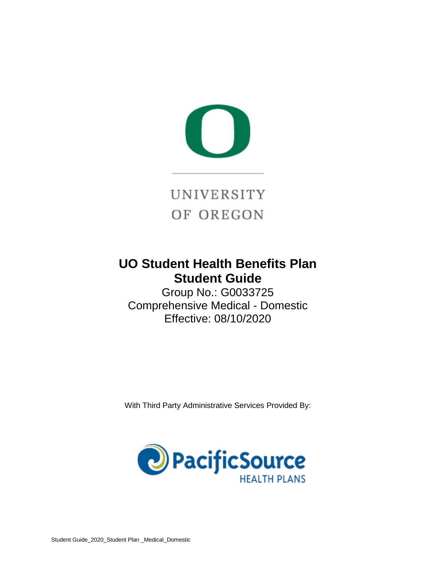

# **UO Student Health Benefits Plan Student Guide**

Group No.: G0033725 Comprehensive Medical - Domestic Effective: 08/10/2020

With Third Party Administrative Services Provided By:

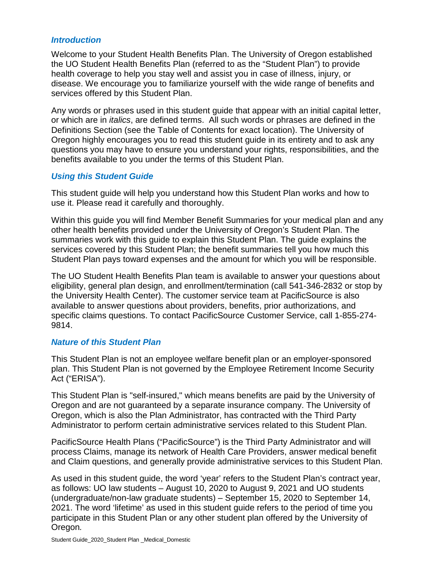#### *Introduction*

Welcome to your Student Health Benefits Plan. The University of Oregon established the UO Student Health Benefits Plan (referred to as the "Student Plan") to provide health coverage to help you stay well and assist you in case of illness, injury, or disease. We encourage you to familiarize yourself with the wide range of benefits and services offered by this Student Plan.

Any words or phrases used in this student guide that appear with an initial capital letter, or which are in *italics*, are defined terms. All such words or phrases are defined in the Definitions Section (see the Table of Contents for exact location). The University of Oregon highly encourages you to read this student guide in its entirety and to ask any questions you may have to ensure you understand your rights, responsibilities, and the benefits available to you under the terms of this Student Plan.

#### *Using this Student Guide*

This student guide will help you understand how this Student Plan works and how to use it. Please read it carefully and thoroughly.

Within this guide you will find Member Benefit Summaries for your medical plan and any other health benefits provided under the University of Oregon's Student Plan. The summaries work with this guide to explain this Student Plan. The guide explains the services covered by this Student Plan; the benefit summaries tell you how much this Student Plan pays toward expenses and the amount for which you will be responsible.

The UO Student Health Benefits Plan team is available to answer your questions about eligibility, general plan design, and enrollment/termination (call 541-346-2832 or stop by the University Health Center). The customer service team at PacificSource is also available to answer questions about providers, benefits, prior authorizations, and specific claims questions. To contact PacificSource Customer Service, call 1-855-274- 9814.

#### *Nature of this Student Plan*

This Student Plan is not an employee welfare benefit plan or an employer-sponsored plan. This Student Plan is not governed by the Employee Retirement Income Security Act ("ERISA").

This Student Plan is "self-insured," which means benefits are paid by the University of Oregon and are not guaranteed by a separate insurance company. The University of Oregon, which is also the Plan Administrator, has contracted with the Third Party Administrator to perform certain administrative services related to this Student Plan.

PacificSource Health Plans ("PacificSource") is the Third Party Administrator and will process Claims, manage its network of Health Care Providers, answer medical benefit and Claim questions, and generally provide administrative services to this Student Plan.

As used in this student guide, the word 'year' refers to the Student Plan's contract year, as follows: UO law students – August 10, 2020 to August 9, 2021 and UO students (undergraduate/non-law graduate students) – September 15, 2020 to September 14, 2021. The word 'lifetime' as used in this student guide refers to the period of time you participate in this Student Plan or any other student plan offered by the University of Oregon*.*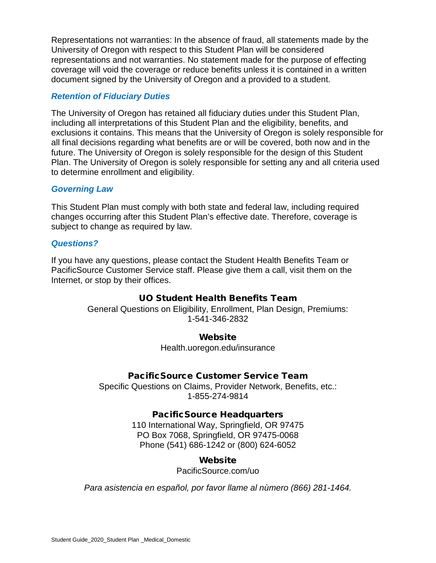Representations not warranties: In the absence of fraud, all statements made by the University of Oregon with respect to this Student Plan will be considered representations and not warranties. No statement made for the purpose of effecting coverage will void the coverage or reduce benefits unless it is contained in a written document signed by the University of Oregon and a provided to a student.

#### *Retention of Fiduciary Duties*

The University of Oregon has retained all fiduciary duties under this Student Plan, including all interpretations of this Student Plan and the eligibility, benefits, and exclusions it contains. This means that the University of Oregon is solely responsible for all final decisions regarding what benefits are or will be covered, both now and in the future. The University of Oregon is solely responsible for the design of this Student Plan. The University of Oregon is solely responsible for setting any and all criteria used to determine enrollment and eligibility.

#### *Governing Law*

This Student Plan must comply with both state and federal law, including required changes occurring after this Student Plan's effective date. Therefore, coverage is subject to change as required by law.

#### *Questions?*

If you have any questions, please contact the Student Health Benefits Team or PacificSource Customer Service staff. Please give them a call, visit them on the Internet, or stop by their offices.

#### UO Student Health Benefits Team

General Questions on Eligibility, Enrollment, Plan Design, Premiums: 1-541-346-2832

#### Website

Health.uoregon.edu/insurance

#### PacificSource Customer Service Team

Specific Questions on Claims, Provider Network, Benefits, etc.: 1-855-274-9814

#### PacificSource Headquarters

110 International Way, Springfield, OR 97475 PO Box 7068, Springfield, OR 97475-0068 Phone (541) 686-1242 or (800) 624-6052

#### Website

PacificSource.com/uo

*Para asistencia en español, por favor llame al nùmero (866) 281-1464.*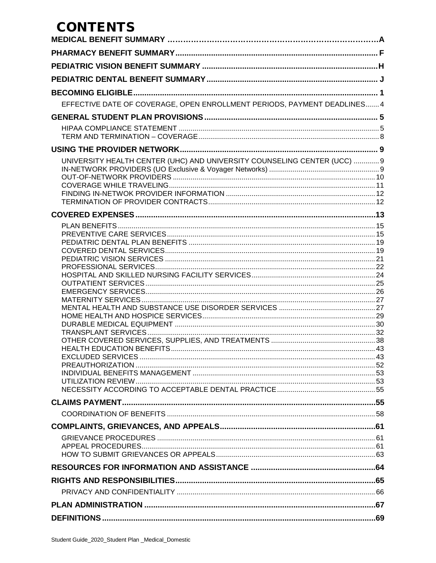# **CONTENTS**

| EFFECTIVE DATE OF COVERAGE, OPEN ENROLLMENT PERIODS, PAYMENT DEADLINES 4 |  |
|--------------------------------------------------------------------------|--|
|                                                                          |  |
|                                                                          |  |
|                                                                          |  |
|                                                                          |  |
| UNIVERSITY HEALTH CENTER (UHC) AND UNIVERSITY COUNSELING CENTER (UCC)  9 |  |
|                                                                          |  |
|                                                                          |  |
|                                                                          |  |
|                                                                          |  |
|                                                                          |  |
|                                                                          |  |
|                                                                          |  |
|                                                                          |  |
|                                                                          |  |
|                                                                          |  |
|                                                                          |  |
|                                                                          |  |
|                                                                          |  |
|                                                                          |  |
|                                                                          |  |
|                                                                          |  |
|                                                                          |  |
|                                                                          |  |
|                                                                          |  |
|                                                                          |  |
|                                                                          |  |
|                                                                          |  |
|                                                                          |  |
|                                                                          |  |
|                                                                          |  |
|                                                                          |  |
|                                                                          |  |
|                                                                          |  |
|                                                                          |  |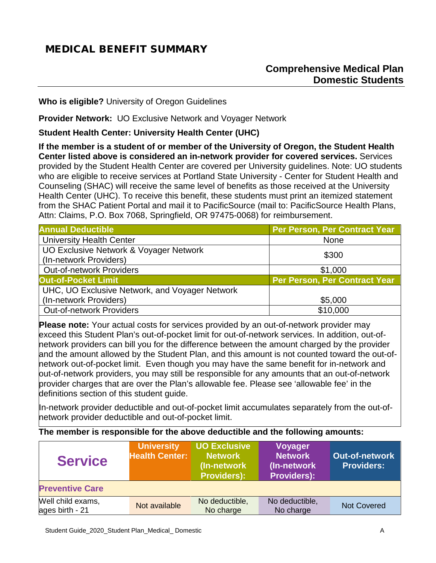# <span id="page-4-0"></span>MEDICAL BENEFIT SUMMARY

**Who is eligible?** University of Oregon Guidelines

**Provider Network:** UO Exclusive Network and Voyager Network

**Student Health Center: University Health Center (UHC)** 

**If the member is a student of or member of the University of Oregon, the Student Health Center listed above is considered an in-network provider for covered services.** Services provided by the Student Health Center are covered per University guidelines. Note: UO students who are eligible to receive services at Portland State University - Center for Student Health and Counseling (SHAC) will receive the same level of benefits as those received at the University Health Center (UHC). To receive this benefit, these students must print an itemized statement from the SHAC Patient Portal and mail it to PacificSource (mail to: PacificSource Health Plans, Attn: Claims, P.O. Box 7068, Springfield, OR 97475-0068) for reimbursement.

| <b>Annual Deductible</b>                       | Per Person, Per Contract Year |
|------------------------------------------------|-------------------------------|
| <b>University Health Center</b>                | <b>None</b>                   |
| UO Exclusive Network & Voyager Network         | \$300                         |
| (In-network Providers)                         |                               |
| <b>Out-of-network Providers</b>                | \$1,000                       |
| <b>Out-of-Pocket Limit</b>                     | Per Person, Per Contract Year |
| UHC, UO Exclusive Network, and Voyager Network |                               |
| (In-network Providers)                         | \$5,000                       |
| <b>Out-of-network Providers</b>                | \$10,000                      |

**Please note:** Your actual costs for services provided by an out-of-network provider may exceed this Student Plan's out-of-pocket limit for out-of-network services. In addition, out-ofnetwork providers can bill you for the difference between the amount charged by the provider and the amount allowed by the Student Plan, and this amount is not counted toward the out-ofnetwork out-of-pocket limit. Even though you may have the same benefit for in-network and out-of-network providers, you may still be responsible for any amounts that an out-of-network provider charges that are over the Plan's allowable fee. Please see 'allowable fee' in the definitions section of this student guide.

In-network provider deductible and out-of-pocket limit accumulates separately from the out-ofnetwork provider deductible and out-of-pocket limit.

| The member is responsible for the above deductible and the following amounts: |  |
|-------------------------------------------------------------------------------|--|
|-------------------------------------------------------------------------------|--|

| <b>Service</b>                       | <b>University</b><br><b>Health Center:</b> | <b>UO Exclusive</b><br><b>Network</b><br>(In-network)<br><b>Providers):</b> | <b>Voyager</b><br><b>Network</b><br>(In-network)<br><b>Providers):</b> | <b>Out-of-network</b><br><b>Providers:</b> |
|--------------------------------------|--------------------------------------------|-----------------------------------------------------------------------------|------------------------------------------------------------------------|--------------------------------------------|
| <b>Preventive Care</b>               |                                            |                                                                             |                                                                        |                                            |
| Well child exams,<br>ages birth - 21 | Not available                              | No deductible,<br>No charge                                                 | No deductible,<br>No charge                                            | <b>Not Covered</b>                         |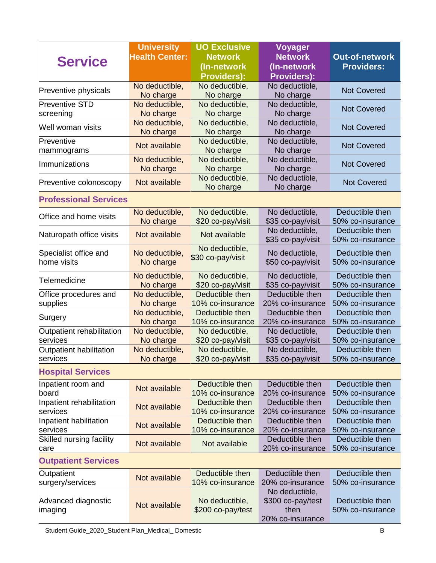|                              | <b>University</b>           | <b>UO Exclusive</b>                 | <b>Voyager</b>                      |                                     |  |
|------------------------------|-----------------------------|-------------------------------------|-------------------------------------|-------------------------------------|--|
|                              | <b>Health Center:</b>       | <b>Network</b>                      | <b>Network</b>                      | <b>Out-of-network</b>               |  |
| <b>Service</b>               |                             | (In-network                         | (In-network                         | <b>Providers:</b>                   |  |
|                              |                             | <b>Providers):</b>                  | <b>Providers):</b>                  |                                     |  |
|                              | No deductible,              | No deductible,                      | No deductible,                      |                                     |  |
| Preventive physicals         | No charge                   | No charge                           | No charge                           | <b>Not Covered</b>                  |  |
| <b>Preventive STD</b>        | No deductible,              | No deductible,                      | No deductible,                      | <b>Not Covered</b>                  |  |
| screening                    | No charge                   | No charge                           | No charge                           |                                     |  |
| Well woman visits            | No deductible,              | No deductible,                      | No deductible,                      | <b>Not Covered</b>                  |  |
|                              | No charge                   | No charge                           | No charge                           |                                     |  |
| Preventive                   | Not available               | No deductible,                      | No deductible,                      | <b>Not Covered</b>                  |  |
| mammograms                   |                             | No charge                           | No charge                           |                                     |  |
| Immunizations                | No deductible,<br>No charge | No deductible,                      | No deductible,                      | <b>Not Covered</b>                  |  |
|                              |                             | No charge<br>No deductible,         | No charge<br>No deductible,         |                                     |  |
| Preventive colonoscopy       | Not available               | No charge                           | No charge                           | <b>Not Covered</b>                  |  |
|                              |                             |                                     |                                     |                                     |  |
| <b>Professional Services</b> |                             |                                     |                                     |                                     |  |
| Office and home visits       | No deductible,              | No deductible,                      | No deductible,                      | Deductible then                     |  |
|                              | No charge                   | \$20 co-pay/visit                   | \$35 co-pay/visit                   | 50% co-insurance                    |  |
| Naturopath office visits     | Not available               | Not available                       | No deductible,                      | Deductible then                     |  |
|                              |                             |                                     | \$35 co-pay/visit                   | 50% co-insurance                    |  |
| Specialist office and        | No deductible,              | No deductible,                      | No deductible,                      | Deductible then                     |  |
| home visits                  | No charge                   | \$30 co-pay/visit                   | \$50 co-pay/visit                   | 50% co-insurance                    |  |
|                              |                             |                                     |                                     | Deductible then                     |  |
| Telemedicine                 | No deductible,<br>No charge | No deductible,<br>\$20 co-pay/visit | No deductible,<br>\$35 co-pay/visit | 50% co-insurance                    |  |
| Office procedures and        | No deductible,              | Deductible then                     | Deductible then                     | Deductible then                     |  |
| supplies                     | No charge                   | 10% co-insurance                    | 20% co-insurance                    | 50% co-insurance                    |  |
|                              | No deductible,              | Deductible then                     | Deductible then                     | Deductible then                     |  |
| Surgery                      | No charge                   | 10% co-insurance                    | 20% co-insurance                    | 50% co-insurance                    |  |
| Outpatient rehabilitation    | No deductible,              | No deductible,                      | No deductible,                      | Deductible then                     |  |
| services                     | No charge                   | \$20 co-pay/visit                   | \$35 co-pay/visit                   | 50% co-insurance                    |  |
| Outpatient habilitation      | No deductible,              | No deductible,                      | No deductible,                      | Deductible then                     |  |
| services                     | No charge                   | \$20 co-pay/visit                   | \$35 co-pay/visit                   | 50% co-insurance                    |  |
| <b>Hospital Services</b>     |                             |                                     |                                     |                                     |  |
|                              |                             |                                     |                                     |                                     |  |
| Inpatient room and<br>board  | Not available               | Deductible then<br>10% co-insurance | Deductible then<br>20% co-insurance | Deductible then<br>50% co-insurance |  |
| Inpatient rehabilitation     |                             | Deductible then                     | Deductible then                     | Deductible then                     |  |
| services                     | Not available               | 10% co-insurance                    | 20% co-insurance                    | 50% co-insurance                    |  |
| Inpatient habilitation       |                             | Deductible then                     | Deductible then                     | Deductible then                     |  |
| services                     | Not available               | 10% co-insurance                    | 20% co-insurance                    | 50% co-insurance                    |  |
| Skilled nursing facility     |                             |                                     | Deductible then                     | Deductible then                     |  |
| care                         | Not available               | Not available                       | 20% co-insurance                    | 50% co-insurance                    |  |
| <b>Outpatient Services</b>   |                             |                                     |                                     |                                     |  |
| Outpatient                   |                             | Deductible then                     | Deductible then                     | Deductible then                     |  |
| surgery/services             | Not available               | 10% co-insurance                    | 20% co-insurance                    | 50% co-insurance                    |  |
|                              |                             |                                     | No deductible,                      |                                     |  |
| Advanced diagnostic          | Not available               | No deductible,                      | \$300 co-pay/test                   | Deductible then                     |  |
| imaging                      |                             | \$200 co-pay/test                   | then                                | 50% co-insurance                    |  |
|                              |                             |                                     | 20% co-insurance                    |                                     |  |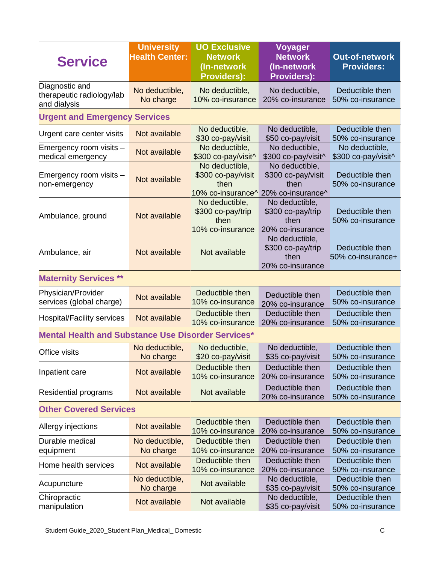| <b>Service</b>                                              | <b>University</b><br><b>Health Center:</b> | <b>UO Exclusive</b><br><b>Network</b><br>(In-network<br><b>Providers):</b>    | <b>Voyager</b><br><b>Network</b><br>(In-network<br><b>Providers):</b> | <b>Out-of-network</b><br><b>Providers:</b> |  |
|-------------------------------------------------------------|--------------------------------------------|-------------------------------------------------------------------------------|-----------------------------------------------------------------------|--------------------------------------------|--|
| Diagnostic and<br>therapeutic radiology/lab<br>and dialysis | No deductible,<br>No charge                | No deductible,<br>10% co-insurance                                            | No deductible,<br>20% co-insurance                                    | Deductible then<br>50% co-insurance        |  |
| <b>Urgent and Emergency Services</b>                        |                                            |                                                                               |                                                                       |                                            |  |
| Urgent care center visits                                   | Not available                              | No deductible,<br>\$30 co-pay/visit                                           | No deductible,<br>\$50 co-pay/visit                                   | Deductible then<br>50% co-insurance        |  |
| Emergency room visits -<br>medical emergency                | Not available                              | No deductible,<br>\$300 co-pay/visit^                                         | No deductible,<br>\$300 co-pay/visit^                                 | No deductible,<br>\$300 co-pay/visit^      |  |
| Emergency room visits -<br>non-emergency                    | Not available                              | No deductible,<br>\$300 co-pay/visit<br>then<br>10% co-insurance <sup>^</sup> | No deductible,<br>\$300 co-pay/visit<br>then<br>20% co-insurance^     | Deductible then<br>50% co-insurance        |  |
| Ambulance, ground                                           | Not available                              | No deductible,<br>\$300 co-pay/trip<br>then<br>10% co-insurance               | No deductible,<br>\$300 co-pay/trip<br>then<br>20% co-insurance       | Deductible then<br>50% co-insurance        |  |
| Ambulance, air                                              | Not available                              | Not available                                                                 | No deductible,<br>\$300 co-pay/trip<br>then<br>20% co-insurance       | Deductible then<br>50% co-insurance+       |  |
| <b>Maternity Services **</b>                                |                                            |                                                                               |                                                                       |                                            |  |
| Physician/Provider<br>services (global charge)              | Not available                              | Deductible then<br>10% co-insurance                                           | Deductible then<br>20% co-insurance                                   | Deductible then<br>50% co-insurance        |  |
| Hospital/Facility services                                  | Not available                              | Deductible then<br>10% co-insurance                                           | Deductible then<br>20% co-insurance                                   | Deductible then<br>50% co-insurance        |  |
| <b>Mental Health and Substance Use Disorder Services*</b>   |                                            |                                                                               |                                                                       |                                            |  |
| <b>Office visits</b>                                        | No deductible,<br>No charge                | No deductible,<br>\$20 co-pay/visit                                           | No deductible,<br>\$35 co-pay/visit                                   | Deductible then<br>50% co-insurance        |  |
| Inpatient care                                              | Not available                              | Deductible then<br>10% co-insurance                                           | Deductible then<br>20% co-insurance                                   | Deductible then<br>50% co-insurance        |  |
| <b>Residential programs</b>                                 | Not available                              | Not available                                                                 | Deductible then<br>20% co-insurance                                   | Deductible then<br>50% co-insurance        |  |
| <b>Other Covered Services</b>                               |                                            |                                                                               |                                                                       |                                            |  |
| Allergy injections                                          | Not available                              | Deductible then<br>10% co-insurance                                           | Deductible then<br>20% co-insurance                                   | Deductible then<br>50% co-insurance        |  |
| Durable medical<br>equipment                                | No deductible,<br>No charge                | Deductible then<br>10% co-insurance                                           | Deductible then<br>20% co-insurance                                   | Deductible then<br>50% co-insurance        |  |
| Home health services                                        | Not available                              | Deductible then<br>10% co-insurance                                           | Deductible then<br>20% co-insurance                                   | Deductible then<br>50% co-insurance        |  |
| Acupuncture                                                 | No deductible,<br>No charge                | Not available                                                                 | No deductible,<br>\$35 co-pay/visit                                   | Deductible then<br>50% co-insurance        |  |
| Chiropractic<br>manipulation                                | Not available                              | Not available                                                                 | No deductible,<br>\$35 co-pay/visit                                   | Deductible then<br>50% co-insurance        |  |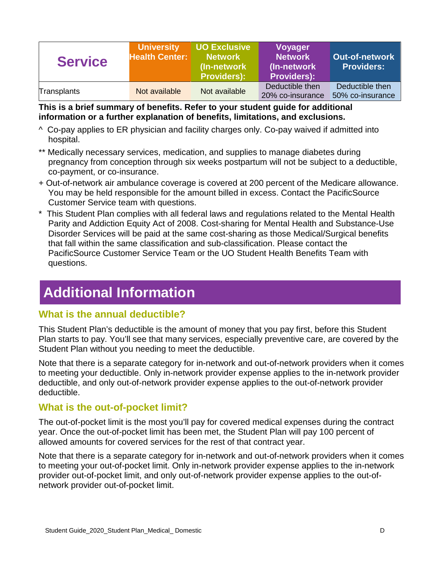| <b>Service</b> | <b>University</b><br><b>Health Center:</b> | <b>UO Exclusive</b><br><b>Network</b><br>(In-network)<br><b>Providers):</b> | <b>Voyager</b><br><b>Network</b><br>(In-network)<br><b>Providers):</b> | <b>Out-of-network</b><br><b>Providers:</b> |
|----------------|--------------------------------------------|-----------------------------------------------------------------------------|------------------------------------------------------------------------|--------------------------------------------|
| Transplants    | Not available                              | Not available                                                               | Deductible then<br>20% co-insurance                                    | Deductible then<br>50% co-insurance        |

**This is a brief summary of benefits. Refer to your student guide for additional information or a further explanation of benefits, limitations, and exclusions.** 

- ^ Co-pay applies to ER physician and facility charges only. Co-pay waived if admitted into hospital.
- \*\* Medically necessary services, medication, and supplies to manage diabetes during pregnancy from conception through six weeks postpartum will not be subject to a deductible, co-payment, or co-insurance.
- + Out-of-network air ambulance coverage is covered at 200 percent of the Medicare allowance. You may be held responsible for the amount billed in excess. Contact the PacificSource Customer Service team with questions.
- \* This Student Plan complies with all federal laws and regulations related to the Mental Health Parity and Addiction Equity Act of 2008. Cost-sharing for Mental Health and Substance-Use Disorder Services will be paid at the same cost-sharing as those Medical/Surgical benefits that fall within the same classification and sub-classification. Please contact the PacificSource Customer Service Team or the UO Student Health Benefits Team with questions.

# **Additional Information**

## **What is the annual deductible?**

This Student Plan's deductible is the amount of money that you pay first, before this Student Plan starts to pay. You'll see that many services, especially preventive care, are covered by the Student Plan without you needing to meet the deductible.

Note that there is a separate category for in-network and out-of-network providers when it comes to meeting your deductible. Only in-network provider expense applies to the in-network provider deductible, and only out-of-network provider expense applies to the out-of-network provider deductible.

## **What is the out-of-pocket limit?**

The out-of-pocket limit is the most you'll pay for covered medical expenses during the contract year. Once the out-of-pocket limit has been met, the Student Plan will pay 100 percent of allowed amounts for covered services for the rest of that contract year.

Note that there is a separate category for in-network and out-of-network providers when it comes to meeting your out-of-pocket limit. Only in-network provider expense applies to the in-network provider out-of-pocket limit, and only out-of-network provider expense applies to the out-ofnetwork provider out-of-pocket limit.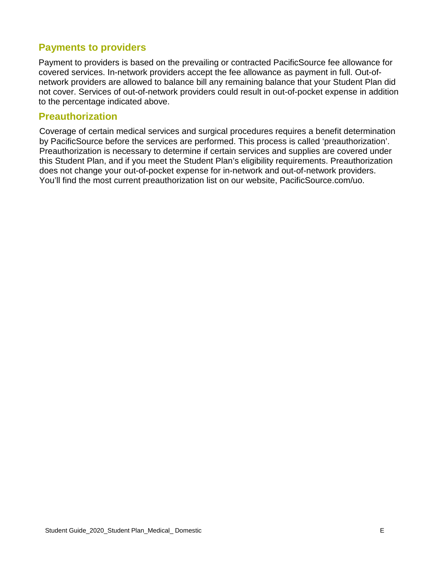## **Payments to providers**

Payment to providers is based on the prevailing or contracted PacificSource fee allowance for covered services. In-network providers accept the fee allowance as payment in full. Out-ofnetwork providers are allowed to balance bill any remaining balance that your Student Plan did not cover. Services of out-of-network providers could result in out-of-pocket expense in addition to the percentage indicated above.

## **Preauthorization**

Coverage of certain medical services and surgical procedures requires a benefit determination by PacificSource before the services are performed. This process is called 'preauthorization'. Preauthorization is necessary to determine if certain services and supplies are covered under this Student Plan, and if you meet the Student Plan's eligibility requirements. Preauthorization does not change your out-of-pocket expense for in-network and out-of-network providers. You'll find the most current preauthorization list on our website, PacificSource.com/uo.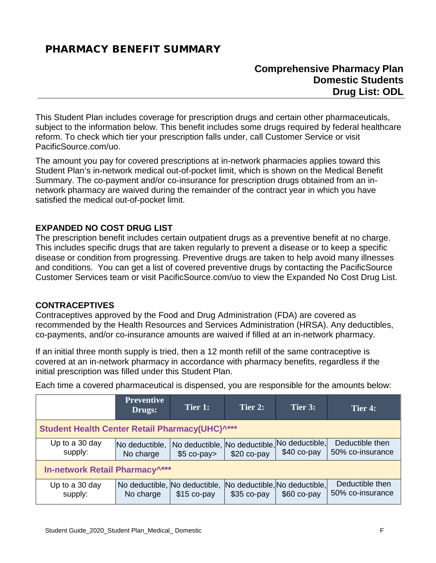## <span id="page-9-0"></span>PHARMACY BENEFIT SUMMARY

## **Comprehensive Pharmacy Plan Domestic Students Drug List: ODL**

This Student Plan includes coverage for prescription drugs and certain other pharmaceuticals, subject to the information below. This benefit includes some drugs required by federal healthcare reform. To check which tier your prescription falls under, call Customer Service or visit PacificSource.com/uo.

The amount you pay for covered prescriptions at in-network pharmacies applies toward this Student Plan's in-network medical out-of-pocket limit, which is shown on the Medical Benefit Summary. The co-payment and/or co-insurance for prescription drugs obtained from an innetwork pharmacy are waived during the remainder of the contract year in which you have satisfied the medical out-of-pocket limit.

#### **EXPANDED NO COST DRUG LIST**

The prescription benefit includes certain outpatient drugs as a preventive benefit at no charge. This includes specific drugs that are taken regularly to prevent a disease or to keep a specific disease or condition from progressing. Preventive drugs are taken to help avoid many illnesses and conditions. You can get a list of covered preventive drugs by contacting the PacificSource Customer Services team or visit PacificSource.com/uo to view the Expanded No Cost Drug List.

#### **CONTRACEPTIVES**

Contraceptives approved by the Food and Drug Administration (FDA) are covered as recommended by the Health Resources and Services Administration (HRSA). Any deductibles, co-payments, and/or co-insurance amounts are waived if filled at an in-network pharmacy.

If an initial three month supply is tried, then a 12 month refill of the same contraceptive is covered at an in-network pharmacy in accordance with pharmacy benefits, regardless if the initial prescription was filled under this Student Plan.

Each time a covered pharmaceutical is dispensed, you are responsible for the amounts below:

|                                                                   | <b>Preventive</b><br>Drugs:                | Tier 1:      | Tier 2:                                       | Tier 3:                        | Tier 4:                             |
|-------------------------------------------------------------------|--------------------------------------------|--------------|-----------------------------------------------|--------------------------------|-------------------------------------|
| <b>Student Health Center Retail Pharmacy(UHC)</b> <sup>****</sup> |                                            |              |                                               |                                |                                     |
| Up to a 30 day<br>supply:                                         | No deductible,<br>No charge                | $$5$ co-pay> | No deductible, No deductible,<br>$$20 co-pay$ | No deductible,<br>$$40$ co-pay | Deductible then<br>50% co-insurance |
| In-network Retail Pharmacy <sup>^***</sup>                        |                                            |              |                                               |                                |                                     |
| Up to a 30 day<br>supply:                                         | No deductible, No deductible,<br>No charge | $$15$ co-pay | No deductible, No deductible,<br>$$35$ co-pay | $$60$ co-pay                   | Deductible then<br>50% co-insurance |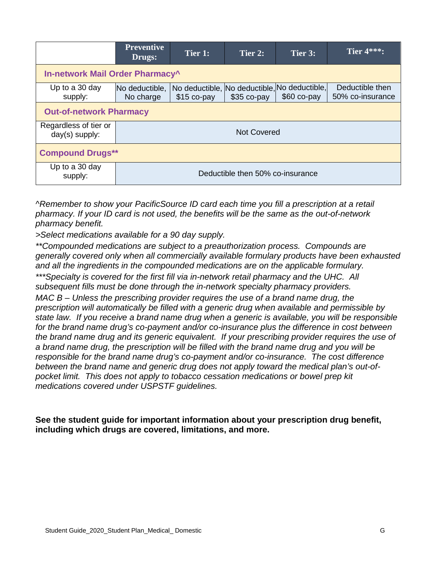|                                                                                                                                                                                                                                  | <b>Preventive</b><br>Drugs:      | Tier 1: | Tier 2: | Tier 3: | Tier $4***$ : |
|----------------------------------------------------------------------------------------------------------------------------------------------------------------------------------------------------------------------------------|----------------------------------|---------|---------|---------|---------------|
| In-network Mail Order Pharmacy^                                                                                                                                                                                                  |                                  |         |         |         |               |
| No deductible, No deductible, No deductible,<br>Deductible then<br>Up to a 30 day<br>No deductible,<br>$$60$ co-pay<br>supply:<br>\$35 co-pay<br>50% co-insurance<br>No charge<br>$$15$ co-pay<br><b>Out-of-network Pharmacy</b> |                                  |         |         |         |               |
| Regardless of tier or<br>day(s) supply:                                                                                                                                                                                          | <b>Not Covered</b>               |         |         |         |               |
| <b>Compound Drugs**</b>                                                                                                                                                                                                          |                                  |         |         |         |               |
| Up to a 30 day<br>supply:                                                                                                                                                                                                        | Deductible then 50% co-insurance |         |         |         |               |

*^Remember to show your PacificSource ID card each time you fill a prescription at a retail pharmacy. If your ID card is not used, the benefits will be the same as the out-of-network pharmacy benefit.*

*>Select medications available for a 90 day supply.*

*\*\*Compounded medications are subject to a preauthorization process. Compounds are generally covered only when all commercially available formulary products have been exhausted and all the ingredients in the compounded medications are on the applicable formulary. \*\*\*Specialty is covered for the first fill via in-network retail pharmacy and the UHC. All subsequent fills must be done through the in-network specialty pharmacy providers. MAC B – Unless the prescribing provider requires the use of a brand name drug, the prescription will automatically be filled with a generic drug when available and permissible by state law. If you receive a brand name drug when a generic is available, you will be responsible for the brand name drug's co-payment and/or co-insurance plus the difference in cost between the brand name drug and its generic equivalent. If your prescribing provider requires the use of a brand name drug, the prescription will be filled with the brand name drug and you will be responsible for the brand name drug's co-payment and/or co-insurance. The cost difference between the brand name and generic drug does not apply toward the medical plan's out-ofpocket limit. This does not apply to tobacco cessation medications or bowel prep kit medications covered under USPSTF guidelines.* 

**See the student guide for important information about your prescription drug benefit, including which drugs are covered, limitations, and more.**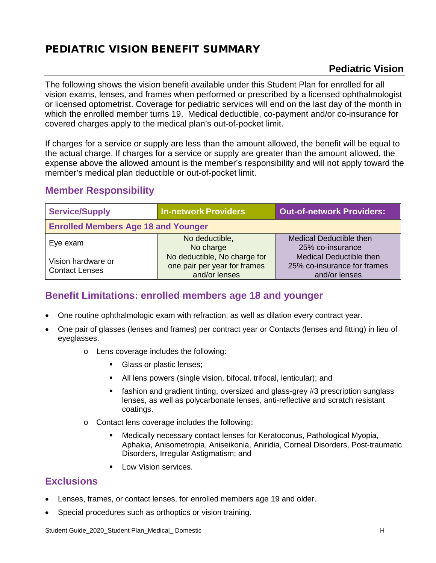# <span id="page-11-0"></span>PEDIATRIC VISION BENEFIT SUMMARY

## **Pediatric Vision**

frames

The following shows the vision benefit available under this Student Plan for enrolled for all vision exams, lenses, and frames when performed or prescribed by a licensed ophthalmologist or licensed optometrist. Coverage for pediatric services will end on the last day of the month in which the enrolled member turns 19. Medical deductible, co-payment and/or co-insurance for covered charges apply to the medical plan's out-of-pocket limit.

If charges for a service or supply are less than the amount allowed, the benefit will be equal to the actual charge. If charges for a service or supply are greater than the amount allowed, the expense above the allowed amount is the member's responsibility and will not apply toward the member's medical plan deductible or out-of-pocket limit.

| <b>Service/Supply</b>                       | <b>In-network Providers</b>                                                   | <b>Out-of-network Providers:</b>                                              |
|---------------------------------------------|-------------------------------------------------------------------------------|-------------------------------------------------------------------------------|
| <b>Enrolled Members Age 18 and Younger</b>  |                                                                               |                                                                               |
| Eye exam                                    | No deductible,<br>No charge                                                   | <b>Medical Deductible then</b><br>25% co-insurance                            |
| Vision hardware or<br><b>Contact Lenses</b> | No deductible, No charge for<br>one pair per year for frames<br>and/or lenses | <b>Medical Deductible then</b><br>25% co-insurance for frame<br>and/or lenses |

## **Member Responsibility**

## **Benefit Limitations: enrolled members age 18 and younger**

- One routine ophthalmologic exam with refraction, as well as dilation every contract year.
- One pair of glasses (lenses and frames) per contract year or Contacts (lenses and fitting) in lieu of eyeglasses.
	- o Lens coverage includes the following:
		- Glass or plastic lenses;
		- All lens powers (single vision, bifocal, trifocal, lenticular); and
		- fashion and gradient tinting, oversized and glass-grey #3 prescription sunglass lenses, as well as polycarbonate lenses, anti-reflective and scratch resistant coatings.
	- o Contact lens coverage includes the following:
		- Medically necessary contact lenses for Keratoconus, Pathological Myopia, Aphakia, Anisometropia, Aniseikonia, Aniridia, Corneal Disorders, Post-traumatic Disorders, Irregular Astigmatism; and
		- **Low Vision services.**

## **Exclusions**

- Lenses, frames, or contact lenses, for enrolled members age 19 and older.
- Special procedures such as orthoptics or vision training.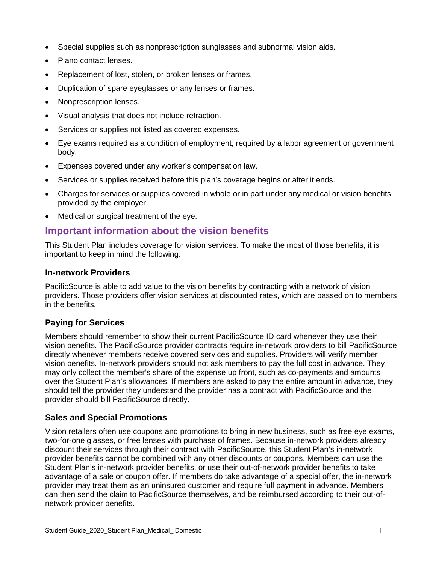- Special supplies such as nonprescription sunglasses and subnormal vision aids.
- Plano contact lenses.
- Replacement of lost, stolen, or broken lenses or frames.
- Duplication of spare eyeglasses or any lenses or frames.
- Nonprescription lenses.
- Visual analysis that does not include refraction.
- Services or supplies not listed as covered expenses.
- Eye exams required as a condition of employment, required by a labor agreement or government body.
- Expenses covered under any worker's compensation law.
- Services or supplies received before this plan's coverage begins or after it ends.
- Charges for services or supplies covered in whole or in part under any medical or vision benefits provided by the employer.
- Medical or surgical treatment of the eye.

## **Important information about the vision benefits**

This Student Plan includes coverage for vision services. To make the most of those benefits, it is important to keep in mind the following:

#### **In-network Providers**

PacificSource is able to add value to the vision benefits by contracting with a network of vision providers. Those providers offer vision services at discounted rates, which are passed on to members in the benefits.

#### **Paying for Services**

Members should remember to show their current PacificSource ID card whenever they use their vision benefits. The PacificSource provider contracts require in-network providers to bill PacificSource directly whenever members receive covered services and supplies. Providers will verify member vision benefits. In-network providers should not ask members to pay the full cost in advance. They may only collect the member's share of the expense up front, such as co-payments and amounts over the Student Plan's allowances. If members are asked to pay the entire amount in advance, they should tell the provider they understand the provider has a contract with PacificSource and the provider should bill PacificSource directly.

#### **Sales and Special Promotions**

Vision retailers often use coupons and promotions to bring in new business, such as free eye exams, two-for-one glasses, or free lenses with purchase of frames. Because in-network providers already discount their services through their contract with PacificSource, this Student Plan's in-network provider benefits cannot be combined with any other discounts or coupons. Members can use the Student Plan's in-network provider benefits, or use their out-of-network provider benefits to take advantage of a sale or coupon offer. If members do take advantage of a special offer, the in-network provider may treat them as an uninsured customer and require full payment in advance. Members can then send the claim to PacificSource themselves, and be reimbursed according to their out-ofnetwork provider benefits.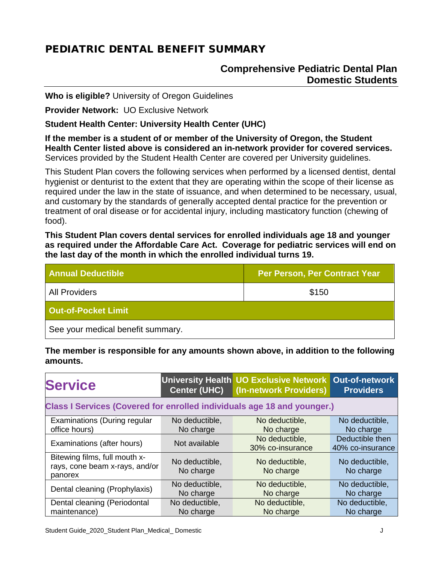# <span id="page-13-0"></span>PEDIATRIC DENTAL BENEFIT SUMMARY

## **Comprehensive Pediatric Dental Plan Domestic Students**

**Who is eligible?** University of Oregon Guidelines

**Provider Network:** UO Exclusive Network

**Student Health Center: University Health Center (UHC)** 

**If the member is a student of or member of the University of Oregon, the Student Health Center listed above is considered an in-network provider for covered services.**  Services provided by the Student Health Center are covered per University guidelines.

This Student Plan covers the following services when performed by a licensed dentist, dental hygienist or denturist to the extent that they are operating within the scope of their license as required under the law in the state of issuance, and when determined to be necessary, usual, and customary by the standards of generally accepted dental practice for the prevention or treatment of oral disease or for accidental injury, including masticatory function (chewing of food).

**This Student Plan covers dental services for enrolled individuals age 18 and younger as required under the Affordable Care Act. Coverage for pediatric services will end on the last day of the month in which the enrolled individual turns 19.**

| <b>Annual Deductible</b>          | <b>Per Person, Per Contract Year</b> |  |  |  |
|-----------------------------------|--------------------------------------|--|--|--|
| <b>All Providers</b>              | \$150                                |  |  |  |
| <b>Out-of-Pocket Limit</b>        |                                      |  |  |  |
| See your medical benefit summary. |                                      |  |  |  |

**The member is responsible for any amounts shown above, in addition to the following amounts.**

| <b>Service</b>                                                                 | <b>Center (UHC)</b> | University Health UO Exclusive Network Out-of-network<br>(In-network Providers) | <b>Providers</b> |  |
|--------------------------------------------------------------------------------|---------------------|---------------------------------------------------------------------------------|------------------|--|
| <b>Class I Services (Covered for enrolled individuals age 18 and younger.)</b> |                     |                                                                                 |                  |  |
| Examinations (During regular                                                   | No deductible,      | No deductible,                                                                  | No deductible,   |  |
| office hours)                                                                  | No charge           | No charge                                                                       | No charge        |  |
| Examinations (after hours)                                                     | Not available       | No deductible,                                                                  | Deductible then  |  |
|                                                                                |                     | 30% co-insurance                                                                | 40% co-insurance |  |
| Bitewing films, full mouth x-                                                  | No deductible,      | No deductible,                                                                  | No deductible,   |  |
| rays, cone beam x-rays, and/or                                                 | No charge           | No charge                                                                       | No charge        |  |
| panorex                                                                        |                     |                                                                                 |                  |  |
| Dental cleaning (Prophylaxis)                                                  | No deductible,      | No deductible,                                                                  | No deductible,   |  |
|                                                                                | No charge           | No charge                                                                       | No charge        |  |
| Dental cleaning (Periodontal                                                   | No deductible,      | No deductible,                                                                  | No deductible,   |  |
| maintenance)                                                                   | No charge           | No charge                                                                       | No charge        |  |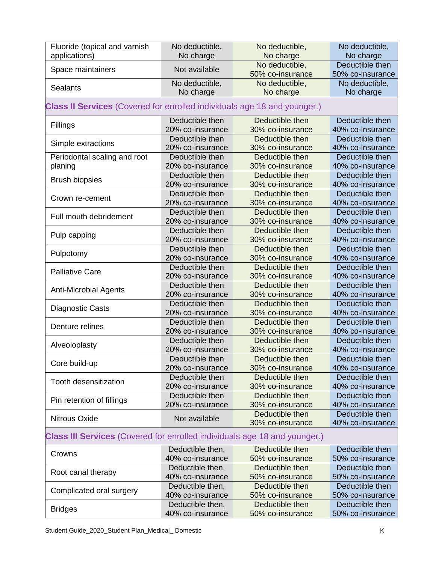| Fluoride (topical and varnish                                                    | No deductible,   | No deductible,   | No deductible,   |
|----------------------------------------------------------------------------------|------------------|------------------|------------------|
| applications)                                                                    | No charge        | No charge        | No charge        |
|                                                                                  | Not available    | No deductible,   | Deductible then  |
| Space maintainers                                                                |                  | 50% co-insurance | 50% co-insurance |
|                                                                                  | No deductible,   | No deductible,   | No deductible,   |
| <b>Sealants</b>                                                                  | No charge        | No charge        | No charge        |
| <b>Class II Services</b> (Covered for enrolled individuals age 18 and younger.)  |                  |                  |                  |
| Fillings                                                                         | Deductible then  | Deductible then  | Deductible then  |
|                                                                                  | 20% co-insurance | 30% co-insurance | 40% co-insurance |
| Simple extractions                                                               | Deductible then  | Deductible then  | Deductible then  |
|                                                                                  | 20% co-insurance | 30% co-insurance | 40% co-insurance |
| Periodontal scaling and root                                                     | Deductible then  | Deductible then  | Deductible then  |
| planing                                                                          | 20% co-insurance | 30% co-insurance | 40% co-insurance |
| <b>Brush biopsies</b>                                                            | Deductible then  | Deductible then  | Deductible then  |
|                                                                                  | 20% co-insurance | 30% co-insurance | 40% co-insurance |
|                                                                                  | Deductible then  | Deductible then  | Deductible then  |
| Crown re-cement                                                                  | 20% co-insurance | 30% co-insurance | 40% co-insurance |
|                                                                                  | Deductible then  | Deductible then  | Deductible then  |
| Full mouth debridement                                                           | 20% co-insurance | 30% co-insurance | 40% co-insurance |
|                                                                                  | Deductible then  | Deductible then  | Deductible then  |
| Pulp capping                                                                     | 20% co-insurance | 30% co-insurance | 40% co-insurance |
|                                                                                  | Deductible then  | Deductible then  | Deductible then  |
| Pulpotomy                                                                        | 20% co-insurance | 30% co-insurance | 40% co-insurance |
|                                                                                  | Deductible then  | Deductible then  | Deductible then  |
| <b>Palliative Care</b>                                                           | 20% co-insurance | 30% co-insurance | 40% co-insurance |
|                                                                                  | Deductible then  | Deductible then  | Deductible then  |
| <b>Anti-Microbial Agents</b>                                                     | 20% co-insurance | 30% co-insurance | 40% co-insurance |
|                                                                                  | Deductible then  | Deductible then  | Deductible then  |
| <b>Diagnostic Casts</b>                                                          | 20% co-insurance | 30% co-insurance | 40% co-insurance |
|                                                                                  | Deductible then  | Deductible then  | Deductible then  |
| Denture relines                                                                  | 20% co-insurance | 30% co-insurance | 40% co-insurance |
|                                                                                  | Deductible then  | Deductible then  | Deductible then  |
| Alveoloplasty                                                                    | 20% co-insurance | 30% co-insurance | 40% co-insurance |
|                                                                                  | Deductible then  | Deductible then  | Deductible then  |
| Core build-up                                                                    | 20% co-insurance | 30% co-insurance | 40% co-insurance |
|                                                                                  | Deductible then  | Deductible then  | Deductible then  |
| Tooth desensitization                                                            | 20% co-insurance | 30% co-insurance | 40% co-insurance |
|                                                                                  | Deductible then  | Deductible then  | Deductible then  |
| Pin retention of fillings                                                        | 20% co-insurance | 30% co-insurance | 40% co-insurance |
|                                                                                  |                  | Deductible then  | Deductible then  |
| Nitrous Oxide                                                                    | Not available    | 30% co-insurance | 40% co-insurance |
| <b>Class III Services</b> (Covered for enrolled individuals age 18 and younger.) |                  |                  |                  |
| Crowns                                                                           | Deductible then, | Deductible then  | Deductible then  |
|                                                                                  | 40% co-insurance | 50% co-insurance | 50% co-insurance |
|                                                                                  | Deductible then, | Deductible then  | Deductible then  |
| Root canal therapy                                                               | 40% co-insurance | 50% co-insurance | 50% co-insurance |
|                                                                                  | Deductible then, | Deductible then  | Deductible then  |
| Complicated oral surgery                                                         | 40% co-insurance | 50% co-insurance | 50% co-insurance |
|                                                                                  | Deductible then, | Deductible then  | Deductible then  |
| <b>Bridges</b>                                                                   | 40% co-insurance | 50% co-insurance | 50% co-insurance |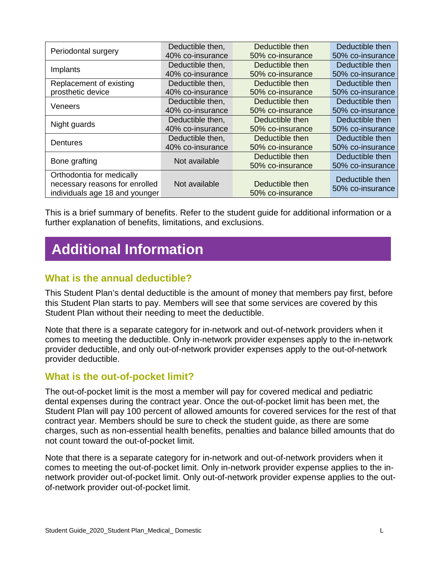| Periodontal surgery            | Deductible then, | Deductible then  | Deductible then  |
|--------------------------------|------------------|------------------|------------------|
|                                | 40% co-insurance | 50% co-insurance | 50% co-insurance |
|                                | Deductible then, | Deductible then  | Deductible then  |
| Implants                       | 40% co-insurance | 50% co-insurance | 50% co-insurance |
| Replacement of existing        | Deductible then, | Deductible then  | Deductible then  |
| prosthetic device              | 40% co-insurance | 50% co-insurance | 50% co-insurance |
|                                | Deductible then, | Deductible then  | Deductible then  |
| Veneers                        | 40% co-insurance | 50% co-insurance | 50% co-insurance |
|                                | Deductible then, | Deductible then  | Deductible then  |
| Night guards                   | 40% co-insurance | 50% co-insurance | 50% co-insurance |
| <b>Dentures</b>                | Deductible then, | Deductible then  | Deductible then  |
|                                | 40% co-insurance | 50% co-insurance | 50% co-insurance |
| Bone grafting                  | Not available    | Deductible then  | Deductible then  |
|                                |                  | 50% co-insurance | 50% co-insurance |
| Orthodontia for medically      |                  |                  | Deductible then  |
| necessary reasons for enrolled | Not available    | Deductible then  | 50% co-insurance |
| individuals age 18 and younger |                  | 50% co-insurance |                  |

This is a brief summary of benefits. Refer to the student guide for additional information or a further explanation of benefits, limitations, and exclusions.

# **Additional Information**

## **What is the annual deductible?**

This Student Plan's dental deductible is the amount of money that members pay first, before this Student Plan starts to pay. Members will see that some services are covered by this Student Plan without their needing to meet the deductible.

Note that there is a separate category for in-network and out-of-network providers when it comes to meeting the deductible. Only in-network provider expenses apply to the in-network provider deductible, and only out-of-network provider expenses apply to the out-of-network provider deductible.

#### **What is the out-of-pocket limit?**

The out-of-pocket limit is the most a member will pay for covered medical and pediatric dental expenses during the contract year. Once the out-of-pocket limit has been met, the Student Plan will pay 100 percent of allowed amounts for covered services for the rest of that contract year. Members should be sure to check the student guide, as there are some charges, such as non-essential health benefits, penalties and balance billed amounts that do not count toward the out-of-pocket limit.

Note that there is a separate category for in-network and out-of-network providers when it comes to meeting the out-of-pocket limit. Only in-network provider expense applies to the innetwork provider out-of-pocket limit. Only out-of-network provider expense applies to the outof-network provider out-of-pocket limit.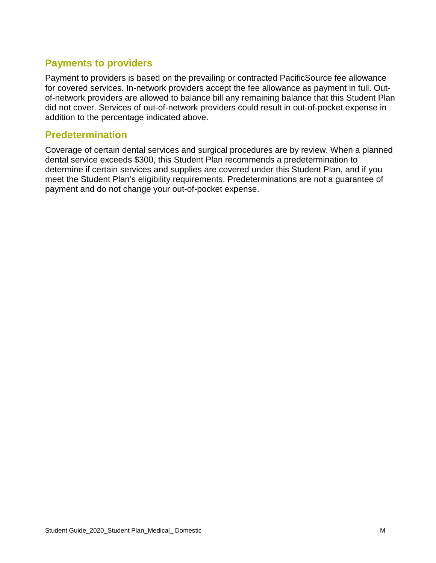## **Payments to providers**

Payment to providers is based on the prevailing or contracted PacificSource fee allowance for covered services. In-network providers accept the fee allowance as payment in full. Outof-network providers are allowed to balance bill any remaining balance that this Student Plan did not cover. Services of out-of-network providers could result in out-of-pocket expense in addition to the percentage indicated above.

## **Predetermination**

Coverage of certain dental services and surgical procedures are by review. When a planned dental service exceeds \$300, this Student Plan recommends a predetermination to determine if certain services and supplies are covered under this Student Plan, and if you meet the Student Plan's eligibility requirements. Predeterminations are not a guarantee of payment and do not change your out-of-pocket expense.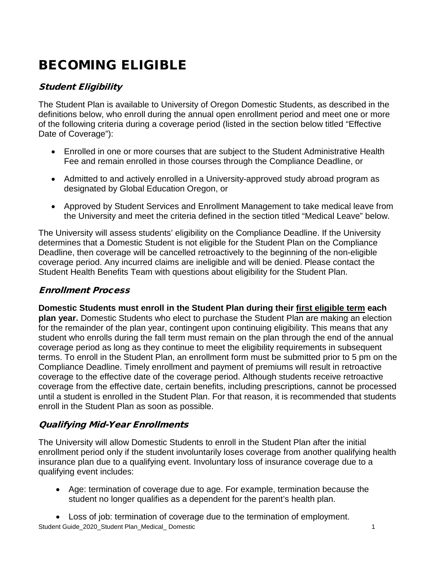# <span id="page-17-0"></span>BECOMING ELIGIBLE

## Student Eligibility

The Student Plan is available to University of Oregon Domestic Students, as described in the definitions below, who enroll during the annual open enrollment period and meet one or more of the following criteria during a coverage period (listed in the section below titled "Effective Date of Coverage"):

- Enrolled in one or more courses that are subject to the Student Administrative Health Fee and remain enrolled in those courses through the Compliance Deadline, or
- Admitted to and actively enrolled in a University-approved study abroad program as designated by Global Education Oregon, or
- Approved by Student Services and Enrollment Management to take medical leave from the University and meet the criteria defined in the section titled "Medical Leave" below.

The University will assess students' eligibility on the Compliance Deadline. If the University determines that a Domestic Student is not eligible for the Student Plan on the Compliance Deadline, then coverage will be cancelled retroactively to the beginning of the non-eligible coverage period. Any incurred claims are ineligible and will be denied. Please contact the Student Health Benefits Team with questions about eligibility for the Student Plan.

## Enrollment Process

**Domestic Students must enroll in the Student Plan during their first eligible term each plan year.** Domestic Students who elect to purchase the Student Plan are making an election for the remainder of the plan year, contingent upon continuing eligibility. This means that any student who enrolls during the fall term must remain on the plan through the end of the annual coverage period as long as they continue to meet the eligibility requirements in subsequent terms. To enroll in the Student Plan, an enrollment form must be submitted prior to 5 pm on the Compliance Deadline. Timely enrollment and payment of premiums will result in retroactive coverage to the effective date of the coverage period. Although students receive retroactive coverage from the effective date, certain benefits, including prescriptions, cannot be processed until a student is enrolled in the Student Plan. For that reason, it is recommended that students enroll in the Student Plan as soon as possible.

#### Qualifying Mid-Year Enrollments

The University will allow Domestic Students to enroll in the Student Plan after the initial enrollment period only if the student involuntarily loses coverage from another qualifying health insurance plan due to a qualifying event. Involuntary loss of insurance coverage due to a qualifying event includes:

• Age: termination of coverage due to age. For example, termination because the student no longer qualifies as a dependent for the parent's health plan.

Student Guide\_2020\_Student Plan\_Medical\_ Domestic 1 • Loss of job: termination of coverage due to the termination of employment.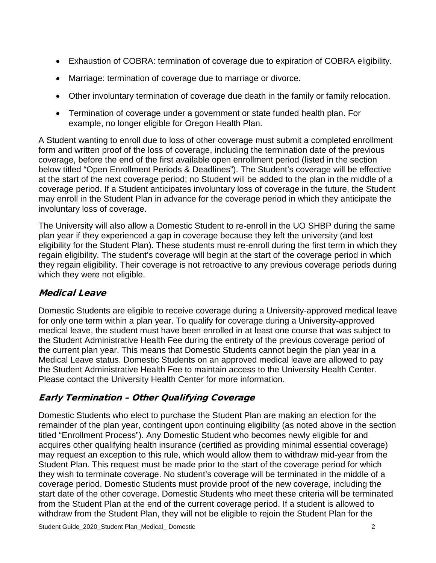- Exhaustion of COBRA: termination of coverage due to expiration of COBRA eligibility.
- Marriage: termination of coverage due to marriage or divorce.
- Other involuntary termination of coverage due death in the family or family relocation.
- Termination of coverage under a government or state funded health plan. For example, no longer eligible for Oregon Health Plan.

A Student wanting to enroll due to loss of other coverage must submit a completed enrollment form and written proof of the loss of coverage, including the termination date of the previous coverage, before the end of the first available open enrollment period (listed in the section below titled "Open Enrollment Periods & Deadlines"). The Student's coverage will be effective at the start of the next coverage period; no Student will be added to the plan in the middle of a coverage period. If a Student anticipates involuntary loss of coverage in the future, the Student may enroll in the Student Plan in advance for the coverage period in which they anticipate the involuntary loss of coverage.

The University will also allow a Domestic Student to re-enroll in the UO SHBP during the same plan year if they experienced a gap in coverage because they left the university (and lost eligibility for the Student Plan). These students must re-enroll during the first term in which they regain eligibility. The student's coverage will begin at the start of the coverage period in which they regain eligibility. Their coverage is not retroactive to any previous coverage periods during which they were not eligible.

## Medical Leave

Domestic Students are eligible to receive coverage during a University-approved medical leave for only one term within a plan year. To qualify for coverage during a University-approved medical leave, the student must have been enrolled in at least one course that was subject to the Student Administrative Health Fee during the entirety of the previous coverage period of the current plan year. This means that Domestic Students cannot begin the plan year in a Medical Leave status. Domestic Students on an approved medical leave are allowed to pay the Student Administrative Health Fee to maintain access to the University Health Center. Please contact the University Health Center for more information.

## Early Termination – Other Qualifying Coverage

Domestic Students who elect to purchase the Student Plan are making an election for the remainder of the plan year, contingent upon continuing eligibility (as noted above in the section titled "Enrollment Process"). Any Domestic Student who becomes newly eligible for and acquires other qualifying health insurance (certified as providing minimal essential coverage) may request an exception to this rule, which would allow them to withdraw mid-year from the Student Plan. This request must be made prior to the start of the coverage period for which they wish to terminate coverage. No student's coverage will be terminated in the middle of a coverage period. Domestic Students must provide proof of the new coverage, including the start date of the other coverage. Domestic Students who meet these criteria will be terminated from the Student Plan at the end of the current coverage period. If a student is allowed to withdraw from the Student Plan, they will not be eligible to rejoin the Student Plan for the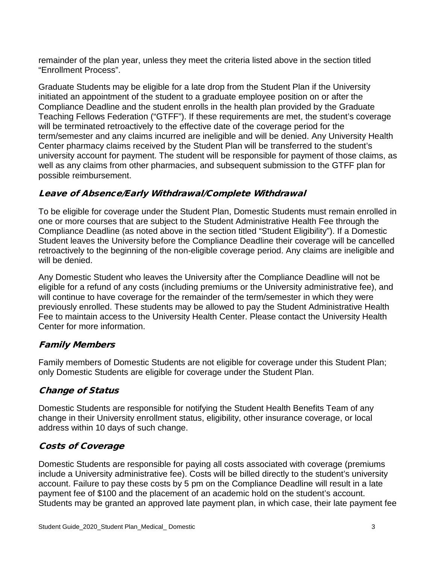remainder of the plan year, unless they meet the criteria listed above in the section titled "Enrollment Process".

Graduate Students may be eligible for a late drop from the Student Plan if the University initiated an appointment of the student to a graduate employee position on or after the Compliance Deadline and the student enrolls in the health plan provided by the Graduate Teaching Fellows Federation ("GTFF"). If these requirements are met, the student's coverage will be terminated retroactively to the effective date of the coverage period for the term/semester and any claims incurred are ineligible and will be denied. Any University Health Center pharmacy claims received by the Student Plan will be transferred to the student's university account for payment. The student will be responsible for payment of those claims, as well as any claims from other pharmacies, and subsequent submission to the GTFF plan for possible reimbursement.

#### Leave of Absence/Early Withdrawal/Complete Withdrawal

To be eligible for coverage under the Student Plan, Domestic Students must remain enrolled in one or more courses that are subject to the Student Administrative Health Fee through the Compliance Deadline (as noted above in the section titled "Student Eligibility"). If a Domestic Student leaves the University before the Compliance Deadline their coverage will be cancelled retroactively to the beginning of the non-eligible coverage period. Any claims are ineligible and will be denied.

Any Domestic Student who leaves the University after the Compliance Deadline will not be eligible for a refund of any costs (including premiums or the University administrative fee), and will continue to have coverage for the remainder of the term/semester in which they were previously enrolled. These students may be allowed to pay the Student Administrative Health Fee to maintain access to the University Health Center. Please contact the University Health Center for more information.

#### Family Members

Family members of Domestic Students are not eligible for coverage under this Student Plan; only Domestic Students are eligible for coverage under the Student Plan.

## Change of Status

Domestic Students are responsible for notifying the Student Health Benefits Team of any change in their University enrollment status, eligibility, other insurance coverage, or local address within 10 days of such change.

#### Costs of Coverage

Domestic Students are responsible for paying all costs associated with coverage (premiums include a University administrative fee). Costs will be billed directly to the student's university account. Failure to pay these costs by 5 pm on the Compliance Deadline will result in a late payment fee of \$100 and the placement of an academic hold on the student's account. Students may be granted an approved late payment plan, in which case, their late payment fee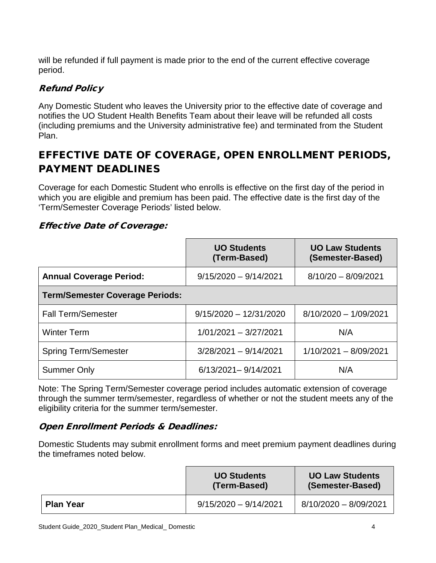will be refunded if full payment is made prior to the end of the current effective coverage period.

### Refund Policy

Any Domestic Student who leaves the University prior to the effective date of coverage and notifies the UO Student Health Benefits Team about their leave will be refunded all costs (including premiums and the University administrative fee) and terminated from the Student Plan.

# <span id="page-20-0"></span>EFFECTIVE DATE OF COVERAGE, OPEN ENROLLMENT PERIODS, PAYMENT DEADLINES

Coverage for each Domestic Student who enrolls is effective on the first day of the period in which you are eligible and premium has been paid. The effective date is the first day of the 'Term/Semester Coverage Periods' listed below.

#### Effective Date of Coverage:

|                                        | <b>UO Students</b><br>(Term-Based) | <b>UO Law Students</b><br>(Semester-Based) |
|----------------------------------------|------------------------------------|--------------------------------------------|
| <b>Annual Coverage Period:</b>         | $9/15/2020 - 9/14/2021$            | $8/10/20 - 8/09/2021$                      |
| <b>Term/Semester Coverage Periods:</b> |                                    |                                            |
| <b>Fall Term/Semester</b>              | $9/15/2020 - 12/31/2020$           | $8/10/2020 - 1/09/2021$                    |
| <b>Winter Term</b>                     | $1/01/2021 - 3/27/2021$            | N/A                                        |
| <b>Spring Term/Semester</b>            | $3/28/2021 - 9/14/2021$            | $1/10/2021 - 8/09/2021$                    |
| <b>Summer Only</b>                     | 6/13/2021-9/14/2021                | N/A                                        |

Note: The Spring Term/Semester coverage period includes automatic extension of coverage through the summer term/semester, regardless of whether or not the student meets any of the eligibility criteria for the summer term/semester.

#### Open Enrollment Periods & Deadlines:

Domestic Students may submit enrollment forms and meet premium payment deadlines during the timeframes noted below.

|                  | <b>UO Students</b><br>(Term-Based) | <b>UO Law Students</b><br>(Semester-Based) |
|------------------|------------------------------------|--------------------------------------------|
| <b>Plan Year</b> | $9/15/2020 - 9/14/2021$            | 8/10/2020 - 8/09/2021                      |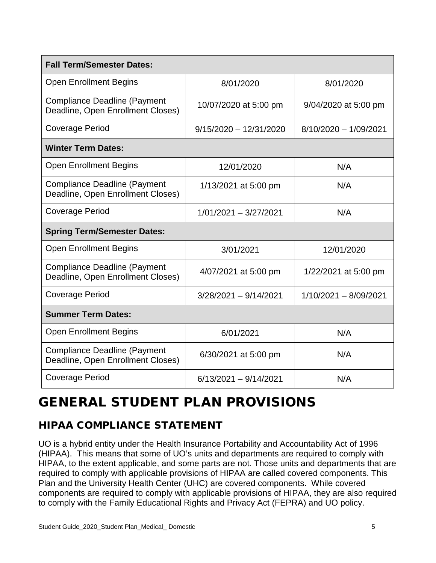| <b>Fall Term/Semester Dates:</b>                                         |                          |                         |  |
|--------------------------------------------------------------------------|--------------------------|-------------------------|--|
| <b>Open Enrollment Begins</b>                                            | 8/01/2020                | 8/01/2020               |  |
| <b>Compliance Deadline (Payment</b><br>Deadline, Open Enrollment Closes) | 10/07/2020 at 5:00 pm    | 9/04/2020 at 5:00 pm    |  |
| <b>Coverage Period</b>                                                   | $9/15/2020 - 12/31/2020$ | $8/10/2020 - 1/09/2021$ |  |
| <b>Winter Term Dates:</b>                                                |                          |                         |  |
| <b>Open Enrollment Begins</b>                                            | 12/01/2020               | N/A                     |  |
| <b>Compliance Deadline (Payment</b><br>Deadline, Open Enrollment Closes) | 1/13/2021 at 5:00 pm     | N/A                     |  |
| <b>Coverage Period</b>                                                   | 1/01/2021 - 3/27/2021    | N/A                     |  |
| <b>Spring Term/Semester Dates:</b>                                       |                          |                         |  |
| <b>Open Enrollment Begins</b>                                            | 3/01/2021                | 12/01/2020              |  |
| <b>Compliance Deadline (Payment</b><br>Deadline, Open Enrollment Closes) | 4/07/2021 at 5:00 pm     | 1/22/2021 at 5:00 pm    |  |
| <b>Coverage Period</b>                                                   | $3/28/2021 - 9/14/2021$  | $1/10/2021 - 8/09/2021$ |  |
| <b>Summer Term Dates:</b>                                                |                          |                         |  |
| <b>Open Enrollment Begins</b>                                            | 6/01/2021                | N/A                     |  |
| <b>Compliance Deadline (Payment</b><br>Deadline, Open Enrollment Closes) | 6/30/2021 at 5:00 pm     | N/A                     |  |
| <b>Coverage Period</b>                                                   | $6/13/2021 - 9/14/2021$  | N/A                     |  |

# <span id="page-21-0"></span>GENERAL STUDENT PLAN PROVISIONS

# <span id="page-21-1"></span>HIPAA COMPLIANCE STATEMENT

UO is a hybrid entity under the Health Insurance Portability and Accountability Act of 1996 (HIPAA). This means that some of UO's units and departments are required to comply with HIPAA, to the extent applicable, and some parts are not. Those units and departments that are required to comply with applicable provisions of HIPAA are called covered components. This Plan and the University Health Center (UHC) are covered components. While covered components are required to comply with applicable provisions of HIPAA, they are also required to comply with the Family Educational Rights and Privacy Act (FEPRA) and UO policy.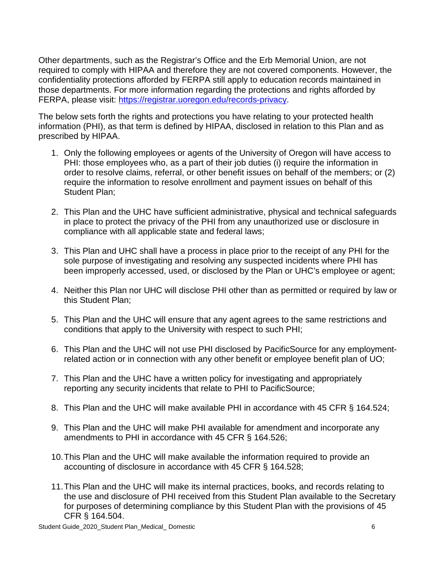Other departments, such as the Registrar's Office and the Erb Memorial Union, are not required to comply with HIPAA and therefore they are not covered components. However, the confidentiality protections afforded by FERPA still apply to education records maintained in those departments. For more information regarding the protections and rights afforded by FERPA, please visit: [https://registrar.uoregon.edu/records-privacy.](https://registrar.uoregon.edu/records-privacy)

The below sets forth the rights and protections you have relating to your protected health information (PHI), as that term is defined by HIPAA, disclosed in relation to this Plan and as prescribed by HIPAA.

- 1. Only the following employees or agents of the University of Oregon will have access to PHI: those employees who, as a part of their job duties (i) require the information in order to resolve claims, referral, or other benefit issues on behalf of the members; or (2) require the information to resolve enrollment and payment issues on behalf of this Student Plan;
- 2. This Plan and the UHC have sufficient administrative, physical and technical safeguards in place to protect the privacy of the PHI from any unauthorized use or disclosure in compliance with all applicable state and federal laws;
- 3. This Plan and UHC shall have a process in place prior to the receipt of any PHI for the sole purpose of investigating and resolving any suspected incidents where PHI has been improperly accessed, used, or disclosed by the Plan or UHC's employee or agent;
- 4. Neither this Plan nor UHC will disclose PHI other than as permitted or required by law or this Student Plan;
- 5. This Plan and the UHC will ensure that any agent agrees to the same restrictions and conditions that apply to the University with respect to such PHI;
- 6. This Plan and the UHC will not use PHI disclosed by PacificSource for any employmentrelated action or in connection with any other benefit or employee benefit plan of UO;
- 7. This Plan and the UHC have a written policy for investigating and appropriately reporting any security incidents that relate to PHI to PacificSource;
- 8. This Plan and the UHC will make available PHI in accordance with 45 CFR § 164.524;
- 9. This Plan and the UHC will make PHI available for amendment and incorporate any amendments to PHI in accordance with 45 CFR § 164.526;
- 10.This Plan and the UHC will make available the information required to provide an accounting of disclosure in accordance with 45 CFR § 164.528;
- 11.This Plan and the UHC will make its internal practices, books, and records relating to the use and disclosure of PHI received from this Student Plan available to the Secretary for purposes of determining compliance by this Student Plan with the provisions of 45 CFR § 164.504.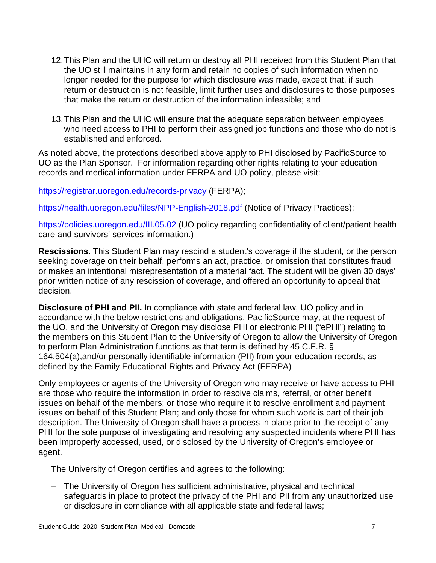- 12.This Plan and the UHC will return or destroy all PHI received from this Student Plan that the UO still maintains in any form and retain no copies of such information when no longer needed for the purpose for which disclosure was made, except that, if such return or destruction is not feasible, limit further uses and disclosures to those purposes that make the return or destruction of the information infeasible; and
- 13.This Plan and the UHC will ensure that the adequate separation between employees who need access to PHI to perform their assigned job functions and those who do not is established and enforced.

As noted above, the protections described above apply to PHI disclosed by PacificSource to UO as the Plan Sponsor. For information regarding other rights relating to your education records and medical information under FERPA and UO policy, please visit:

<https://registrar.uoregon.edu/records-privacy> (FERPA);

https://health.uoregon.edu/files/NPP-English-2018.pdf (Notice of Privacy Practices);

<https://policies.uoregon.edu/III.05.02> (UO policy regarding confidentiality of client/patient health care and survivors' services information.)

**Rescissions.** This Student Plan may rescind a student's coverage if the student, or the person seeking coverage on their behalf, performs an act, practice, or omission that constitutes fraud or makes an intentional misrepresentation of a material fact. The student will be given 30 days' prior written notice of any rescission of coverage, and offered an opportunity to appeal that decision.

**Disclosure of PHI and PII.** In compliance with state and federal law, UO policy and in accordance with the below restrictions and obligations, PacificSource may, at the request of the UO, and the University of Oregon may disclose PHI or electronic PHI ("ePHI") relating to the members on this Student Plan to the University of Oregon to allow the University of Oregon to perform Plan Administration functions as that term is defined by 45 C.F.R. § 164.504(a),and/or personally identifiable information (PII) from your education records, as defined by the Family Educational Rights and Privacy Act (FERPA)

Only employees or agents of the University of Oregon who may receive or have access to PHI are those who require the information in order to resolve claims, referral, or other benefit issues on behalf of the members; or those who require it to resolve enrollment and payment issues on behalf of this Student Plan; and only those for whom such work is part of their job description. The University of Oregon shall have a process in place prior to the receipt of any PHI for the sole purpose of investigating and resolving any suspected incidents where PHI has been improperly accessed, used, or disclosed by the University of Oregon's employee or agent.

The University of Oregon certifies and agrees to the following:

The University of Oregon has sufficient administrative, physical and technical safeguards in place to protect the privacy of the PHI and PII from any unauthorized use or disclosure in compliance with all applicable state and federal laws;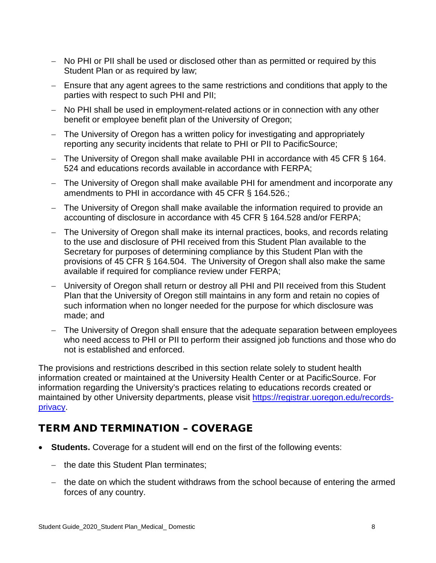- − No PHI or PII shall be used or disclosed other than as permitted or required by this Student Plan or as required by law;
- − Ensure that any agent agrees to the same restrictions and conditions that apply to the parties with respect to such PHI and PII;
- − No PHI shall be used in employment-related actions or in connection with any other benefit or employee benefit plan of the University of Oregon;
- − The University of Oregon has a written policy for investigating and appropriately reporting any security incidents that relate to PHI or PII to PacificSource;
- − The University of Oregon shall make available PHI in accordance with 45 CFR § 164. 524 and educations records available in accordance with FERPA;
- − The University of Oregon shall make available PHI for amendment and incorporate any amendments to PHI in accordance with 45 CFR § 164.526.;
- − The University of Oregon shall make available the information required to provide an accounting of disclosure in accordance with 45 CFR § 164.528 and/or FERPA;
- − The University of Oregon shall make its internal practices, books, and records relating to the use and disclosure of PHI received from this Student Plan available to the Secretary for purposes of determining compliance by this Student Plan with the provisions of 45 CFR § 164.504. The University of Oregon shall also make the same available if required for compliance review under FERPA;
- − University of Oregon shall return or destroy all PHI and PII received from this Student Plan that the University of Oregon still maintains in any form and retain no copies of such information when no longer needed for the purpose for which disclosure was made; and
- − The University of Oregon shall ensure that the adequate separation between employees who need access to PHI or PII to perform their assigned job functions and those who do not is established and enforced.

The provisions and restrictions described in this section relate solely to student health information created or maintained at the University Health Center or at PacificSource. For information regarding the University's practices relating to educations records created or maintained by other University departments, please visit [https://registrar.uoregon.edu/records](https://registrar.uoregon.edu/records-privacy)[privacy.](https://registrar.uoregon.edu/records-privacy)

# <span id="page-24-0"></span>TERM AND TERMINATION – COVERAGE

- **Students.** Coverage for a student will end on the first of the following events:
	- − the date this Student Plan terminates;
	- − the date on which the student withdraws from the school because of entering the armed forces of any country.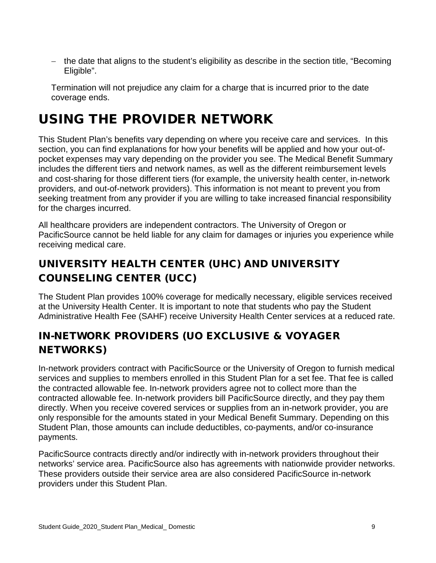− the date that aligns to the student's eligibility as describe in the section title, "Becoming Eligible".

Termination will not prejudice any claim for a charge that is incurred prior to the date coverage ends.

# <span id="page-25-0"></span>USING THE PROVIDER NETWORK

This Student Plan's benefits vary depending on where you receive care and services. In this section, you can find explanations for how your benefits will be applied and how your out-ofpocket expenses may vary depending on the provider you see. The Medical Benefit Summary includes the different tiers and network names, as well as the different reimbursement levels and cost-sharing for those different tiers (for example, the university health center, in-network providers, and out-of-network providers). This information is not meant to prevent you from seeking treatment from any provider if you are willing to take increased financial responsibility for the charges incurred.

All healthcare providers are independent contractors. The University of Oregon or PacificSource cannot be held liable for any claim for damages or injuries you experience while receiving medical care.

# <span id="page-25-1"></span>UNIVERSITY HEALTH CENTER (UHC) AND UNIVERSITY COUNSELING CENTER (UCC)

The Student Plan provides 100% coverage for medically necessary, eligible services received at the University Health Center. It is important to note that students who pay the Student Administrative Health Fee (SAHF) receive University Health Center services at a reduced rate.

# <span id="page-25-2"></span>IN-NETWORK PROVIDERS (UO EXCLUSIVE & VOYAGER NETWORKS)

In-network providers contract with PacificSource or the University of Oregon to furnish medical services and supplies to members enrolled in this Student Plan for a set fee. That fee is called the contracted allowable fee. In-network providers agree not to collect more than the contracted allowable fee. In-network providers bill PacificSource directly, and they pay them directly. When you receive covered services or supplies from an in-network provider, you are only responsible for the amounts stated in your Medical Benefit Summary. Depending on this Student Plan, those amounts can include deductibles, co-payments, and/or co-insurance payments.

PacificSource contracts directly and/or indirectly with in-network providers throughout their networks' service area. PacificSource also has agreements with nationwide provider networks. These providers outside their service area are also considered PacificSource in-network providers under this Student Plan.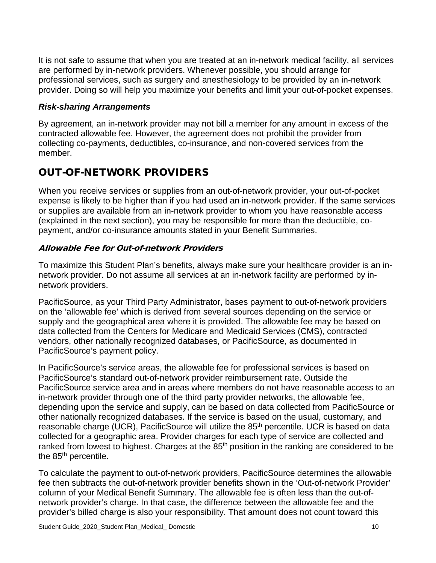It is not safe to assume that when you are treated at an in-network medical facility, all services are performed by in-network providers. Whenever possible, you should arrange for professional services, such as surgery and anesthesiology to be provided by an in-network provider. Doing so will help you maximize your benefits and limit your out-of-pocket expenses.

#### *Risk-sharing Arrangements*

By agreement, an in-network provider may not bill a member for any amount in excess of the contracted allowable fee. However, the agreement does not prohibit the provider from collecting co-payments, deductibles, co-insurance, and non-covered services from the member.

## <span id="page-26-0"></span>OUT-OF-NETWORK PROVIDERS

When you receive services or supplies from an out-of-network provider, your out-of-pocket expense is likely to be higher than if you had used an in-network provider. If the same services or supplies are available from an in-network provider to whom you have reasonable access (explained in the next section), you may be responsible for more than the deductible, copayment, and/or co-insurance amounts stated in your Benefit Summaries.

#### Allowable Fee for Out-of-network Providers

To maximize this Student Plan's benefits, always make sure your healthcare provider is an innetwork provider. Do not assume all services at an in-network facility are performed by innetwork providers.

PacificSource, as your Third Party Administrator, bases payment to out-of-network providers on the 'allowable fee' which is derived from several sources depending on the service or supply and the geographical area where it is provided. The allowable fee may be based on data collected from the Centers for Medicare and Medicaid Services (CMS), contracted vendors, other nationally recognized databases, or PacificSource, as documented in PacificSource's payment policy.

In PacificSource's service areas, the allowable fee for professional services is based on PacificSource's standard out-of-network provider reimbursement rate. Outside the PacificSource service area and in areas where members do not have reasonable access to an in-network provider through one of the third party provider networks, the allowable fee, depending upon the service and supply, can be based on data collected from PacificSource or other nationally recognized databases. If the service is based on the usual, customary, and reasonable charge (UCR), PacificSource will utilize the 85<sup>th</sup> percentile. UCR is based on data collected for a geographic area. Provider charges for each type of service are collected and ranked from lowest to highest. Charges at the 85<sup>th</sup> position in the ranking are considered to be the 85<sup>th</sup> percentile.

To calculate the payment to out-of-network providers, PacificSource determines the allowable fee then subtracts the out-of-network provider benefits shown in the 'Out-of-network Provider' column of your Medical Benefit Summary. The allowable fee is often less than the out-ofnetwork provider's charge. In that case, the difference between the allowable fee and the provider's billed charge is also your responsibility. That amount does not count toward this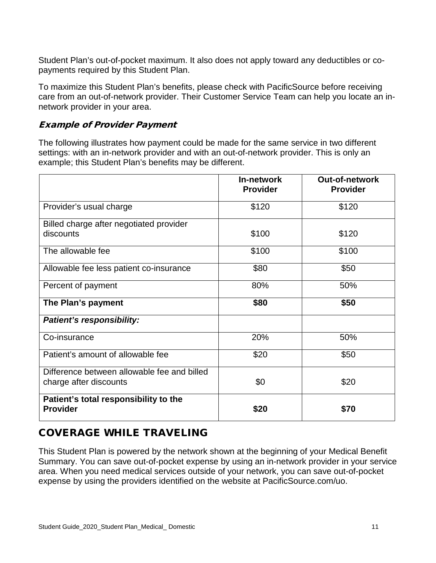Student Plan's out-of-pocket maximum. It also does not apply toward any deductibles or copayments required by this Student Plan.

To maximize this Student Plan's benefits, please check with PacificSource before receiving care from an out-of-network provider. Their Customer Service Team can help you locate an innetwork provider in your area.

#### Example of Provider Payment

The following illustrates how payment could be made for the same service in two different settings: with an in-network provider and with an out-of-network provider. This is only an example; this Student Plan's benefits may be different.

|                                                                       | In-network<br><b>Provider</b> | <b>Out-of-network</b><br><b>Provider</b> |
|-----------------------------------------------------------------------|-------------------------------|------------------------------------------|
| Provider's usual charge                                               | \$120                         | \$120                                    |
| Billed charge after negotiated provider<br>discounts                  | \$100                         | \$120                                    |
| The allowable fee                                                     | \$100                         | \$100                                    |
| Allowable fee less patient co-insurance                               | \$80                          | \$50                                     |
| Percent of payment                                                    | 80%                           | 50%                                      |
| The Plan's payment                                                    | \$80                          | \$50                                     |
| <b>Patient's responsibility:</b>                                      |                               |                                          |
| Co-insurance                                                          | 20%                           | 50%                                      |
| Patient's amount of allowable fee                                     | \$20                          | \$50                                     |
| Difference between allowable fee and billed<br>charge after discounts | \$0                           | \$20                                     |
| Patient's total responsibility to the<br><b>Provider</b>              | \$20                          | \$70                                     |

## <span id="page-27-0"></span>COVERAGE WHILE TRAVELING

This Student Plan is powered by the network shown at the beginning of your Medical Benefit Summary. You can save out-of-pocket expense by using an in-network provider in your service area. When you need medical services outside of your network, you can save out-of-pocket expense by using the providers identified on the website at PacificSource.com/uo.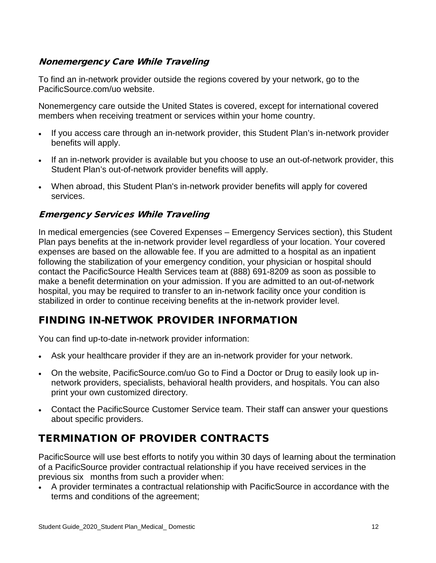#### Nonemergency Care While Traveling

To find an in-network provider outside the regions covered by your network, go to the PacificSource.com/uo website.

Nonemergency care outside the United States is covered, except for international covered members when receiving treatment or services within your home country.

- If you access care through an in-network provider, this Student Plan's in-network provider benefits will apply.
- If an in-network provider is available but you choose to use an out-of-network provider, this Student Plan's out-of-network provider benefits will apply.
- When abroad, this Student Plan's in-network provider benefits will apply for covered services.

#### Emergency Services While Traveling

In medical emergencies (see Covered Expenses – Emergency Services section), this Student Plan pays benefits at the in-network provider level regardless of your location. Your covered expenses are based on the allowable fee. If you are admitted to a hospital as an inpatient following the stabilization of your emergency condition, your physician or hospital should contact the PacificSource Health Services team at (888) 691-8209 as soon as possible to make a benefit determination on your admission. If you are admitted to an out-of-network hospital, you may be required to transfer to an in-network facility once your condition is stabilized in order to continue receiving benefits at the in-network provider level.

## <span id="page-28-0"></span>FINDING IN-NETWOK PROVIDER INFORMATION

You can find up-to-date in-network provider information:

- Ask your healthcare provider if they are an in-network provider for your network.
- On the website, PacificSource.com/uo Go to Find a Doctor or Drug to easily look up innetwork providers, specialists, behavioral health providers, and hospitals. You can also print your own customized directory.
- Contact the PacificSource Customer Service team. Their staff can answer your questions about specific providers.

# <span id="page-28-1"></span>TERMINATION OF PROVIDER CONTRACTS

PacificSource will use best efforts to notify you within 30 days of learning about the termination of a PacificSource provider contractual relationship if you have received services in the previous six months from such a provider when:

• A provider terminates a contractual relationship with PacificSource in accordance with the terms and conditions of the agreement;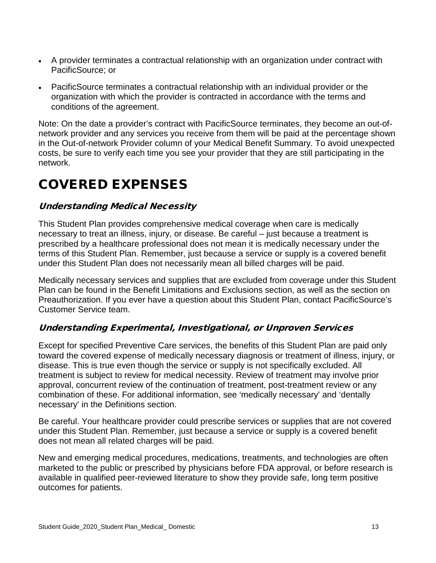- A provider terminates a contractual relationship with an organization under contract with PacificSource; or
- PacificSource terminates a contractual relationship with an individual provider or the organization with which the provider is contracted in accordance with the terms and conditions of the agreement.

Note: On the date a provider's contract with PacificSource terminates, they become an out-ofnetwork provider and any services you receive from them will be paid at the percentage shown in the Out-of-network Provider column of your Medical Benefit Summary. To avoid unexpected costs, be sure to verify each time you see your provider that they are still participating in the network.

# <span id="page-29-0"></span>COVERED EXPENSES

#### Understanding Medical Necessity

This Student Plan provides comprehensive medical coverage when care is medically necessary to treat an illness, injury, or disease. Be careful – just because a treatment is prescribed by a healthcare professional does not mean it is medically necessary under the terms of this Student Plan. Remember, just because a service or supply is a covered benefit under this Student Plan does not necessarily mean all billed charges will be paid.

Medically necessary services and supplies that are excluded from coverage under this Student Plan can be found in the Benefit Limitations and Exclusions section, as well as the section on Preauthorization. If you ever have a question about this Student Plan, contact PacificSource's Customer Service team.

#### Understanding Experimental, Investigational, or Unproven Services

Except for specified Preventive Care services, the benefits of this Student Plan are paid only toward the covered expense of medically necessary diagnosis or treatment of illness, injury, or disease. This is true even though the service or supply is not specifically excluded. All treatment is subject to review for medical necessity. Review of treatment may involve prior approval, concurrent review of the continuation of treatment, post-treatment review or any combination of these. For additional information, see 'medically necessary' and 'dentally necessary' in the Definitions section.

Be careful. Your healthcare provider could prescribe services or supplies that are not covered under this Student Plan. Remember, just because a service or supply is a covered benefit does not mean all related charges will be paid.

New and emerging medical procedures, medications, treatments, and technologies are often marketed to the public or prescribed by physicians before FDA approval, or before research is available in qualified peer-reviewed literature to show they provide safe, long term positive outcomes for patients.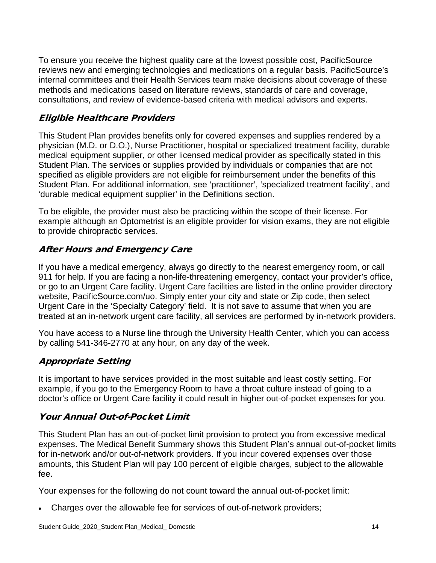To ensure you receive the highest quality care at the lowest possible cost, PacificSource reviews new and emerging technologies and medications on a regular basis. PacificSource's internal committees and their Health Services team make decisions about coverage of these methods and medications based on literature reviews, standards of care and coverage, consultations, and review of evidence-based criteria with medical advisors and experts.

### Eligible Healthcare Providers

This Student Plan provides benefits only for covered expenses and supplies rendered by a physician (M.D. or D.O.), Nurse Practitioner, hospital or specialized treatment facility, durable medical equipment supplier, or other licensed medical provider as specifically stated in this Student Plan. The services or supplies provided by individuals or companies that are not specified as eligible providers are not eligible for reimbursement under the benefits of this Student Plan. For additional information, see 'practitioner', 'specialized treatment facility', and 'durable medical equipment supplier' in the Definitions section.

To be eligible, the provider must also be practicing within the scope of their license. For example although an Optometrist is an eligible provider for vision exams, they are not eligible to provide chiropractic services.

#### After Hours and Emergency Care

If you have a medical emergency, always go directly to the nearest emergency room, or call 911 for help. If you are facing a non-life-threatening emergency, contact your provider's office, or go to an Urgent Care facility. Urgent Care facilities are listed in the online provider directory website, PacificSource.com/uo. Simply enter your city and state or Zip code, then select Urgent Care in the 'Specialty Category' field. It is not save to assume that when you are treated at an in-network urgent care facility, all services are performed by in-network providers.

You have access to a Nurse line through the University Health Center, which you can access by calling 541-346-2770 at any hour, on any day of the week.

#### Appropriate Setting

It is important to have services provided in the most suitable and least costly setting. For example, if you go to the Emergency Room to have a throat culture instead of going to a doctor's office or Urgent Care facility it could result in higher out-of-pocket expenses for you.

#### Your Annual Out-of-Pocket Limit

This Student Plan has an out-of-pocket limit provision to protect you from excessive medical expenses. The Medical Benefit Summary shows this Student Plan's annual out-of-pocket limits for in-network and/or out-of-network providers. If you incur covered expenses over those amounts, this Student Plan will pay 100 percent of eligible charges, subject to the allowable fee.

Your expenses for the following do not count toward the annual out-of-pocket limit:

• Charges over the allowable fee for services of out-of-network providers;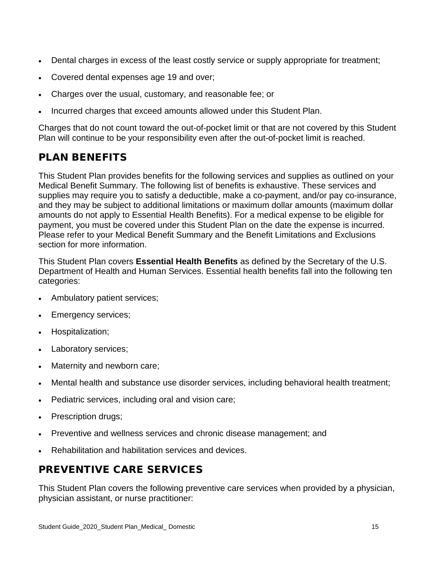- Dental charges in excess of the least costly service or supply appropriate for treatment;
- Covered dental expenses age 19 and over;
- Charges over the usual, customary, and reasonable fee; or
- Incurred charges that exceed amounts allowed under this Student Plan.

Charges that do not count toward the out-of-pocket limit or that are not covered by this Student Plan will continue to be your responsibility even after the out-of-pocket limit is reached.

# <span id="page-31-0"></span>PLAN BENEFITS

This Student Plan provides benefits for the following services and supplies as outlined on your Medical Benefit Summary. The following list of benefits is exhaustive. These services and supplies may require you to satisfy a deductible, make a co-payment, and/or pay co-insurance, and they may be subject to additional limitations or maximum dollar amounts (maximum dollar amounts do not apply to Essential Health Benefits). For a medical expense to be eligible for payment, you must be covered under this Student Plan on the date the expense is incurred. Please refer to your Medical Benefit Summary and the Benefit Limitations and Exclusions section for more information.

This Student Plan covers **Essential Health Benefits** as defined by the Secretary of the U.S. Department of Health and Human Services. Essential health benefits fall into the following ten categories:

- Ambulatory patient services;
- Emergency services;
- Hospitalization;
- Laboratory services;
- Maternity and newborn care;
- Mental health and substance use disorder services, including behavioral health treatment;
- Pediatric services, including oral and vision care;
- Prescription drugs;
- Preventive and wellness services and chronic disease management; and
- Rehabilitation and habilitation services and devices.

# <span id="page-31-1"></span>PREVENTIVE CARE SERVICES

This Student Plan covers the following preventive care services when provided by a physician, physician assistant, or nurse practitioner: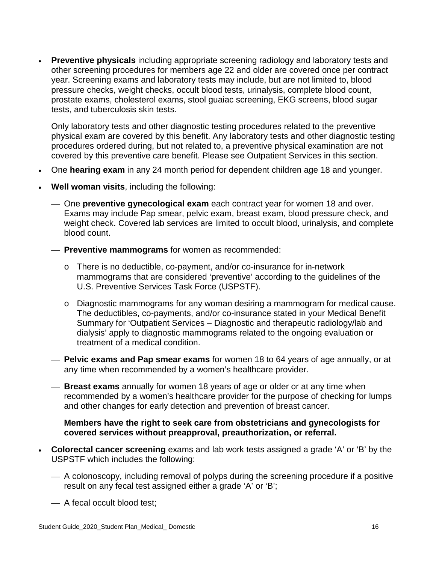**Preventive physicals** including appropriate screening radiology and laboratory tests and other screening procedures for members age 22 and older are covered once per contract year. Screening exams and laboratory tests may include, but are not limited to, blood pressure checks, weight checks, occult blood tests, urinalysis, complete blood count, prostate exams, cholesterol exams, stool guaiac screening, EKG screens, blood sugar tests, and tuberculosis skin tests.

Only laboratory tests and other diagnostic testing procedures related to the preventive physical exam are covered by this benefit. Any laboratory tests and other diagnostic testing procedures ordered during, but not related to, a preventive physical examination are not covered by this preventive care benefit. Please see Outpatient Services in this section.

- One **hearing exam** in any 24 month period for dependent children age 18 and younger.
- **Well woman visits**, including the following:
	- One **preventive gynecological exam** each contract year for women 18 and over. Exams may include Pap smear, pelvic exam, breast exam, blood pressure check, and weight check. Covered lab services are limited to occult blood, urinalysis, and complete blood count.
	- **Preventive mammograms** for women as recommended:
		- o There is no deductible, co-payment, and/or co-insurance for in-network mammograms that are considered 'preventive' according to the guidelines of the U.S. Preventive Services Task Force (USPSTF).
		- o Diagnostic mammograms for any woman desiring a mammogram for medical cause. The deductibles, co-payments, and/or co-insurance stated in your Medical Benefit Summary for 'Outpatient Services – Diagnostic and therapeutic radiology/lab and dialysis' apply to diagnostic mammograms related to the ongoing evaluation or treatment of a medical condition.
	- **Pelvic exams and Pap smear exams** for women 18 to 64 years of age annually, or at any time when recommended by a women's healthcare provider.
	- **Breast exams** annually for women 18 years of age or older or at any time when recommended by a women's healthcare provider for the purpose of checking for lumps and other changes for early detection and prevention of breast cancer.

**Members have the right to seek care from obstetricians and gynecologists for covered services without preapproval, preauthorization, or referral.** 

- **Colorectal cancer screening** exams and lab work tests assigned a grade 'A' or 'B' by the USPSTF which includes the following:
	- $-$  A colonoscopy, including removal of polyps during the screening procedure if a positive result on any fecal test assigned either a grade 'A' or 'B';
	- A fecal occult blood test;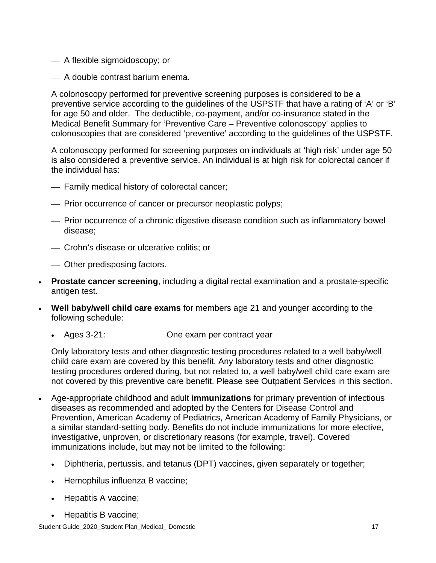- A flexible sigmoidoscopy; or
- A double contrast barium enema.

A colonoscopy performed for preventive screening purposes is considered to be a preventive service according to the guidelines of the USPSTF that have a rating of 'A' or 'B' for age 50 and older. The deductible, co-payment, and/or co-insurance stated in the Medical Benefit Summary for 'Preventive Care – Preventive colonoscopy' applies to colonoscopies that are considered 'preventive' according to the guidelines of the USPSTF.

A colonoscopy performed for screening purposes on individuals at 'high risk' under age 50 is also considered a preventive service. An individual is at high risk for colorectal cancer if the individual has:

- Family medical history of colorectal cancer;
- Prior occurrence of cancer or precursor neoplastic polyps;
- Prior occurrence of a chronic digestive disease condition such as inflammatory bowel disease;
- Crohn's disease or ulcerative colitis; or
- Other predisposing factors.
- **Prostate cancer screening**, including a digital rectal examination and a prostate-specific antigen test.
- **Well baby/well child care exams** for members age 21 and younger according to the following schedule:
	- Ages 3-21: One exam per contract year

Only laboratory tests and other diagnostic testing procedures related to a well baby/well child care exam are covered by this benefit. Any laboratory tests and other diagnostic testing procedures ordered during, but not related to, a well baby/well child care exam are not covered by this preventive care benefit. Please see Outpatient Services in this section.

- Age-appropriate childhood and adult **immunizations** for primary prevention of infectious diseases as recommended and adopted by the Centers for Disease Control and Prevention, American Academy of Pediatrics, American Academy of Family Physicians, or a similar standard-setting body. Benefits do not include immunizations for more elective, investigative, unproven, or discretionary reasons (for example, travel). Covered immunizations include, but may not be limited to the following:
	- Diphtheria, pertussis, and tetanus (DPT) vaccines, given separately or together;
	- Hemophilus influenza B vaccine;
	- Hepatitis A vaccine;
	- Hepatitis B vaccine;

Student Guide\_2020\_Student Plan\_Medical\_Domestic 17 \, 17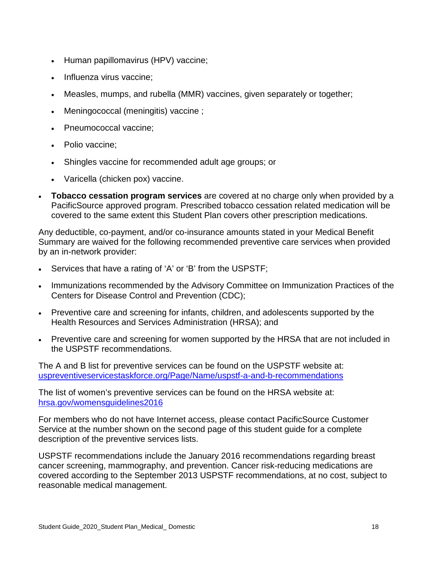- Human papillomavirus (HPV) vaccine;
- Influenza virus vaccine;
- Measles, mumps, and rubella (MMR) vaccines, given separately or together;
- Meningococcal (meningitis) vaccine ;
- Pneumococcal vaccine;
- Polio vaccine:
- Shingles vaccine for recommended adult age groups; or
- Varicella (chicken pox) vaccine.
- **Tobacco cessation program services** are covered at no charge only when provided by a PacificSource approved program. Prescribed tobacco cessation related medication will be covered to the same extent this Student Plan covers other prescription medications.

Any deductible, co-payment, and/or co-insurance amounts stated in your Medical Benefit Summary are waived for the following recommended preventive care services when provided by an in-network provider:

- Services that have a rating of 'A' or 'B' from the USPSTF;
- Immunizations recommended by the Advisory Committee on Immunization Practices of the Centers for Disease Control and Prevention (CDC);
- Preventive care and screening for infants, children, and adolescents supported by the Health Resources and Services Administration (HRSA); and
- Preventive care and screening for women supported by the HRSA that are not included in the USPSTF recommendations.

The A and B list for preventive services can be found on the USPSTF website at: [uspreventiveservicestaskforce.org/Page/Name/uspstf-a-and-b-recommendations](https://www.uspreventiveservicestaskforce.org/Page/Name/uspstf-a-and-b-recommendations/)

The list of women's preventive services can be found on the HRSA website at: [hrsa.gov/womensguidelines2016](https://www.hrsa.gov/womensguidelines2016/)

For members who do not have Internet access, please contact PacificSource Customer Service at the number shown on the second page of this student guide for a complete description of the preventive services lists.

USPSTF recommendations include the January 2016 recommendations regarding breast cancer screening, mammography, and prevention. Cancer risk-reducing medications are covered according to the September 2013 USPSTF recommendations, at no cost, subject to reasonable medical management.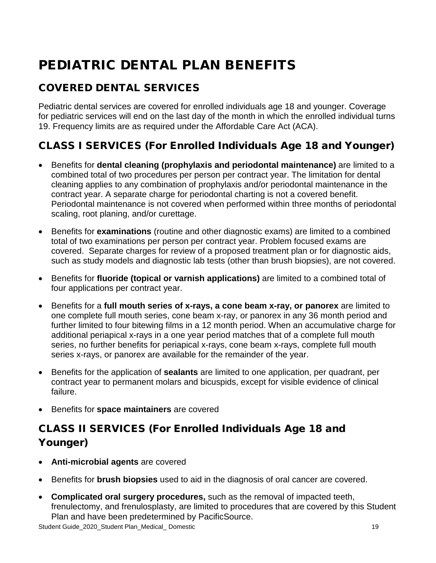# <span id="page-35-0"></span>PEDIATRIC DENTAL PLAN BENEFITS

# <span id="page-35-1"></span>COVERED DENTAL SERVICES

Pediatric dental services are covered for enrolled individuals age 18 and younger. Coverage for pediatric services will end on the last day of the month in which the enrolled individual turns 19. Frequency limits are as required under the Affordable Care Act (ACA).

# CLASS I SERVICES (For Enrolled Individuals Age 18 and Younger)

- Benefits for **dental cleaning (prophylaxis and periodontal maintenance)** are limited to a combined total of two procedures per person per contract year. The limitation for dental cleaning applies to any combination of prophylaxis and/or periodontal maintenance in the contract year. A separate charge for periodontal charting is not a covered benefit. Periodontal maintenance is not covered when performed within three months of periodontal scaling, root planing, and/or curettage.
- Benefits for **examinations** (routine and other diagnostic exams) are limited to a combined total of two examinations per person per contract year. Problem focused exams are covered. Separate charges for review of a proposed treatment plan or for diagnostic aids, such as study models and diagnostic lab tests (other than brush biopsies), are not covered.
- Benefits for **fluoride (topical or varnish applications)** are limited to a combined total of four applications per contract year.
- Benefits for a **full mouth series of x-rays, a cone beam x-ray, or panorex** are limited to one complete full mouth series, cone beam x-ray, or panorex in any 36 month period and further limited to four bitewing films in a 12 month period. When an accumulative charge for additional periapical x-rays in a one year period matches that of a complete full mouth series, no further benefits for periapical x-rays, cone beam x-rays, complete full mouth series x-rays, or panorex are available for the remainder of the year.
- Benefits for the application of **sealants** are limited to one application, per quadrant, per contract year to permanent molars and bicuspids, except for visible evidence of clinical failure.
- Benefits for **space maintainers** are covered

# CLASS II SERVICES (For Enrolled Individuals Age 18 and Younger)

- **Anti-microbial agents** are covered
- Benefits for **brush biopsies** used to aid in the diagnosis of oral cancer are covered.
- **Complicated oral surgery procedures,** such as the removal of impacted teeth, frenulectomy, and frenulosplasty, are limited to procedures that are covered by this Student Plan and have been predetermined by PacificSource.

Student Guide\_2020\_Student Plan\_Medical\_Domestic 19 \\ 19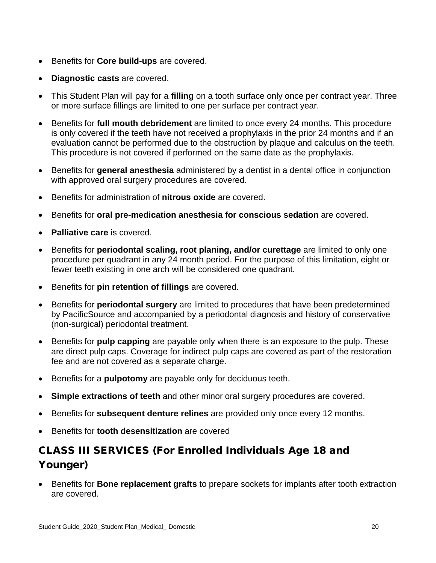- Benefits for **Core build-ups** are covered.
- **Diagnostic casts** are covered.
- This Student Plan will pay for a **filling** on a tooth surface only once per contract year. Three or more surface fillings are limited to one per surface per contract year.
- Benefits for **full mouth debridement** are limited to once every 24 months. This procedure is only covered if the teeth have not received a prophylaxis in the prior 24 months and if an evaluation cannot be performed due to the obstruction by plaque and calculus on the teeth. This procedure is not covered if performed on the same date as the prophylaxis.
- Benefits for **general anesthesia** administered by a dentist in a dental office in conjunction with approved oral surgery procedures are covered.
- Benefits for administration of **nitrous oxide** are covered.
- Benefits for **oral pre-medication anesthesia for conscious sedation** are covered.
- **Palliative care** is covered.
- Benefits for **periodontal scaling, root planing, and/or curettage** are limited to only one procedure per quadrant in any 24 month period. For the purpose of this limitation, eight or fewer teeth existing in one arch will be considered one quadrant.
- Benefits for **pin retention of fillings** are covered.
- Benefits for **periodontal surgery** are limited to procedures that have been predetermined by PacificSource and accompanied by a periodontal diagnosis and history of conservative (non-surgical) periodontal treatment.
- Benefits for **pulp capping** are payable only when there is an exposure to the pulp. These are direct pulp caps. Coverage for indirect pulp caps are covered as part of the restoration fee and are not covered as a separate charge.
- Benefits for a **pulpotomy** are payable only for deciduous teeth.
- **Simple extractions of teeth** and other minor oral surgery procedures are covered.
- Benefits for **subsequent denture relines** are provided only once every 12 months.
- Benefits for **tooth desensitization** are covered

# CLASS III SERVICES (For Enrolled Individuals Age 18 and Younger)

• Benefits for **Bone replacement grafts** to prepare sockets for implants after tooth extraction are covered.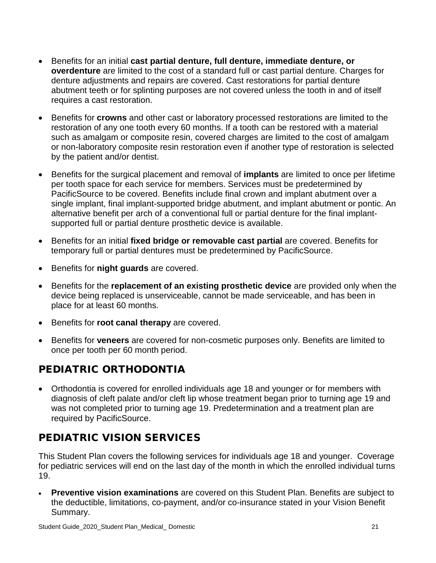- Benefits for an initial **cast partial denture, full denture, immediate denture, or overdenture** are limited to the cost of a standard full or cast partial denture. Charges for denture adjustments and repairs are covered. Cast restorations for partial denture abutment teeth or for splinting purposes are not covered unless the tooth in and of itself requires a cast restoration.
- Benefits for **crowns** and other cast or laboratory processed restorations are limited to the restoration of any one tooth every 60 months. If a tooth can be restored with a material such as amalgam or composite resin, covered charges are limited to the cost of amalgam or non-laboratory composite resin restoration even if another type of restoration is selected by the patient and/or dentist.
- Benefits for the surgical placement and removal of **implants** are limited to once per lifetime per tooth space for each service for members. Services must be predetermined by PacificSource to be covered. Benefits include final crown and implant abutment over a single implant, final implant-supported bridge abutment, and implant abutment or pontic. An alternative benefit per arch of a conventional full or partial denture for the final implantsupported full or partial denture prosthetic device is available.
- Benefits for an initial **fixed bridge or removable cast partial** are covered. Benefits for temporary full or partial dentures must be predetermined by PacificSource.
- Benefits for **night guards** are covered.
- Benefits for the **replacement of an existing prosthetic device** are provided only when the device being replaced is unserviceable, cannot be made serviceable, and has been in place for at least 60 months.
- Benefits for **root canal therapy** are covered.
- Benefits for **veneers** are covered for non-cosmetic purposes only. Benefits are limited to once per tooth per 60 month period.

# PEDIATRIC ORTHODONTIA

• Orthodontia is covered for enrolled individuals age 18 and younger or for members with diagnosis of cleft palate and/or cleft lip whose treatment began prior to turning age 19 and was not completed prior to turning age 19. Predetermination and a treatment plan are required by PacificSource.

# PEDIATRIC VISION SERVICES

This Student Plan covers the following services for individuals age 18 and younger. Coverage for pediatric services will end on the last day of the month in which the enrolled individual turns 19.

• **Preventive vision examinations** are covered on this Student Plan. Benefits are subject to the deductible, limitations, co-payment, and/or co-insurance stated in your Vision Benefit Summary.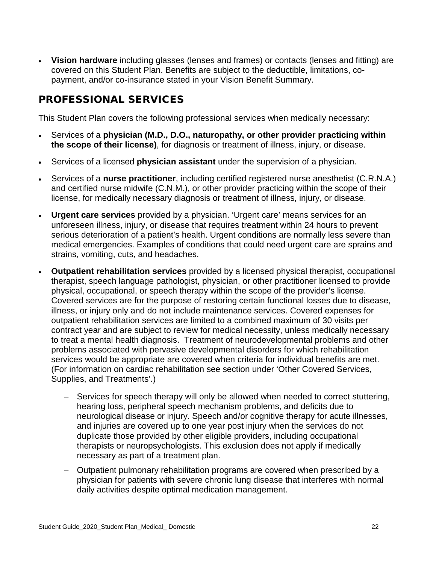• **Vision hardware** including glasses (lenses and frames) or contacts (lenses and fitting) are covered on this Student Plan. Benefits are subject to the deductible, limitations, copayment, and/or co-insurance stated in your Vision Benefit Summary.

## PROFESSIONAL SERVICES

This Student Plan covers the following professional services when medically necessary:

- Services of a **physician (M.D., D.O., naturopathy, or other provider practicing within the scope of their license)**, for diagnosis or treatment of illness, injury, or disease.
- Services of a licensed **physician assistant** under the supervision of a physician.
- Services of a **nurse practitioner**, including certified registered nurse anesthetist (C.R.N.A.) and certified nurse midwife (C.N.M.), or other provider practicing within the scope of their license, for medically necessary diagnosis or treatment of illness, injury, or disease.
- **Urgent care services** provided by a physician. 'Urgent care' means services for an unforeseen illness, injury, or disease that requires treatment within 24 hours to prevent serious deterioration of a patient's health. Urgent conditions are normally less severe than medical emergencies. Examples of conditions that could need urgent care are sprains and strains, vomiting, cuts, and headaches.
- **Outpatient rehabilitation services** provided by a licensed physical therapist, occupational therapist, speech language pathologist, physician, or other practitioner licensed to provide physical, occupational, or speech therapy within the scope of the provider's license. Covered services are for the purpose of restoring certain functional losses due to disease, illness, or injury only and do not include maintenance services. Covered expenses for outpatient rehabilitation services are limited to a combined maximum of 30 visits per contract year and are subject to review for medical necessity, unless medically necessary to treat a mental health diagnosis. Treatment of neurodevelopmental problems and other problems associated with pervasive developmental disorders for which rehabilitation services would be appropriate are covered when criteria for individual benefits are met. (For information on cardiac rehabilitation see section under 'Other Covered Services, Supplies, and Treatments'.)
	- Services for speech therapy will only be allowed when needed to correct stuttering, hearing loss, peripheral speech mechanism problems, and deficits due to neurological disease or injury. Speech and/or cognitive therapy for acute illnesses, and injuries are covered up to one year post injury when the services do not duplicate those provided by other eligible providers, including occupational therapists or neuropsychologists. This exclusion does not apply if medically necessary as part of a treatment plan.
	- − Outpatient pulmonary rehabilitation programs are covered when prescribed by a physician for patients with severe chronic lung disease that interferes with normal daily activities despite optimal medication management.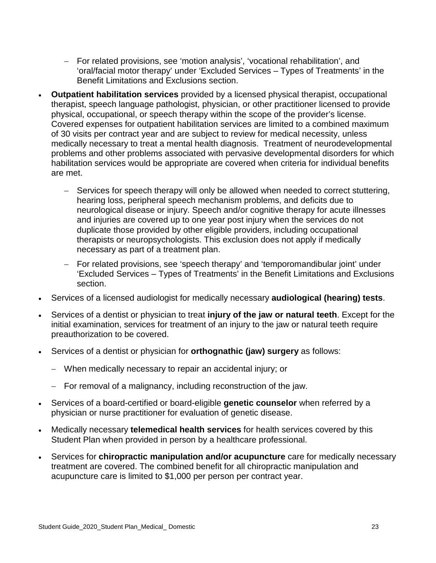- − For related provisions, see 'motion analysis', 'vocational rehabilitation', and 'oral/facial motor therapy' under 'Excluded Services – Types of Treatments' in the Benefit Limitations and Exclusions section.
- **Outpatient habilitation services** provided by a licensed physical therapist, occupational therapist, speech language pathologist, physician, or other practitioner licensed to provide physical, occupational, or speech therapy within the scope of the provider's license. Covered expenses for outpatient habilitation services are limited to a combined maximum of 30 visits per contract year and are subject to review for medical necessity, unless medically necessary to treat a mental health diagnosis. Treatment of neurodevelopmental problems and other problems associated with pervasive developmental disorders for which habilitation services would be appropriate are covered when criteria for individual benefits are met.
	- − Services for speech therapy will only be allowed when needed to correct stuttering, hearing loss, peripheral speech mechanism problems, and deficits due to neurological disease or injury. Speech and/or cognitive therapy for acute illnesses and injuries are covered up to one year post injury when the services do not duplicate those provided by other eligible providers, including occupational therapists or neuropsychologists. This exclusion does not apply if medically necessary as part of a treatment plan.
	- − For related provisions, see 'speech therapy' and 'temporomandibular joint' under 'Excluded Services – Types of Treatments' in the Benefit Limitations and Exclusions section.
- Services of a licensed audiologist for medically necessary **audiological (hearing) tests**.
- Services of a dentist or physician to treat **injury of the jaw or natural teeth**. Except for the initial examination, services for treatment of an injury to the jaw or natural teeth require preauthorization to be covered.
- Services of a dentist or physician for **orthognathic (jaw) surgery** as follows:
	- − When medically necessary to repair an accidental injury; or
	- − For removal of a malignancy, including reconstruction of the jaw.
- Services of a board-certified or board-eligible **genetic counselor** when referred by a physician or nurse practitioner for evaluation of genetic disease.
- Medically necessary **telemedical health services** for health services covered by this Student Plan when provided in person by a healthcare professional.
- Services for **chiropractic manipulation and/or acupuncture** care for medically necessary treatment are covered. The combined benefit for all chiropractic manipulation and acupuncture care is limited to \$1,000 per person per contract year.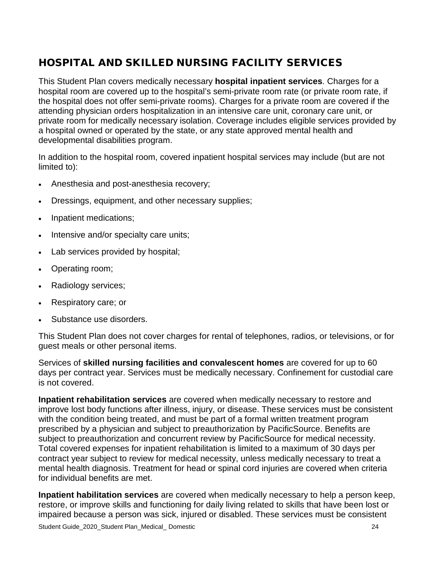# HOSPITAL AND SKILLED NURSING FACILITY SERVICES

This Student Plan covers medically necessary **hospital inpatient services**. Charges for a hospital room are covered up to the hospital's semi-private room rate (or private room rate, if the hospital does not offer semi-private rooms). Charges for a private room are covered if the attending physician orders hospitalization in an intensive care unit, coronary care unit, or private room for medically necessary isolation. Coverage includes eligible services provided by a hospital owned or operated by the state, or any state approved mental health and developmental disabilities program.

In addition to the hospital room, covered inpatient hospital services may include (but are not limited to):

- Anesthesia and post-anesthesia recovery;
- Dressings, equipment, and other necessary supplies;
- Inpatient medications;
- Intensive and/or specialty care units;
- Lab services provided by hospital;
- Operating room;
- Radiology services;
- Respiratory care; or
- Substance use disorders.

This Student Plan does not cover charges for rental of telephones, radios, or televisions, or for guest meals or other personal items.

Services of **skilled nursing facilities and convalescent homes** are covered for up to 60 days per contract year. Services must be medically necessary. Confinement for custodial care is not covered.

**Inpatient rehabilitation services** are covered when medically necessary to restore and improve lost body functions after illness, injury, or disease. These services must be consistent with the condition being treated, and must be part of a formal written treatment program prescribed by a physician and subject to preauthorization by PacificSource. Benefits are subject to preauthorization and concurrent review by PacificSource for medical necessity. Total covered expenses for inpatient rehabilitation is limited to a maximum of 30 days per contract year subject to review for medical necessity, unless medically necessary to treat a mental health diagnosis. Treatment for head or spinal cord injuries are covered when criteria for individual benefits are met.

**Inpatient habilitation services** are covered when medically necessary to help a person keep, restore, or improve skills and functioning for daily living related to skills that have been lost or impaired because a person was sick, injured or disabled. These services must be consistent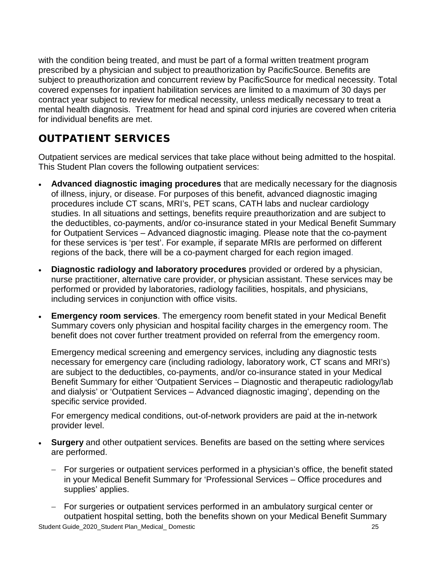with the condition being treated, and must be part of a formal written treatment program prescribed by a physician and subject to preauthorization by PacificSource. Benefits are subject to preauthorization and concurrent review by PacificSource for medical necessity. Total covered expenses for inpatient habilitation services are limited to a maximum of 30 days per contract year subject to review for medical necessity, unless medically necessary to treat a mental health diagnosis. Treatment for head and spinal cord injuries are covered when criteria for individual benefits are met.

# OUTPATIENT SERVICES

Outpatient services are medical services that take place without being admitted to the hospital. This Student Plan covers the following outpatient services:

- **Advanced diagnostic imaging procedures** that are medically necessary for the diagnosis of illness, injury, or disease. For purposes of this benefit, advanced diagnostic imaging procedures include CT scans, MRI's, PET scans, CATH labs and nuclear cardiology studies. In all situations and settings, benefits require preauthorization and are subject to the deductibles, co-payments, and/or co-insurance stated in your Medical Benefit Summary for Outpatient Services – Advanced diagnostic imaging. Please note that the co-payment for these services is 'per test'. For example, if separate MRIs are performed on different regions of the back, there will be a co-payment charged for each region imaged.
- **Diagnostic radiology and laboratory procedures** provided or ordered by a physician, nurse practitioner, alternative care provider, or physician assistant. These services may be performed or provided by laboratories, radiology facilities, hospitals, and physicians, including services in conjunction with office visits.
- **Emergency room services**. The emergency room benefit stated in your Medical Benefit Summary covers only physician and hospital facility charges in the emergency room. The benefit does not cover further treatment provided on referral from the emergency room.

Emergency medical screening and emergency services, including any diagnostic tests necessary for emergency care (including radiology, laboratory work, CT scans and MRI's) are subject to the deductibles, co-payments, and/or co-insurance stated in your Medical Benefit Summary for either 'Outpatient Services – Diagnostic and therapeutic radiology/lab and dialysis' or 'Outpatient Services – Advanced diagnostic imaging', depending on the specific service provided.

For emergency medical conditions, out-of-network providers are paid at the in-network provider level.

- **Surgery** and other outpatient services. Benefits are based on the setting where services are performed.
	- − For surgeries or outpatient services performed in a physician's office, the benefit stated in your Medical Benefit Summary for 'Professional Services – Office procedures and supplies' applies.
- Student Guide\_2020\_Student Plan\_Medical\_ Domestic 25 − For surgeries or outpatient services performed in an ambulatory surgical center or outpatient hospital setting, both the benefits shown on your Medical Benefit Summary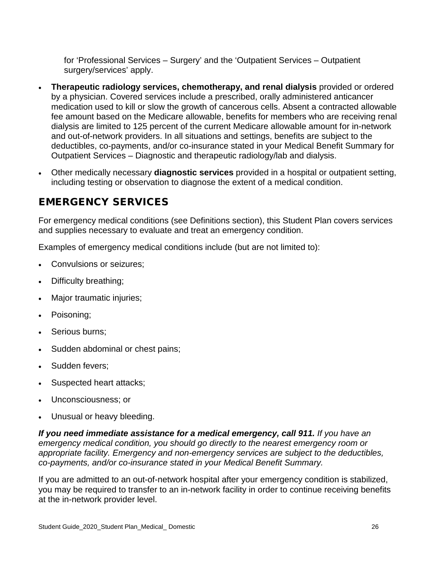for 'Professional Services – Surgery' and the 'Outpatient Services – Outpatient surgery/services' apply.

- **Therapeutic radiology services, chemotherapy, and renal dialysis** provided or ordered by a physician. Covered services include a prescribed, orally administered anticancer medication used to kill or slow the growth of cancerous cells. Absent a contracted allowable fee amount based on the Medicare allowable, benefits for members who are receiving renal dialysis are limited to 125 percent of the current Medicare allowable amount for in-network and out-of-network providers. In all situations and settings, benefits are subject to the deductibles, co-payments, and/or co-insurance stated in your Medical Benefit Summary for Outpatient Services – Diagnostic and therapeutic radiology/lab and dialysis.
- Other medically necessary **diagnostic services** provided in a hospital or outpatient setting, including testing or observation to diagnose the extent of a medical condition.

## EMERGENCY SERVICES

For emergency medical conditions (see Definitions section), this Student Plan covers services and supplies necessary to evaluate and treat an emergency condition.

Examples of emergency medical conditions include (but are not limited to):

- Convulsions or seizures;
- Difficulty breathing;
- Major traumatic injuries;
- Poisoning;
- Serious burns:
- Sudden abdominal or chest pains;
- Sudden fevers:
- Suspected heart attacks;
- Unconsciousness; or
- Unusual or heavy bleeding.

*If you need immediate assistance for a medical emergency, call 911. If you have an emergency medical condition, you should go directly to the nearest emergency room or appropriate facility. Emergency and non-emergency services are subject to the deductibles, co-payments, and/or co-insurance stated in your Medical Benefit Summary.*

If you are admitted to an out-of-network hospital after your emergency condition is stabilized, you may be required to transfer to an in-network facility in order to continue receiving benefits at the in-network provider level.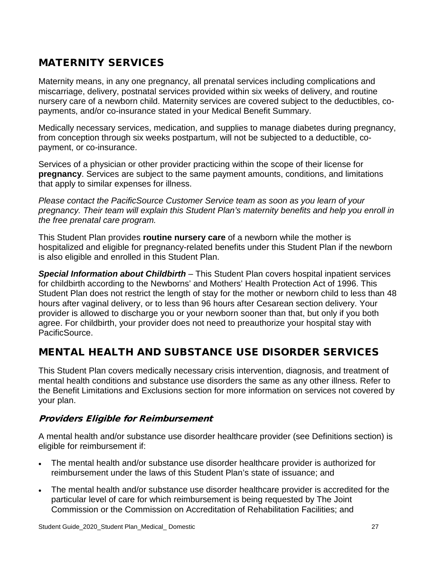# MATERNITY SERVICES

Maternity means, in any one pregnancy, all prenatal services including complications and miscarriage, delivery, postnatal services provided within six weeks of delivery, and routine nursery care of a newborn child. Maternity services are covered subject to the deductibles, copayments, and/or co-insurance stated in your Medical Benefit Summary.

Medically necessary services, medication, and supplies to manage diabetes during pregnancy, from conception through six weeks postpartum, will not be subjected to a deductible, copayment, or co-insurance.

Services of a physician or other provider practicing within the scope of their license for **pregnancy**. Services are subject to the same payment amounts, conditions, and limitations that apply to similar expenses for illness.

*Please contact the PacificSource Customer Service team as soon as you learn of your pregnancy. Their team will explain this Student Plan's maternity benefits and help you enroll in the free prenatal care program.* 

This Student Plan provides **routine nursery care** of a newborn while the mother is hospitalized and eligible for pregnancy-related benefits under this Student Plan if the newborn is also eligible and enrolled in this Student Plan.

*Special Information about Childbirth –* This Student Plan covers hospital inpatient services for childbirth according to the Newborns' and Mothers' Health Protection Act of 1996. This Student Plan does not restrict the length of stay for the mother or newborn child to less than 48 hours after vaginal delivery, or to less than 96 hours after Cesarean section delivery. Your provider is allowed to discharge you or your newborn sooner than that, but only if you both agree. For childbirth, your provider does not need to preauthorize your hospital stay with PacificSource.

### MENTAL HEALTH AND SUBSTANCE USE DISORDER SERVICES

This Student Plan covers medically necessary crisis intervention, diagnosis, and treatment of mental health conditions and substance use disorders the same as any other illness. Refer to the Benefit Limitations and Exclusions section for more information on services not covered by your plan.

### Providers Eligible for Reimbursement

A mental health and/or substance use disorder healthcare provider (see Definitions section) is eligible for reimbursement if:

- The mental health and/or substance use disorder healthcare provider is authorized for reimbursement under the laws of this Student Plan's state of issuance; and
- The mental health and/or substance use disorder healthcare provider is accredited for the particular level of care for which reimbursement is being requested by The Joint Commission or the Commission on Accreditation of Rehabilitation Facilities; and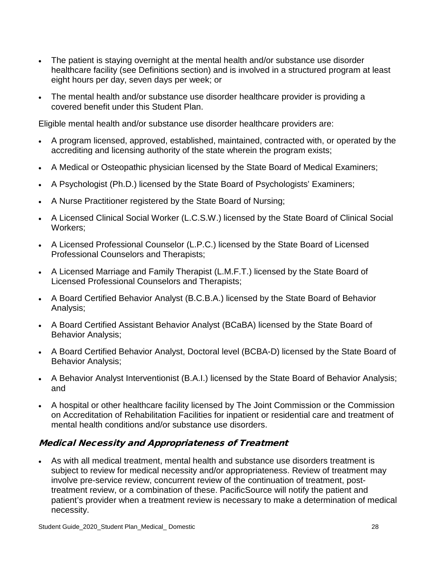- The patient is staying overnight at the mental health and/or substance use disorder healthcare facility (see Definitions section) and is involved in a structured program at least eight hours per day, seven days per week; or
- The mental health and/or substance use disorder healthcare provider is providing a covered benefit under this Student Plan.

Eligible mental health and/or substance use disorder healthcare providers are:

- A program licensed, approved, established, maintained, contracted with, or operated by the accrediting and licensing authority of the state wherein the program exists;
- A Medical or Osteopathic physician licensed by the State Board of Medical Examiners;
- A Psychologist (Ph.D.) licensed by the State Board of Psychologists' Examiners;
- A Nurse Practitioner registered by the State Board of Nursing;
- A Licensed Clinical Social Worker (L.C.S.W.) licensed by the State Board of Clinical Social Workers;
- A Licensed Professional Counselor (L.P.C.) licensed by the State Board of Licensed Professional Counselors and Therapists;
- A Licensed Marriage and Family Therapist (L.M.F.T.) licensed by the State Board of Licensed Professional Counselors and Therapists;
- A Board Certified Behavior Analyst (B.C.B.A.) licensed by the State Board of Behavior Analysis;
- A Board Certified Assistant Behavior Analyst (BCaBA) licensed by the State Board of Behavior Analysis;
- A Board Certified Behavior Analyst, Doctoral level (BCBA-D) licensed by the State Board of Behavior Analysis;
- A Behavior Analyst Interventionist (B.A.I.) licensed by the State Board of Behavior Analysis; and
- A hospital or other healthcare facility licensed by The Joint Commission or the Commission on Accreditation of Rehabilitation Facilities for inpatient or residential care and treatment of mental health conditions and/or substance use disorders.

### Medical Necessity and Appropriateness of Treatment

• As with all medical treatment, mental health and substance use disorders treatment is subject to review for medical necessity and/or appropriateness. Review of treatment may involve pre-service review, concurrent review of the continuation of treatment, posttreatment review, or a combination of these. PacificSource will notify the patient and patient's provider when a treatment review is necessary to make a determination of medical necessity.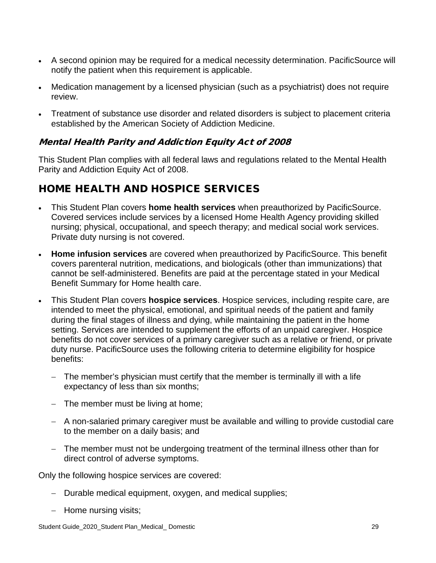- A second opinion may be required for a medical necessity determination. PacificSource will notify the patient when this requirement is applicable.
- Medication management by a licensed physician (such as a psychiatrist) does not require review.
- Treatment of substance use disorder and related disorders is subject to placement criteria established by the American Society of Addiction Medicine.

### Mental Health Parity and Addiction Equity Act of 2008

This Student Plan complies with all federal laws and regulations related to the Mental Health Parity and Addiction Equity Act of 2008.

# HOME HEALTH AND HOSPICE SERVICES

- This Student Plan covers **home health services** when preauthorized by PacificSource. Covered services include services by a licensed Home Health Agency providing skilled nursing; physical, occupational, and speech therapy; and medical social work services. Private duty nursing is not covered.
- **Home infusion services** are covered when preauthorized by PacificSource. This benefit covers parenteral nutrition, medications, and biologicals (other than immunizations) that cannot be self-administered. Benefits are paid at the percentage stated in your Medical Benefit Summary for Home health care.
- This Student Plan covers **hospice services**. Hospice services, including respite care, are intended to meet the physical, emotional, and spiritual needs of the patient and family during the final stages of illness and dying, while maintaining the patient in the home setting. Services are intended to supplement the efforts of an unpaid caregiver. Hospice benefits do not cover services of a primary caregiver such as a relative or friend, or private duty nurse. PacificSource uses the following criteria to determine eligibility for hospice benefits:
	- − The member's physician must certify that the member is terminally ill with a life expectancy of less than six months;
	- − The member must be living at home;
	- − A non-salaried primary caregiver must be available and willing to provide custodial care to the member on a daily basis; and
	- − The member must not be undergoing treatment of the terminal illness other than for direct control of adverse symptoms.

Only the following hospice services are covered:

- − Durable medical equipment, oxygen, and medical supplies;
- − Home nursing visits;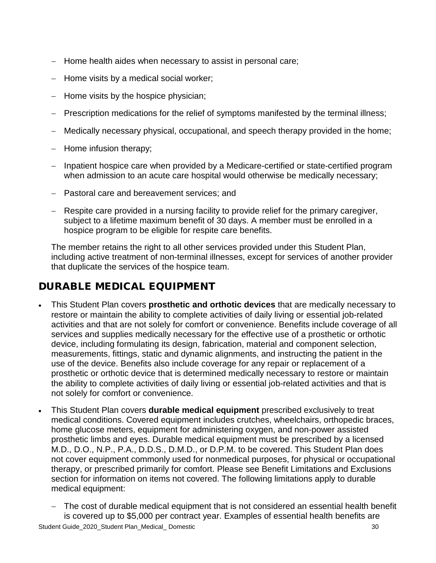- − Home health aides when necessary to assist in personal care;
- − Home visits by a medical social worker;
- − Home visits by the hospice physician;
- − Prescription medications for the relief of symptoms manifested by the terminal illness;
- − Medically necessary physical, occupational, and speech therapy provided in the home;
- − Home infusion therapy;
- − Inpatient hospice care when provided by a Medicare-certified or state-certified program when admission to an acute care hospital would otherwise be medically necessary;
- − Pastoral care and bereavement services; and
- − Respite care provided in a nursing facility to provide relief for the primary caregiver, subject to a lifetime maximum benefit of 30 days. A member must be enrolled in a hospice program to be eligible for respite care benefits.

The member retains the right to all other services provided under this Student Plan, including active treatment of non-terminal illnesses, except for services of another provider that duplicate the services of the hospice team.

# DURABLE MEDICAL EQUIPMENT

- This Student Plan covers **prosthetic and orthotic devices** that are medically necessary to restore or maintain the ability to complete activities of daily living or essential job-related activities and that are not solely for comfort or convenience. Benefits include coverage of all services and supplies medically necessary for the effective use of a prosthetic or orthotic device, including formulating its design, fabrication, material and component selection, measurements, fittings, static and dynamic alignments, and instructing the patient in the use of the device. Benefits also include coverage for any repair or replacement of a prosthetic or orthotic device that is determined medically necessary to restore or maintain the ability to complete activities of daily living or essential job-related activities and that is not solely for comfort or convenience.
- This Student Plan covers **durable medical equipment** prescribed exclusively to treat medical conditions. Covered equipment includes crutches, wheelchairs, orthopedic braces, home glucose meters, equipment for administering oxygen, and non-power assisted prosthetic limbs and eyes. Durable medical equipment must be prescribed by a licensed M.D., D.O., N.P., P.A., D.D.S., D.M.D., or D.P.M. to be covered. This Student Plan does not cover equipment commonly used for nonmedical purposes, for physical or occupational therapy, or prescribed primarily for comfort. Please see Benefit Limitations and Exclusions section for information on items not covered. The following limitations apply to durable medical equipment:
	- − The cost of durable medical equipment that is not considered an essential health benefit is covered up to \$5,000 per contract year. Examples of essential health benefits are

Student Guide\_2020\_Student Plan\_Medical\_ Domestic 30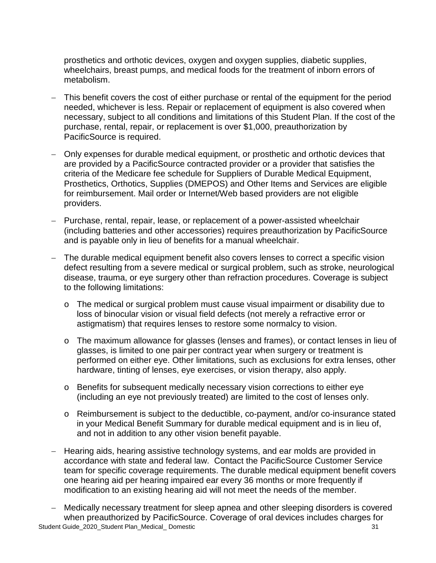prosthetics and orthotic devices, oxygen and oxygen supplies, diabetic supplies, wheelchairs, breast pumps, and medical foods for the treatment of inborn errors of metabolism.

- This benefit covers the cost of either purchase or rental of the equipment for the period needed, whichever is less. Repair or replacement of equipment is also covered when necessary, subject to all conditions and limitations of this Student Plan. If the cost of the purchase, rental, repair, or replacement is over \$1,000, preauthorization by PacificSource is required.
- − Only expenses for durable medical equipment, or prosthetic and orthotic devices that are provided by a PacificSource contracted provider or a provider that satisfies the criteria of the Medicare fee schedule for Suppliers of Durable Medical Equipment, Prosthetics, Orthotics, Supplies (DMEPOS) and Other Items and Services are eligible for reimbursement. Mail order or Internet/Web based providers are not eligible providers.
- − Purchase, rental, repair, lease, or replacement of a power-assisted wheelchair (including batteries and other accessories) requires preauthorization by PacificSource and is payable only in lieu of benefits for a manual wheelchair.
- − The durable medical equipment benefit also covers lenses to correct a specific vision defect resulting from a severe medical or surgical problem, such as stroke, neurological disease, trauma, or eye surgery other than refraction procedures. Coverage is subject to the following limitations:
	- o The medical or surgical problem must cause visual impairment or disability due to loss of binocular vision or visual field defects (not merely a refractive error or astigmatism) that requires lenses to restore some normalcy to vision.
	- o The maximum allowance for glasses (lenses and frames), or contact lenses in lieu of glasses, is limited to one pair per contract year when surgery or treatment is performed on either eye. Other limitations, such as exclusions for extra lenses, other hardware, tinting of lenses, eye exercises, or vision therapy, also apply.
	- o Benefits for subsequent medically necessary vision corrections to either eye (including an eye not previously treated) are limited to the cost of lenses only.
	- o Reimbursement is subject to the deductible, co-payment, and/or co-insurance stated in your Medical Benefit Summary for durable medical equipment and is in lieu of, and not in addition to any other vision benefit payable.
- − Hearing aids, hearing assistive technology systems, and ear molds are provided in accordance with state and federal law. Contact the PacificSource Customer Service team for specific coverage requirements. The durable medical equipment benefit covers one hearing aid per hearing impaired ear every 36 months or more frequently if modification to an existing hearing aid will not meet the needs of the member.

Student Guide\_2020\_Student Plan\_Medical\_ Domestic 31 Medically necessary treatment for sleep apnea and other sleeping disorders is covered when preauthorized by PacificSource. Coverage of oral devices includes charges for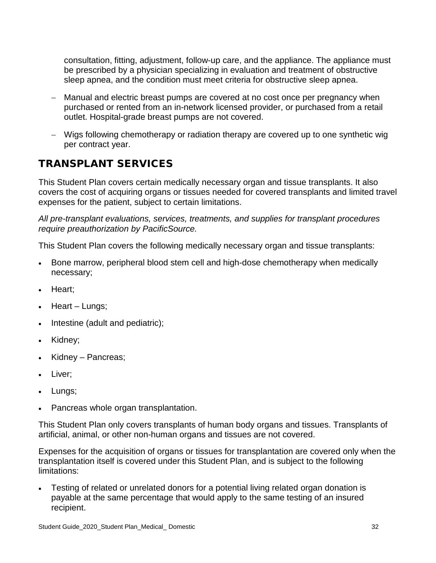consultation, fitting, adjustment, follow-up care, and the appliance. The appliance must be prescribed by a physician specializing in evaluation and treatment of obstructive sleep apnea, and the condition must meet criteria for obstructive sleep apnea.

- − Manual and electric breast pumps are covered at no cost once per pregnancy when purchased or rented from an in-network licensed provider, or purchased from a retail outlet. Hospital-grade breast pumps are not covered.
- − Wigs following chemotherapy or radiation therapy are covered up to one synthetic wig per contract year.

# TRANSPLANT SERVICES

This Student Plan covers certain medically necessary organ and tissue transplants. It also covers the cost of acquiring organs or tissues needed for covered transplants and limited travel expenses for the patient, subject to certain limitations.

*All pre-transplant evaluations, services, treatments, and supplies for transplant procedures require preauthorization by PacificSource.*

This Student Plan covers the following medically necessary organ and tissue transplants:

- Bone marrow, peripheral blood stem cell and high-dose chemotherapy when medically necessary;
- Heart;
- Heart Lungs;
- Intestine (adult and pediatric);
- Kidney;
- Kidney Pancreas;
- Liver;
- Lungs;
- Pancreas whole organ transplantation.

This Student Plan only covers transplants of human body organs and tissues. Transplants of artificial, animal, or other non-human organs and tissues are not covered.

Expenses for the acquisition of organs or tissues for transplantation are covered only when the transplantation itself is covered under this Student Plan, and is subject to the following limitations:

• Testing of related or unrelated donors for a potential living related organ donation is payable at the same percentage that would apply to the same testing of an insured recipient.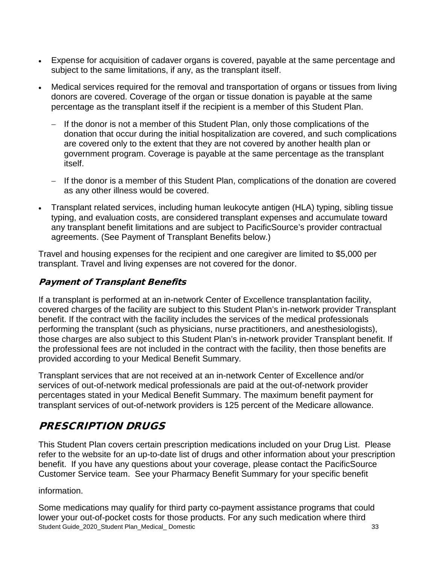- Expense for acquisition of cadaver organs is covered, payable at the same percentage and subject to the same limitations, if any, as the transplant itself.
- Medical services required for the removal and transportation of organs or tissues from living donors are covered. Coverage of the organ or tissue donation is payable at the same percentage as the transplant itself if the recipient is a member of this Student Plan.
	- − If the donor is not a member of this Student Plan, only those complications of the donation that occur during the initial hospitalization are covered, and such complications are covered only to the extent that they are not covered by another health plan or government program. Coverage is payable at the same percentage as the transplant itself.
	- − If the donor is a member of this Student Plan, complications of the donation are covered as any other illness would be covered.
- Transplant related services, including human leukocyte antigen (HLA) typing, sibling tissue typing, and evaluation costs, are considered transplant expenses and accumulate toward any transplant benefit limitations and are subject to PacificSource's provider contractual agreements. (See Payment of Transplant Benefits below.)

Travel and housing expenses for the recipient and one caregiver are limited to \$5,000 per transplant. Travel and living expenses are not covered for the donor.

### Payment of Transplant Benefits

If a transplant is performed at an in-network Center of Excellence transplantation facility, covered charges of the facility are subject to this Student Plan's in-network provider Transplant benefit. If the contract with the facility includes the services of the medical professionals performing the transplant (such as physicians, nurse practitioners, and anesthesiologists), those charges are also subject to this Student Plan's in-network provider Transplant benefit. If the professional fees are not included in the contract with the facility, then those benefits are provided according to your Medical Benefit Summary.

Transplant services that are not received at an in-network Center of Excellence and/or services of out-of-network medical professionals are paid at the out-of-network provider percentages stated in your Medical Benefit Summary. The maximum benefit payment for transplant services of out-of-network providers is 125 percent of the Medicare allowance.

# PRESCRIPTION DRUGS

This Student Plan covers certain prescription medications included on your Drug List. Please refer to the website for an up-to-date list of drugs and other information about your prescription benefit. If you have any questions about your coverage, please contact the PacificSource Customer Service team. See your Pharmacy Benefit Summary for your specific benefit

### information.

Student Guide\_2020\_Student Plan\_Medical\_ Domestic 33 \ 33 Some medications may qualify for third party co-payment assistance programs that could lower your out-of-pocket costs for those products. For any such medication where third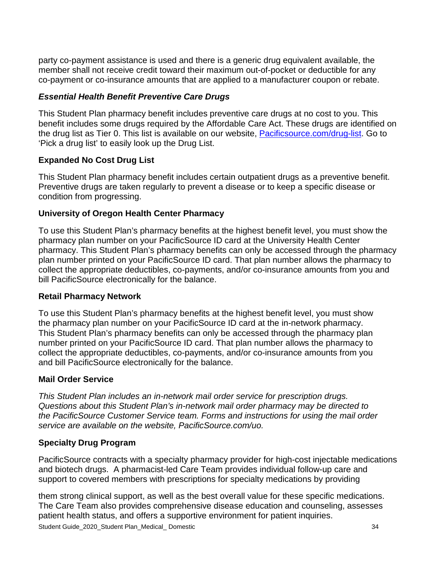party co-payment assistance is used and there is a generic drug equivalent available, the member shall not receive credit toward their maximum out-of-pocket or deductible for any co-payment or co-insurance amounts that are applied to a manufacturer coupon or rebate.

### *Essential Health Benefit Preventive Care Drugs*

This Student Plan pharmacy benefit includes preventive care drugs at no cost to you. This benefit includes some drugs required by the Affordable Care Act. These drugs are identified on the drug list as Tier 0. This list is available on our website, [Pacificsource.com/drug-list.](https://pacificsource.com/drug-list/) Go to 'Pick a drug list' to easily look up the Drug List.

### **Expanded No Cost Drug List**

This Student Plan pharmacy benefit includes certain outpatient drugs as a preventive benefit. Preventive drugs are taken regularly to prevent a disease or to keep a specific disease or condition from progressing.

#### **University of Oregon Health Center Pharmacy**

To use this Student Plan's pharmacy benefits at the highest benefit level, you must show the pharmacy plan number on your PacificSource ID card at the University Health Center pharmacy. This Student Plan's pharmacy benefits can only be accessed through the pharmacy plan number printed on your PacificSource ID card. That plan number allows the pharmacy to collect the appropriate deductibles, co-payments, and/or co-insurance amounts from you and bill PacificSource electronically for the balance.

#### **Retail Pharmacy Network**

To use this Student Plan's pharmacy benefits at the highest benefit level, you must show the pharmacy plan number on your PacificSource ID card at the in-network pharmacy. This Student Plan's pharmacy benefits can only be accessed through the pharmacy plan number printed on your PacificSource ID card. That plan number allows the pharmacy to collect the appropriate deductibles, co-payments, and/or co-insurance amounts from you and bill PacificSource electronically for the balance.

### **Mail Order Service**

*This Student Plan includes an in-network mail order service for prescription drugs. Questions about this Student Plan's in-network mail order pharmacy may be directed to the PacificSource Customer Service team. Forms and instructions for using the mail order service are available on the website, PacificSource.com/uo.*

### **Specialty Drug Program**

PacificSource contracts with a specialty pharmacy provider for high-cost injectable medications and biotech drugs. A pharmacist-led Care Team provides individual follow-up care and support to covered members with prescriptions for specialty medications by providing

Student Guide\_2020\_Student Plan\_Medical\_ Domestic 34 them strong clinical support, as well as the best overall value for these specific medications. The Care Team also provides comprehensive disease education and counseling, assesses patient health status, and offers a supportive environment for patient inquiries.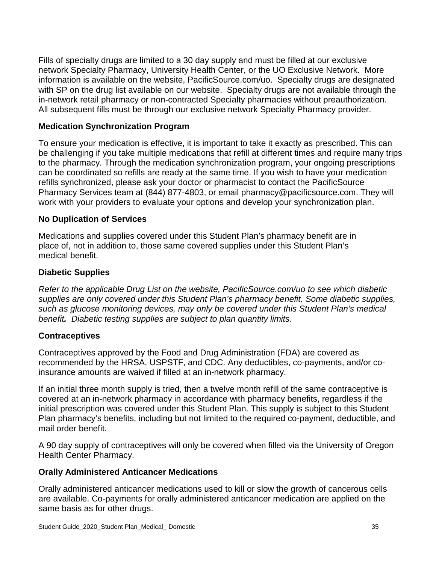Fills of specialty drugs are limited to a 30 day supply and must be filled at our exclusive network Specialty Pharmacy, University Health Center, or the UO Exclusive Network. More information is available on the website, PacificSource.com/uo. Specialty drugs are designated with SP on the drug list available on our website. Specialty drugs are not available through the in-network retail pharmacy or non-contracted Specialty pharmacies without preauthorization. All subsequent fills must be through our exclusive network Specialty Pharmacy provider.

#### **Medication Synchronization Program**

To ensure your medication is effective, it is important to take it exactly as prescribed. This can be challenging if you take multiple medications that refill at different times and require many trips to the pharmacy. Through the medication synchronization program, your ongoing prescriptions can be coordinated so refills are ready at the same time. If you wish to have your medication refills synchronized, please ask your doctor or pharmacist to contact the PacificSource Pharmacy Services team at (844) 877-4803, or email [pharmacy@pacificsource.com.](mailto:pharmacy@pacificsource.com) They will work with your providers to evaluate your options and develop your synchronization plan.

#### **No Duplication of Services**

Medications and supplies covered under this Student Plan's pharmacy benefit are in place of, not in addition to, those same covered supplies under this Student Plan's medical benefit.

#### **Diabetic Supplies**

*Refer to the applicable Drug List on the website, PacificSource.com/uo to see which diabetic supplies are only covered under this Student Plan's pharmacy benefit. Some diabetic supplies, such as glucose monitoring devices, may only be covered under this Student Plan's medical benefit. Diabetic testing supplies are subject to plan quantity limits.*

#### **Contraceptives**

Contraceptives approved by the Food and Drug Administration (FDA) are covered as recommended by the HRSA, USPSTF, and CDC. Any deductibles, co-payments, and/or coinsurance amounts are waived if filled at an in-network pharmacy.

If an initial three month supply is tried, then a twelve month refill of the same contraceptive is covered at an in-network pharmacy in accordance with pharmacy benefits, regardless if the initial prescription was covered under this Student Plan. This supply is subject to this Student Plan pharmacy's benefits, including but not limited to the required co-payment, deductible, and mail order benefit.

A 90 day supply of contraceptives will only be covered when filled via the University of Oregon Health Center Pharmacy.

#### **Orally Administered Anticancer Medications**

Orally administered anticancer medications used to kill or slow the growth of cancerous cells are available. Co-payments for orally administered anticancer medication are applied on the same basis as for other drugs.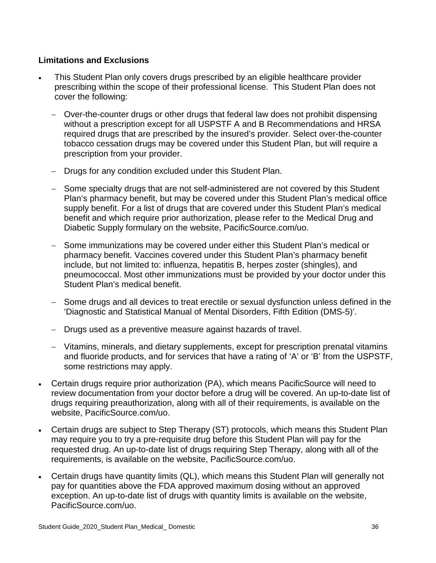### **Limitations and Exclusions**

- This Student Plan only covers drugs prescribed by an eligible healthcare provider prescribing within the scope of their professional license. This Student Plan does not cover the following:
	- − Over-the-counter drugs or other drugs that federal law does not prohibit dispensing without a prescription except for all USPSTF A and B Recommendations and HRSA required drugs that are prescribed by the insured's provider. Select over-the-counter tobacco cessation drugs may be covered under this Student Plan, but will require a prescription from your provider.
	- − Drugs for any condition excluded under this Student Plan.
	- − Some specialty drugs that are not self-administered are not covered by this Student Plan's pharmacy benefit, but may be covered under this Student Plan's medical office supply benefit. For a list of drugs that are covered under this Student Plan's medical benefit and which require prior authorization, please refer to the Medical Drug and Diabetic Supply formulary on the website, PacificSource.com/uo.
	- − Some immunizations may be covered under either this Student Plan's medical or pharmacy benefit. Vaccines covered under this Student Plan's pharmacy benefit include, but not limited to: influenza, hepatitis B, herpes zoster (shingles), and pneumococcal. Most other immunizations must be provided by your doctor under this Student Plan's medical benefit.
	- − Some drugs and all devices to treat erectile or sexual dysfunction unless defined in the 'Diagnostic and Statistical Manual of Mental Disorders, Fifth Edition (DMS-5)'.
	- − Drugs used as a preventive measure against hazards of travel.
	- − Vitamins, minerals, and dietary supplements, except for prescription prenatal vitamins and fluoride products, and for services that have a rating of 'A' or 'B' from the USPSTF, some restrictions may apply.
- Certain drugs require prior authorization (PA), which means PacificSource will need to review documentation from your doctor before a drug will be covered. An up-to-date list of drugs requiring preauthorization, along with all of their requirements, is available on the website, PacificSource.com/uo.
- Certain drugs are subject to Step Therapy (ST) protocols, which means this Student Plan may require you to try a pre-requisite drug before this Student Plan will pay for the requested drug. An up-to-date list of drugs requiring Step Therapy, along with all of the requirements, is available on the website, PacificSource.com/uo.
- Certain drugs have quantity limits (QL), which means this Student Plan will generally not pay for quantities above the FDA approved maximum dosing without an approved exception. An up-to-date list of drugs with quantity limits is available on the website, PacificSource.com/uo.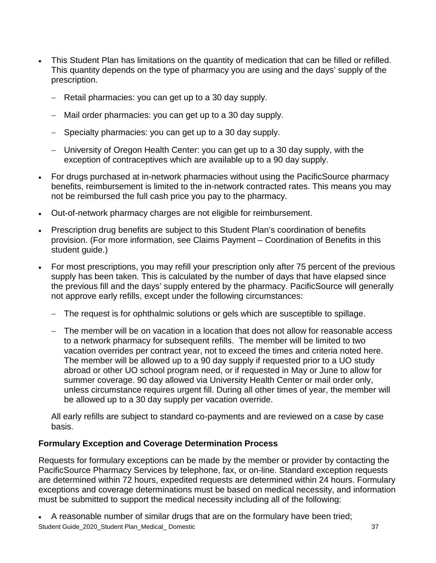- This Student Plan has limitations on the quantity of medication that can be filled or refilled. This quantity depends on the type of pharmacy you are using and the days' supply of the prescription.
	- − Retail pharmacies: you can get up to a 30 day supply.
	- Mail order pharmacies: you can get up to a 30 day supply.
	- − Specialty pharmacies: you can get up to a 30 day supply.
	- − University of Oregon Health Center: you can get up to a 30 day supply, with the exception of contraceptives which are available up to a 90 day supply.
- For drugs purchased at in-network pharmacies without using the PacificSource pharmacy benefits, reimbursement is limited to the in-network contracted rates. This means you may not be reimbursed the full cash price you pay to the pharmacy.
- Out-of-network pharmacy charges are not eligible for reimbursement.
- Prescription drug benefits are subject to this Student Plan's coordination of benefits provision. (For more information, see Claims Payment – Coordination of Benefits in this student guide.)
- For most prescriptions, you may refill your prescription only after 75 percent of the previous supply has been taken. This is calculated by the number of days that have elapsed since the previous fill and the days' supply entered by the pharmacy. PacificSource will generally not approve early refills, except under the following circumstances:
	- − The request is for ophthalmic solutions or gels which are susceptible to spillage.
	- − The member will be on vacation in a location that does not allow for reasonable access to a network pharmacy for subsequent refills. The member will be limited to two vacation overrides per contract year, not to exceed the times and criteria noted here. The member will be allowed up to a 90 day supply if requested prior to a UO study abroad or other UO school program need, or if requested in May or June to allow for summer coverage. 90 day allowed via University Health Center or mail order only, unless circumstance requires urgent fill. During all other times of year, the member will be allowed up to a 30 day supply per vacation override.

All early refills are subject to standard co-payments and are reviewed on a case by case basis.

### **Formulary Exception and Coverage Determination Process**

Requests for formulary exceptions can be made by the member or provider by contacting the PacificSource Pharmacy Services by telephone, fax, or on-line. Standard exception requests are determined within 72 hours, expedited requests are determined within 24 hours. Formulary exceptions and coverage determinations must be based on medical necessity, and information must be submitted to support the medical necessity including all of the following:

Student Guide\_2020\_Student Plan\_Medical\_ Domestic 37 37 • A reasonable number of similar drugs that are on the formulary have been tried;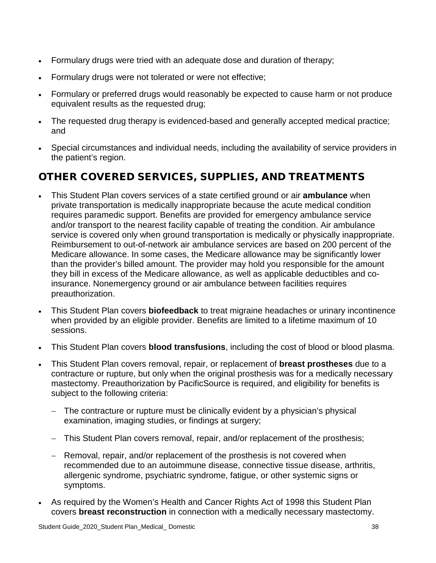- Formulary drugs were tried with an adequate dose and duration of therapy;
- Formulary drugs were not tolerated or were not effective;
- Formulary or preferred drugs would reasonably be expected to cause harm or not produce equivalent results as the requested drug;
- The requested drug therapy is evidenced-based and generally accepted medical practice; and
- Special circumstances and individual needs, including the availability of service providers in the patient's region.

# OTHER COVERED SERVICES, SUPPLIES, AND TREATMENTS

- This Student Plan covers services of a state certified ground or air **ambulance** when private transportation is medically inappropriate because the acute medical condition requires paramedic support. Benefits are provided for emergency ambulance service and/or transport to the nearest facility capable of treating the condition. Air ambulance service is covered only when ground transportation is medically or physically inappropriate. Reimbursement to out-of-network air ambulance services are based on 200 percent of the Medicare allowance. In some cases, the Medicare allowance may be significantly lower than the provider's billed amount. The provider may hold you responsible for the amount they bill in excess of the Medicare allowance, as well as applicable deductibles and coinsurance. Nonemergency ground or air ambulance between facilities requires preauthorization.
- This Student Plan covers **biofeedback** to treat migraine headaches or urinary incontinence when provided by an eligible provider. Benefits are limited to a lifetime maximum of 10 sessions.
- This Student Plan covers **blood transfusions**, including the cost of blood or blood plasma.
- This Student Plan covers removal, repair, or replacement of **breast prostheses** due to a contracture or rupture, but only when the original prosthesis was for a medically necessary mastectomy. Preauthorization by PacificSource is required, and eligibility for benefits is subject to the following criteria:
	- − The contracture or rupture must be clinically evident by a physician's physical examination, imaging studies, or findings at surgery;
	- − This Student Plan covers removal, repair, and/or replacement of the prosthesis;
	- Removal, repair, and/or replacement of the prosthesis is not covered when recommended due to an autoimmune disease, connective tissue disease, arthritis, allergenic syndrome, psychiatric syndrome, fatigue, or other systemic signs or symptoms.
- As required by the Women's Health and Cancer Rights Act of 1998 this Student Plan covers **breast reconstruction** in connection with a medically necessary mastectomy.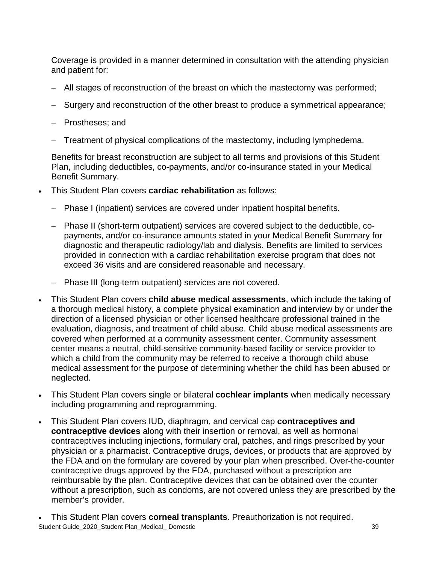Coverage is provided in a manner determined in consultation with the attending physician and patient for:

- − All stages of reconstruction of the breast on which the mastectomy was performed;
- Surgery and reconstruction of the other breast to produce a symmetrical appearance;
- − Prostheses; and
- Treatment of physical complications of the mastectomy, including lymphedema.

Benefits for breast reconstruction are subject to all terms and provisions of this Student Plan, including deductibles, co-payments, and/or co-insurance stated in your Medical Benefit Summary.

- This Student Plan covers **cardiac rehabilitation** as follows:
	- − Phase I (inpatient) services are covered under inpatient hospital benefits.
	- − Phase II (short-term outpatient) services are covered subject to the deductible, copayments, and/or co-insurance amounts stated in your Medical Benefit Summary for diagnostic and therapeutic radiology/lab and dialysis. Benefits are limited to services provided in connection with a cardiac rehabilitation exercise program that does not exceed 36 visits and are considered reasonable and necessary.
	- − Phase III (long-term outpatient) services are not covered.
- This Student Plan covers **child abuse medical assessments**, which include the taking of a thorough medical history, a complete physical examination and interview by or under the direction of a licensed physician or other licensed healthcare professional trained in the evaluation, diagnosis, and treatment of child abuse. Child abuse medical assessments are covered when performed at a community assessment center. Community assessment center means a neutral, child-sensitive community-based facility or service provider to which a child from the community may be referred to receive a thorough child abuse medical assessment for the purpose of determining whether the child has been abused or neglected.
- This Student Plan covers single or bilateral **cochlear implants** when medically necessary including programming and reprogramming.
- This Student Plan covers IUD, diaphragm, and cervical cap **contraceptives and contraceptive devices** along with their insertion or removal, as well as hormonal contraceptives including injections, formulary oral, patches, and rings prescribed by your physician or a pharmacist. Contraceptive drugs, devices, or products that are approved by the FDA and on the formulary are covered by your plan when prescribed. Over-the-counter contraceptive drugs approved by the FDA, purchased without a prescription are reimbursable by the plan. Contraceptive devices that can be obtained over the counter without a prescription, such as condoms, are not covered unless they are prescribed by the member's provider.
- Student Guide\_2020\_Student Plan\_Medical\_Domestic 39 • This Student Plan covers **corneal transplants**. Preauthorization is not required.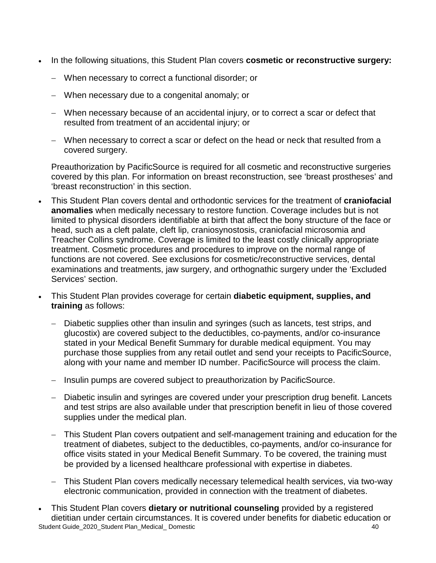- In the following situations, this Student Plan covers **cosmetic or reconstructive surgery:**
	- − When necessary to correct a functional disorder; or
	- − When necessary due to a congenital anomaly; or
	- − When necessary because of an accidental injury, or to correct a scar or defect that resulted from treatment of an accidental injury; or
	- − When necessary to correct a scar or defect on the head or neck that resulted from a covered surgery.

Preauthorization by PacificSource is required for all cosmetic and reconstructive surgeries covered by this plan. For information on breast reconstruction, see 'breast prostheses' and 'breast reconstruction' in this section.

- This Student Plan covers dental and orthodontic services for the treatment of **craniofacial anomalies** when medically necessary to restore function. Coverage includes but is not limited to physical disorders identifiable at birth that affect the bony structure of the face or head, such as a cleft palate, cleft lip, craniosynostosis, craniofacial microsomia and Treacher Collins syndrome. Coverage is limited to the least costly clinically appropriate treatment. Cosmetic procedures and procedures to improve on the normal range of functions are not covered. See exclusions for cosmetic/reconstructive services, dental examinations and treatments, jaw surgery, and orthognathic surgery under the 'Excluded Services' section.
- This Student Plan provides coverage for certain **diabetic equipment, supplies, and training** as follows:
	- Diabetic supplies other than insulin and syringes (such as lancets, test strips, and glucostix) are covered subject to the deductibles, co-payments, and/or co-insurance stated in your Medical Benefit Summary for durable medical equipment. You may purchase those supplies from any retail outlet and send your receipts to PacificSource, along with your name and member ID number. PacificSource will process the claim.
	- − Insulin pumps are covered subject to preauthorization by PacificSource.
	- − Diabetic insulin and syringes are covered under your prescription drug benefit. Lancets and test strips are also available under that prescription benefit in lieu of those covered supplies under the medical plan.
	- This Student Plan covers outpatient and self-management training and education for the treatment of diabetes, subject to the deductibles, co-payments, and/or co-insurance for office visits stated in your Medical Benefit Summary. To be covered, the training must be provided by a licensed healthcare professional with expertise in diabetes.
	- − This Student Plan covers medically necessary telemedical health services, via two-way electronic communication, provided in connection with the treatment of diabetes.
- Student Guide\_2020\_Student Plan\_Medical\_ Domestic 40 and 40 and 40 and 40 and 40 and 40 and 40 and 40 and 40 and 40 and 40 and 40 and 40 and 40 and 40 and 40 and 40 and 40 and 40 and 40 and 40 and 40 and 40 and 40 and 40 a • This Student Plan covers **dietary or nutritional counseling** provided by a registered dietitian under certain circumstances. It is covered under benefits for diabetic education or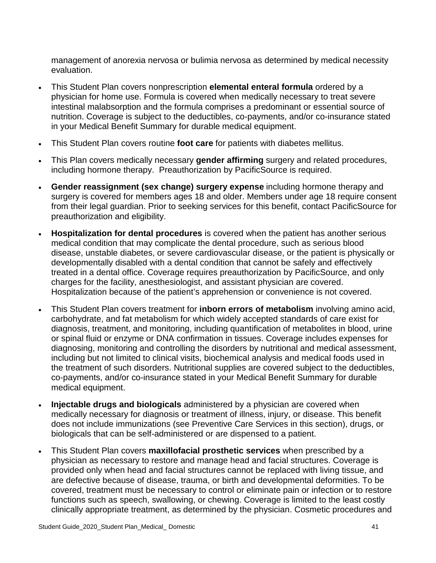management of anorexia nervosa or bulimia nervosa as determined by medical necessity evaluation.

- This Student Plan covers nonprescription **elemental enteral formula** ordered by a physician for home use. Formula is covered when medically necessary to treat severe intestinal malabsorption and the formula comprises a predominant or essential source of nutrition. Coverage is subject to the deductibles, co-payments, and/or co-insurance stated in your Medical Benefit Summary for durable medical equipment.
- This Student Plan covers routine **foot care** for patients with diabetes mellitus.
- This Plan covers medically necessary **gender affirming** surgery and related procedures, including hormone therapy. Preauthorization by PacificSource is required.
- **Gender reassignment (sex change) surgery expense** including hormone therapy and surgery is covered for members ages 18 and older. Members under age 18 require consent from their legal guardian. Prior to seeking services for this benefit, contact PacificSource for preauthorization and eligibility.
- **Hospitalization for dental procedures** is covered when the patient has another serious medical condition that may complicate the dental procedure, such as serious blood disease, unstable diabetes, or severe cardiovascular disease, or the patient is physically or developmentally disabled with a dental condition that cannot be safely and effectively treated in a dental office. Coverage requires preauthorization by PacificSource, and only charges for the facility, anesthesiologist, and assistant physician are covered. Hospitalization because of the patient's apprehension or convenience is not covered.
- This Student Plan covers treatment for **inborn errors of metabolism** involving amino acid, carbohydrate, and fat metabolism for which widely accepted standards of care exist for diagnosis, treatment, and monitoring, including quantification of metabolites in blood, urine or spinal fluid or enzyme or DNA confirmation in tissues. Coverage includes expenses for diagnosing, monitoring and controlling the disorders by nutritional and medical assessment, including but not limited to clinical visits, biochemical analysis and medical foods used in the treatment of such disorders. Nutritional supplies are covered subject to the deductibles, co-payments, and/or co-insurance stated in your Medical Benefit Summary for durable medical equipment.
- **Injectable drugs and biologicals** administered by a physician are covered when medically necessary for diagnosis or treatment of illness, injury, or disease. This benefit does not include immunizations (see Preventive Care Services in this section), drugs, or biologicals that can be self-administered or are dispensed to a patient.
- This Student Plan covers **maxillofacial prosthetic services** when prescribed by a physician as necessary to restore and manage head and facial structures. Coverage is provided only when head and facial structures cannot be replaced with living tissue, and are defective because of disease, trauma, or birth and developmental deformities. To be covered, treatment must be necessary to control or eliminate pain or infection or to restore functions such as speech, swallowing, or chewing. Coverage is limited to the least costly clinically appropriate treatment, as determined by the physician. Cosmetic procedures and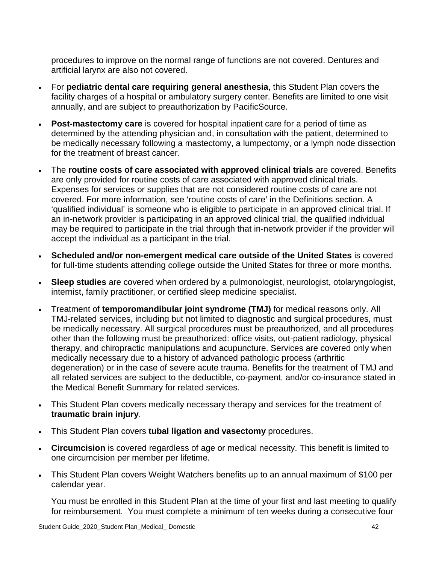procedures to improve on the normal range of functions are not covered. Dentures and artificial larynx are also not covered.

- For **pediatric dental care requiring general anesthesia**, this Student Plan covers the facility charges of a hospital or ambulatory surgery center. Benefits are limited to one visit annually, and are subject to preauthorization by PacificSource.
- **Post-mastectomy care** is covered for hospital inpatient care for a period of time as determined by the attending physician and, in consultation with the patient, determined to be medically necessary following a mastectomy, a lumpectomy, or a lymph node dissection for the treatment of breast cancer.
- The **routine costs of care associated with approved clinical trials** are covered. Benefits are only provided for routine costs of care associated with approved clinical trials. Expenses for services or supplies that are not considered routine costs of care are not covered. For more information, see 'routine costs of care' in the Definitions section. A 'qualified individual' is someone who is eligible to participate in an approved clinical trial. If an in-network provider is participating in an approved clinical trial, the qualified individual may be required to participate in the trial through that in-network provider if the provider will accept the individual as a participant in the trial.
- **Scheduled and/or non-emergent medical care outside of the United States** is covered for full-time students attending college outside the United States for three or more months.
- **Sleep studies** are covered when ordered by a pulmonologist, neurologist, otolaryngologist, internist, family practitioner, or certified sleep medicine specialist.
- Treatment of **temporomandibular joint syndrome (TMJ)** for medical reasons only. All TMJ-related services, including but not limited to diagnostic and surgical procedures, must be medically necessary. All surgical procedures must be preauthorized, and all procedures other than the following must be preauthorized: office visits, out-patient radiology, physical therapy, and chiropractic manipulations and acupuncture. Services are covered only when medically necessary due to a history of advanced pathologic process (arthritic degeneration) or in the case of severe acute trauma. Benefits for the treatment of TMJ and all related services are subject to the deductible, co-payment, and/or co-insurance stated in the Medical Benefit Summary for related services.
- This Student Plan covers medically necessary therapy and services for the treatment of **traumatic brain injury**.
- This Student Plan covers **tubal ligation and vasectomy** procedures.
- **Circumcision** is covered regardless of age or medical necessity. This benefit is limited to one circumcision per member per lifetime.
- This Student Plan covers Weight Watchers benefits up to an annual maximum of \$100 per calendar year.

You must be enrolled in this Student Plan at the time of your first and last meeting to qualify for reimbursement. You must complete a minimum of ten weeks during a consecutive four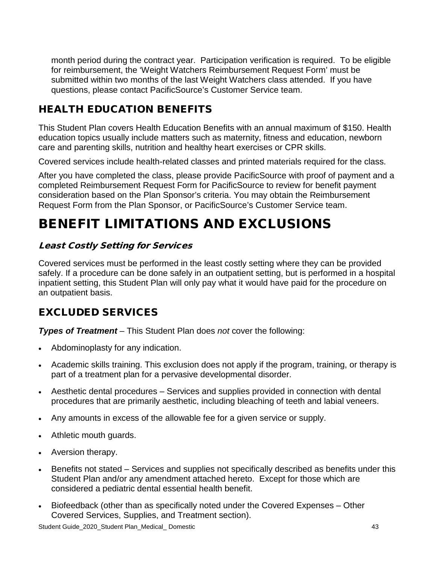month period during the contract year. Participation verification is required. To be eligible for reimbursement, the 'Weight Watchers Reimbursement Request Form' must be submitted within two months of the last Weight Watchers class attended. If you have questions, please contact PacificSource's Customer Service team.

# HEALTH EDUCATION BENEFITS

This Student Plan covers Health Education Benefits with an annual maximum of \$150. Health education topics usually include matters such as maternity, fitness and education, newborn care and parenting skills, nutrition and healthy heart exercises or CPR skills.

Covered services include health-related classes and printed materials required for the class.

After you have completed the class, please provide PacificSource with proof of payment and a completed Reimbursement Request Form for PacificSource to review for benefit payment consideration based on the Plan Sponsor's criteria. You may obtain the Reimbursement Request Form from the Plan Sponsor, or PacificSource's Customer Service team.

# BENEFIT LIMITATIONS AND EXCLUSIONS

### Least Costly Setting for Services

Covered services must be performed in the least costly setting where they can be provided safely. If a procedure can be done safely in an outpatient setting, but is performed in a hospital inpatient setting, this Student Plan will only pay what it would have paid for the procedure on an outpatient basis.

# EXCLUDED SERVICES

*Types of Treatment* – This Student Plan does *not* cover the following:

- Abdominoplasty for any indication.
- Academic skills training. This exclusion does not apply if the program, training, or therapy is part of a treatment plan for a pervasive developmental disorder.
- Aesthetic dental procedures Services and supplies provided in connection with dental procedures that are primarily aesthetic, including bleaching of teeth and labial veneers.
- Any amounts in excess of the allowable fee for a given service or supply.
- Athletic mouth guards.
- Aversion therapy.
- Benefits not stated Services and supplies not specifically described as benefits under this Student Plan and/or any amendment attached hereto. Except for those which are considered a pediatric dental essential health benefit.
- Biofeedback (other than as specifically noted under the Covered Expenses Other Covered Services, Supplies, and Treatment section).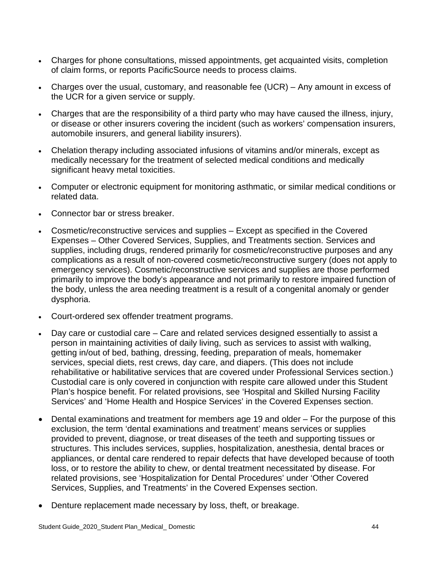- Charges for phone consultations, missed appointments, get acquainted visits, completion of claim forms, or reports PacificSource needs to process claims.
- Charges over the usual, customary, and reasonable fee (UCR) Any amount in excess of the UCR for a given service or supply.
- Charges that are the responsibility of a third party who may have caused the illness, injury, or disease or other insurers covering the incident (such as workers' compensation insurers, automobile insurers, and general liability insurers).
- Chelation therapy including associated infusions of vitamins and/or minerals, except as medically necessary for the treatment of selected medical conditions and medically significant heavy metal toxicities.
- Computer or electronic equipment for monitoring asthmatic, or similar medical conditions or related data.
- Connector bar or stress breaker.
- Cosmetic/reconstructive services and supplies Except as specified in the Covered Expenses – Other Covered Services, Supplies, and Treatments section. Services and supplies, including drugs, rendered primarily for cosmetic/reconstructive purposes and any complications as a result of non-covered cosmetic/reconstructive surgery (does not apply to emergency services). Cosmetic/reconstructive services and supplies are those performed primarily to improve the body's appearance and not primarily to restore impaired function of the body, unless the area needing treatment is a result of a congenital anomaly or gender dysphoria.
- Court-ordered sex offender treatment programs.
- Day care or custodial care Care and related services designed essentially to assist a person in maintaining activities of daily living, such as services to assist with walking, getting in/out of bed, bathing, dressing, feeding, preparation of meals, homemaker services, special diets, rest crews, day care, and diapers. (This does not include rehabilitative or habilitative services that are covered under Professional Services section.) Custodial care is only covered in conjunction with respite care allowed under this Student Plan's hospice benefit. For related provisions, see 'Hospital and Skilled Nursing Facility Services' and 'Home Health and Hospice Services' in the Covered Expenses section.
- Dental examinations and treatment for members age 19 and older For the purpose of this exclusion, the term 'dental examinations and treatment' means services or supplies provided to prevent, diagnose, or treat diseases of the teeth and supporting tissues or structures. This includes services, supplies, hospitalization, anesthesia, dental braces or appliances, or dental care rendered to repair defects that have developed because of tooth loss, or to restore the ability to chew, or dental treatment necessitated by disease. For related provisions, see 'Hospitalization for Dental Procedures' under 'Other Covered Services, Supplies, and Treatments' in the Covered Expenses section.
- Denture replacement made necessary by loss, theft, or breakage.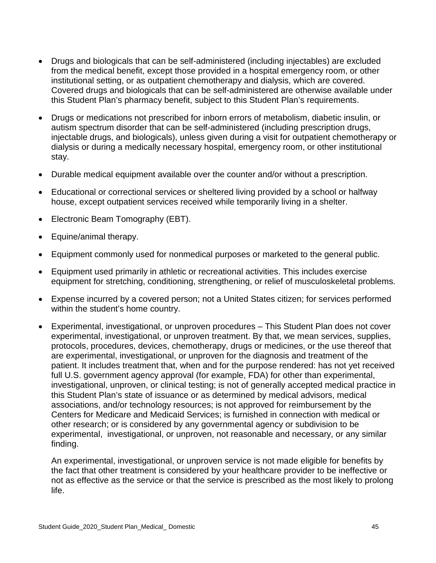- Drugs and biologicals that can be self-administered (including injectables) are excluded from the medical benefit, except those provided in a hospital emergency room, or other institutional setting, or as outpatient chemotherapy and dialysis, which are covered. Covered drugs and biologicals that can be self-administered are otherwise available under this Student Plan's pharmacy benefit, subject to this Student Plan's requirements.
- Drugs or medications not prescribed for inborn errors of metabolism, diabetic insulin, or autism spectrum disorder that can be self-administered (including prescription drugs, injectable drugs, and biologicals), unless given during a visit for outpatient chemotherapy or dialysis or during a medically necessary hospital, emergency room, or other institutional stay.
- Durable medical equipment available over the counter and/or without a prescription.
- Educational or correctional services or sheltered living provided by a school or halfway house, except outpatient services received while temporarily living in a shelter.
- Electronic Beam Tomography (EBT).
- Equine/animal therapy.
- Equipment commonly used for nonmedical purposes or marketed to the general public.
- Equipment used primarily in athletic or recreational activities. This includes exercise equipment for stretching, conditioning, strengthening, or relief of musculoskeletal problems.
- Expense incurred by a covered person; not a United States citizen; for services performed within the student's home country.
- Experimental, investigational, or unproven procedures This Student Plan does not cover experimental, investigational, or unproven treatment. By that, we mean services, supplies, protocols, procedures, devices, chemotherapy, drugs or medicines, or the use thereof that are experimental, investigational, or unproven for the diagnosis and treatment of the patient. It includes treatment that, when and for the purpose rendered: has not yet received full U.S. government agency approval (for example, FDA) for other than experimental, investigational, unproven, or clinical testing; is not of generally accepted medical practice in this Student Plan's state of issuance or as determined by medical advisors, medical associations, and/or technology resources; is not approved for reimbursement by the Centers for Medicare and Medicaid Services; is furnished in connection with medical or other research; or is considered by any governmental agency or subdivision to be experimental, investigational, or unproven, not reasonable and necessary, or any similar finding.

An experimental, investigational, or unproven service is not made eligible for benefits by the fact that other treatment is considered by your healthcare provider to be ineffective or not as effective as the service or that the service is prescribed as the most likely to prolong life.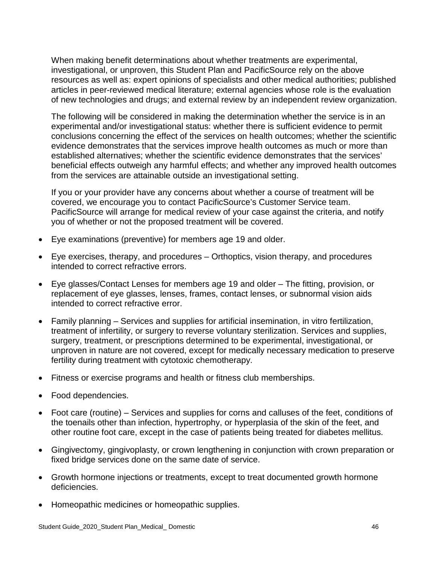When making benefit determinations about whether treatments are experimental, investigational, or unproven, this Student Plan and PacificSource rely on the above resources as well as: expert opinions of specialists and other medical authorities; published articles in peer-reviewed medical literature; external agencies whose role is the evaluation of new technologies and drugs; and external review by an independent review organization.

The following will be considered in making the determination whether the service is in an experimental and/or investigational status: whether there is sufficient evidence to permit conclusions concerning the effect of the services on health outcomes; whether the scientific evidence demonstrates that the services improve health outcomes as much or more than established alternatives; whether the scientific evidence demonstrates that the services' beneficial effects outweigh any harmful effects; and whether any improved health outcomes from the services are attainable outside an investigational setting.

If you or your provider have any concerns about whether a course of treatment will be covered, we encourage you to contact PacificSource's Customer Service team. PacificSource will arrange for medical review of your case against the criteria, and notify you of whether or not the proposed treatment will be covered.

- Eye examinations (preventive) for members age 19 and older.
- Eye exercises, therapy, and procedures Orthoptics, vision therapy, and procedures intended to correct refractive errors.
- Eye glasses/Contact Lenses for members age 19 and older The fitting, provision, or replacement of eye glasses, lenses, frames, contact lenses, or subnormal vision aids intended to correct refractive error.
- Family planning Services and supplies for artificial insemination, in vitro fertilization, treatment of infertility, or surgery to reverse voluntary sterilization. Services and supplies, surgery, treatment, or prescriptions determined to be experimental, investigational, or unproven in nature are not covered, except for medically necessary medication to preserve fertility during treatment with cytotoxic chemotherapy.
- Fitness or exercise programs and health or fitness club memberships.
- Food dependencies.
- Foot care (routine) Services and supplies for corns and calluses of the feet, conditions of the toenails other than infection, hypertrophy, or hyperplasia of the skin of the feet, and other routine foot care, except in the case of patients being treated for diabetes mellitus.
- Gingivectomy, gingivoplasty, or crown lengthening in conjunction with crown preparation or fixed bridge services done on the same date of service.
- Growth hormone injections or treatments, except to treat documented growth hormone deficiencies.
- Homeopathic medicines or homeopathic supplies.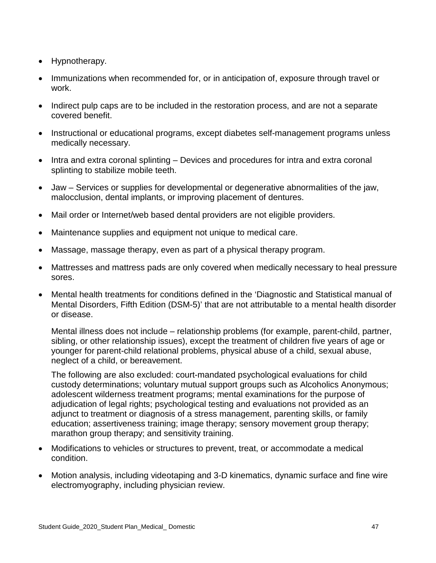- Hypnotherapy.
- Immunizations when recommended for, or in anticipation of, exposure through travel or work.
- Indirect pulp caps are to be included in the restoration process, and are not a separate covered benefit.
- Instructional or educational programs, except diabetes self-management programs unless medically necessary.
- Intra and extra coronal splinting Devices and procedures for intra and extra coronal splinting to stabilize mobile teeth.
- Jaw Services or supplies for developmental or degenerative abnormalities of the jaw, malocclusion, dental implants, or improving placement of dentures.
- Mail order or Internet/web based dental providers are not eligible providers.
- Maintenance supplies and equipment not unique to medical care.
- Massage, massage therapy, even as part of a physical therapy program.
- Mattresses and mattress pads are only covered when medically necessary to heal pressure sores.
- Mental health treatments for conditions defined in the 'Diagnostic and Statistical manual of Mental Disorders, Fifth Edition (DSM-5)' that are not attributable to a mental health disorder or disease.

Mental illness does not include – relationship problems (for example, parent-child, partner, sibling, or other relationship issues), except the treatment of children five years of age or younger for parent-child relational problems, physical abuse of a child, sexual abuse, neglect of a child, or bereavement.

The following are also excluded: court-mandated psychological evaluations for child custody determinations; voluntary mutual support groups such as Alcoholics Anonymous; adolescent wilderness treatment programs; mental examinations for the purpose of adjudication of legal rights; psychological testing and evaluations not provided as an adjunct to treatment or diagnosis of a stress management, parenting skills, or family education; assertiveness training; image therapy; sensory movement group therapy; marathon group therapy; and sensitivity training.

- Modifications to vehicles or structures to prevent, treat, or accommodate a medical condition.
- Motion analysis, including videotaping and 3-D kinematics, dynamic surface and fine wire electromyography, including physician review.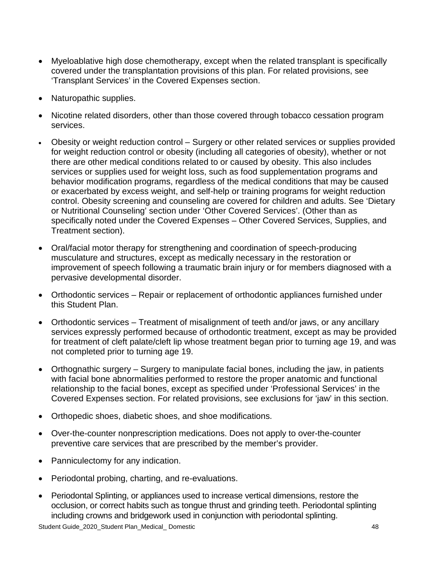- Myeloablative high dose chemotherapy, except when the related transplant is specifically covered under the transplantation provisions of this plan. For related provisions, see 'Transplant Services' in the Covered Expenses section.
- Naturopathic supplies.
- Nicotine related disorders, other than those covered through tobacco cessation program services.
- Obesity or weight reduction control Surgery or other related services or supplies provided for weight reduction control or obesity (including all categories of obesity), whether or not there are other medical conditions related to or caused by obesity. This also includes services or supplies used for weight loss, such as food supplementation programs and behavior modification programs, regardless of the medical conditions that may be caused or exacerbated by excess weight, and self-help or training programs for weight reduction control. Obesity screening and counseling are covered for children and adults. See 'Dietary or Nutritional Counseling' section under 'Other Covered Services'. (Other than as specifically noted under the Covered Expenses – Other Covered Services, Supplies, and Treatment section).
- Oral/facial motor therapy for strengthening and coordination of speech-producing musculature and structures, except as medically necessary in the restoration or improvement of speech following a traumatic brain injury or for members diagnosed with a pervasive developmental disorder.
- Orthodontic services Repair or replacement of orthodontic appliances furnished under this Student Plan.
- Orthodontic services Treatment of misalignment of teeth and/or jaws, or any ancillary services expressly performed because of orthodontic treatment, except as may be provided for treatment of cleft palate/cleft lip whose treatment began prior to turning age 19, and was not completed prior to turning age 19.
- Orthognathic surgery Surgery to manipulate facial bones, including the jaw, in patients with facial bone abnormalities performed to restore the proper anatomic and functional relationship to the facial bones, except as specified under 'Professional Services' in the Covered Expenses section. For related provisions, see exclusions for 'jaw' in this section.
- Orthopedic shoes, diabetic shoes, and shoe modifications.
- Over-the-counter nonprescription medications. Does not apply to over-the-counter preventive care services that are prescribed by the member's provider.
- Panniculectomy for any indication.
- Periodontal probing, charting, and re-evaluations.
- Periodontal Splinting, or appliances used to increase vertical dimensions, restore the occlusion, or correct habits such as tongue thrust and grinding teeth. Periodontal splinting including crowns and bridgework used in conjunction with periodontal splinting.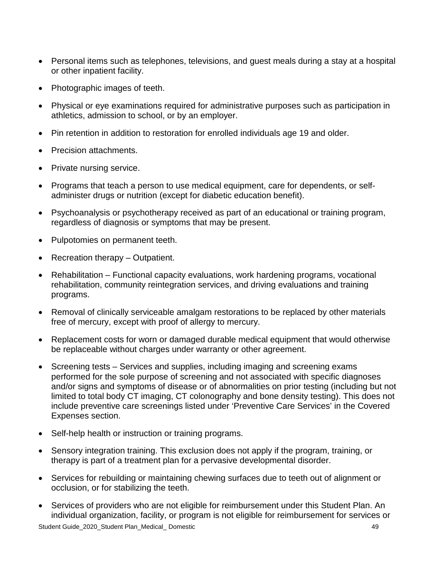- Personal items such as telephones, televisions, and guest meals during a stay at a hospital or other inpatient facility.
- Photographic images of teeth.
- Physical or eye examinations required for administrative purposes such as participation in athletics, admission to school, or by an employer.
- Pin retention in addition to restoration for enrolled individuals age 19 and older.
- Precision attachments.
- Private nursing service.
- Programs that teach a person to use medical equipment, care for dependents, or selfadminister drugs or nutrition (except for diabetic education benefit).
- Psychoanalysis or psychotherapy received as part of an educational or training program, regardless of diagnosis or symptoms that may be present.
- Pulpotomies on permanent teeth.
- Recreation therapy Outpatient.
- Rehabilitation Functional capacity evaluations, work hardening programs, vocational rehabilitation, community reintegration services, and driving evaluations and training programs.
- Removal of clinically serviceable amalgam restorations to be replaced by other materials free of mercury, except with proof of allergy to mercury.
- Replacement costs for worn or damaged durable medical equipment that would otherwise be replaceable without charges under warranty or other agreement.
- Screening tests Services and supplies, including imaging and screening exams performed for the sole purpose of screening and not associated with specific diagnoses and/or signs and symptoms of disease or of abnormalities on prior testing (including but not limited to total body CT imaging, CT colonography and bone density testing). This does not include preventive care screenings listed under 'Preventive Care Services' in the Covered Expenses section.
- Self-help health or instruction or training programs.
- Sensory integration training. This exclusion does not apply if the program, training, or therapy is part of a treatment plan for a pervasive developmental disorder.
- Services for rebuilding or maintaining chewing surfaces due to teeth out of alignment or occlusion, or for stabilizing the teeth.
- Student Guide\_2020\_Student Plan\_Medical\_ Domestic 49 • Services of providers who are not eligible for reimbursement under this Student Plan. An individual organization, facility, or program is not eligible for reimbursement for services or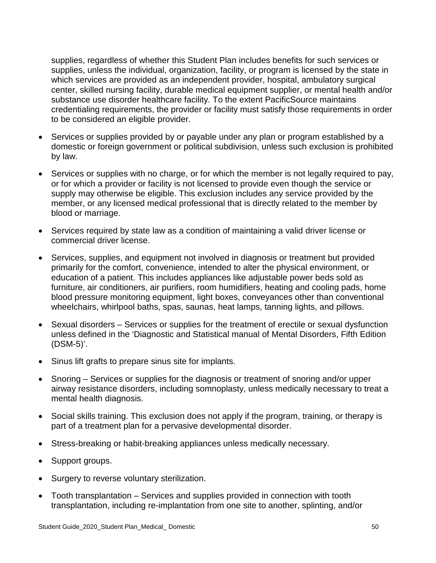supplies, regardless of whether this Student Plan includes benefits for such services or supplies, unless the individual, organization, facility, or program is licensed by the state in which services are provided as an independent provider, hospital, ambulatory surgical center, skilled nursing facility, durable medical equipment supplier, or mental health and/or substance use disorder healthcare facility. To the extent PacificSource maintains credentialing requirements, the provider or facility must satisfy those requirements in order to be considered an eligible provider.

- Services or supplies provided by or payable under any plan or program established by a domestic or foreign government or political subdivision, unless such exclusion is prohibited by law.
- Services or supplies with no charge, or for which the member is not legally required to pay, or for which a provider or facility is not licensed to provide even though the service or supply may otherwise be eligible. This exclusion includes any service provided by the member, or any licensed medical professional that is directly related to the member by blood or marriage.
- Services required by state law as a condition of maintaining a valid driver license or commercial driver license.
- Services, supplies, and equipment not involved in diagnosis or treatment but provided primarily for the comfort, convenience, intended to alter the physical environment, or education of a patient. This includes appliances like adjustable power beds sold as furniture, air conditioners, air purifiers, room humidifiers, heating and cooling pads, home blood pressure monitoring equipment, light boxes, conveyances other than conventional wheelchairs, whirlpool baths, spas, saunas, heat lamps, tanning lights, and pillows.
- Sexual disorders Services or supplies for the treatment of erectile or sexual dysfunction unless defined in the 'Diagnostic and Statistical manual of Mental Disorders, Fifth Edition (DSM-5)'.
- Sinus lift grafts to prepare sinus site for implants.
- Snoring Services or supplies for the diagnosis or treatment of snoring and/or upper airway resistance disorders, including somnoplasty, unless medically necessary to treat a mental health diagnosis.
- Social skills training. This exclusion does not apply if the program, training, or therapy is part of a treatment plan for a pervasive developmental disorder.
- Stress-breaking or habit-breaking appliances unless medically necessary.
- Support groups.
- Surgery to reverse voluntary sterilization.
- Tooth transplantation Services and supplies provided in connection with tooth transplantation, including re-implantation from one site to another, splinting, and/or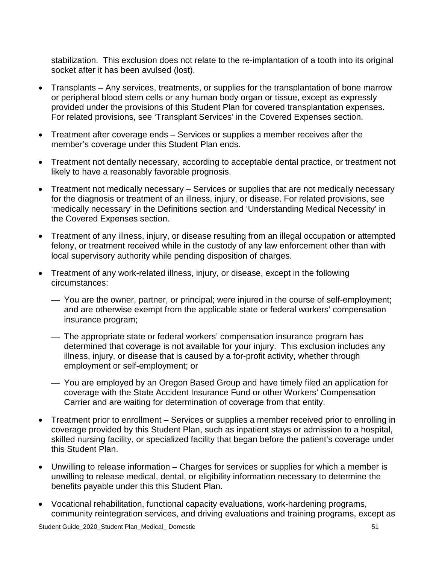stabilization. This exclusion does not relate to the re-implantation of a tooth into its original socket after it has been avulsed (lost).

- Transplants Any services, treatments, or supplies for the transplantation of bone marrow or peripheral blood stem cells or any human body organ or tissue, except as expressly provided under the provisions of this Student Plan for covered transplantation expenses. For related provisions, see 'Transplant Services' in the Covered Expenses section.
- Treatment after coverage ends Services or supplies a member receives after the member's coverage under this Student Plan ends.
- Treatment not dentally necessary, according to acceptable dental practice, or treatment not likely to have a reasonably favorable prognosis.
- Treatment not medically necessary Services or supplies that are not medically necessary for the diagnosis or treatment of an illness, injury, or disease. For related provisions, see 'medically necessary' in the Definitions section and 'Understanding Medical Necessity' in the Covered Expenses section.
- Treatment of any illness, injury, or disease resulting from an illegal occupation or attempted felony, or treatment received while in the custody of any law enforcement other than with local supervisory authority while pending disposition of charges.
- Treatment of any work-related illness, injury, or disease, except in the following circumstances:
	- You are the owner, partner, or principal; were injured in the course of self-employment; and are otherwise exempt from the applicable state or federal workers' compensation insurance program;
	- The appropriate state or federal workers' compensation insurance program has determined that coverage is not available for your injury. This exclusion includes any illness, injury, or disease that is caused by a for-profit activity, whether through employment or self-employment; or
	- You are employed by an Oregon Based Group and have timely filed an application for coverage with the State Accident Insurance Fund or other Workers' Compensation Carrier and are waiting for determination of coverage from that entity.
- Treatment prior to enrollment Services or supplies a member received prior to enrolling in coverage provided by this Student Plan, such as inpatient stays or admission to a hospital, skilled nursing facility, or specialized facility that began before the patient's coverage under this Student Plan.
- Unwilling to release information Charges for services or supplies for which a member is unwilling to release medical, dental, or eligibility information necessary to determine the benefits payable under this this Student Plan.
- Vocational rehabilitation, functional capacity evaluations, work-hardening programs, community reintegration services, and driving evaluations and training programs, except as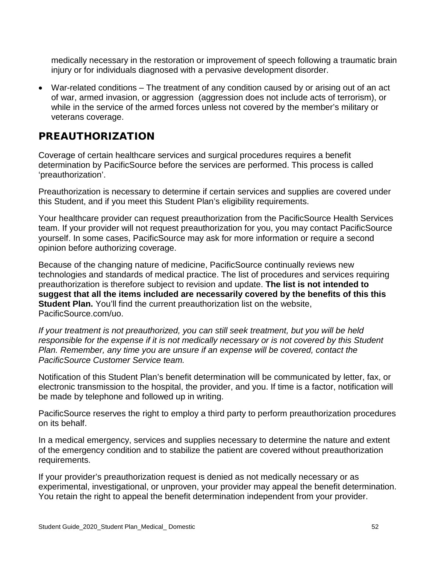medically necessary in the restoration or improvement of speech following a traumatic brain injury or for individuals diagnosed with a pervasive development disorder.

• War-related conditions – The treatment of any condition caused by or arising out of an act of war, armed invasion, or aggression (aggression does not include acts of terrorism), or while in the service of the armed forces unless not covered by the member's military or veterans coverage.

### PREAUTHORIZATION

Coverage of certain healthcare services and surgical procedures requires a benefit determination by PacificSource before the services are performed. This process is called 'preauthorization'.

Preauthorization is necessary to determine if certain services and supplies are covered under this Student, and if you meet this Student Plan's eligibility requirements.

Your healthcare provider can request preauthorization from the PacificSource Health Services team. If your provider will not request preauthorization for you, you may contact PacificSource yourself. In some cases, PacificSource may ask for more information or require a second opinion before authorizing coverage.

Because of the changing nature of medicine, PacificSource continually reviews new technologies and standards of medical practice. The list of procedures and services requiring preauthorization is therefore subject to revision and update. **The list is not intended to suggest that all the items included are necessarily covered by the benefits of this this Student Plan.** You'll find the current preauthorization list on the website, PacificSource.com/uo.

*If your treatment is not preauthorized, you can still seek treatment, but you will be held responsible for the expense if it is not medically necessary or is not covered by this Student*  Plan. Remember, any time you are unsure if an expense will be covered, contact the *PacificSource Customer Service team.* 

Notification of this Student Plan's benefit determination will be communicated by letter, fax, or electronic transmission to the hospital, the provider, and you. If time is a factor, notification will be made by telephone and followed up in writing.

PacificSource reserves the right to employ a third party to perform preauthorization procedures on its behalf.

In a medical emergency, services and supplies necessary to determine the nature and extent of the emergency condition and to stabilize the patient are covered without preauthorization requirements.

If your provider's preauthorization request is denied as not medically necessary or as experimental, investigational, or unproven, your provider may appeal the benefit determination. You retain the right to appeal the benefit determination independent from your provider.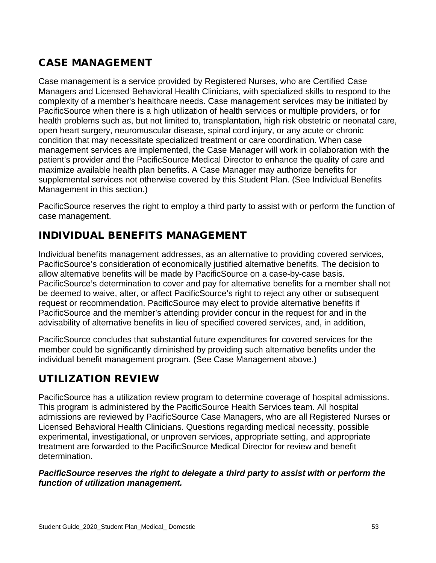## CASE MANAGEMENT

Case management is a service provided by Registered Nurses, who are Certified Case Managers and Licensed Behavioral Health Clinicians, with specialized skills to respond to the complexity of a member's healthcare needs. Case management services may be initiated by PacificSource when there is a high utilization of health services or multiple providers, or for health problems such as, but not limited to, transplantation, high risk obstetric or neonatal care, open heart surgery, neuromuscular disease, spinal cord injury, or any acute or chronic condition that may necessitate specialized treatment or care coordination. When case management services are implemented, the Case Manager will work in collaboration with the patient's provider and the PacificSource Medical Director to enhance the quality of care and maximize available health plan benefits. A Case Manager may authorize benefits for supplemental services not otherwise covered by this Student Plan. (See Individual Benefits Management in this section.)

PacificSource reserves the right to employ a third party to assist with or perform the function of case management.

# INDIVIDUAL BENEFITS MANAGEMENT

Individual benefits management addresses, as an alternative to providing covered services, PacificSource's consideration of economically justified alternative benefits. The decision to allow alternative benefits will be made by PacificSource on a case-by-case basis. PacificSource's determination to cover and pay for alternative benefits for a member shall not be deemed to waive, alter, or affect PacificSource's right to reject any other or subsequent request or recommendation. PacificSource may elect to provide alternative benefits if PacificSource and the member's attending provider concur in the request for and in the advisability of alternative benefits in lieu of specified covered services, and, in addition,

PacificSource concludes that substantial future expenditures for covered services for the member could be significantly diminished by providing such alternative benefits under the individual benefit management program. (See Case Management above.)

# UTILIZATION REVIEW

PacificSource has a utilization review program to determine coverage of hospital admissions. This program is administered by the PacificSource Health Services team. All hospital admissions are reviewed by PacificSource Case Managers, who are all Registered Nurses or Licensed Behavioral Health Clinicians. Questions regarding medical necessity, possible experimental, investigational, or unproven services, appropriate setting, and appropriate treatment are forwarded to the PacificSource Medical Director for review and benefit determination.

#### *PacificSource reserves the right to delegate a third party to assist with or perform the function of utilization management.*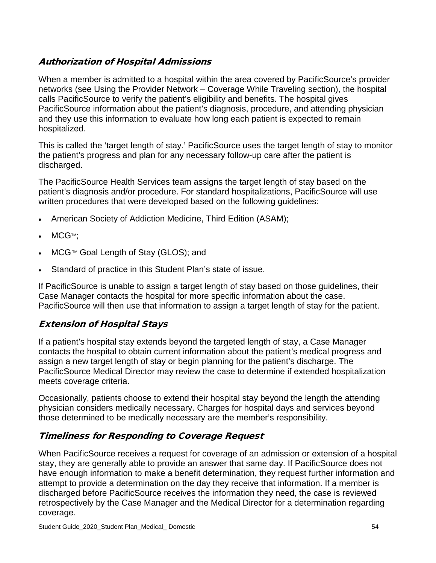### Authorization of Hospital Admissions

When a member is admitted to a hospital within the area covered by PacificSource's provider networks (see Using the Provider Network – Coverage While Traveling section), the hospital calls PacificSource to verify the patient's eligibility and benefits. The hospital gives PacificSource information about the patient's diagnosis, procedure, and attending physician and they use this information to evaluate how long each patient is expected to remain hospitalized.

This is called the 'target length of stay.' PacificSource uses the target length of stay to monitor the patient's progress and plan for any necessary follow-up care after the patient is discharged.

The PacificSource Health Services team assigns the target length of stay based on the patient's diagnosis and/or procedure. For standard hospitalizations, PacificSource will use written procedures that were developed based on the following guidelines:

- American Society of Addiction Medicine, Third Edition (ASAM);
- MCG™:
- MCG™ Goal Length of Stay (GLOS); and
- Standard of practice in this Student Plan's state of issue.

If PacificSource is unable to assign a target length of stay based on those guidelines, their Case Manager contacts the hospital for more specific information about the case. PacificSource will then use that information to assign a target length of stay for the patient.

### Extension of Hospital Stays

If a patient's hospital stay extends beyond the targeted length of stay, a Case Manager contacts the hospital to obtain current information about the patient's medical progress and assign a new target length of stay or begin planning for the patient's discharge. The PacificSource Medical Director may review the case to determine if extended hospitalization meets coverage criteria.

Occasionally, patients choose to extend their hospital stay beyond the length the attending physician considers medically necessary. Charges for hospital days and services beyond those determined to be medically necessary are the member's responsibility.

### Timeliness for Responding to Coverage Request

When PacificSource receives a request for coverage of an admission or extension of a hospital stay, they are generally able to provide an answer that same day. If PacificSource does not have enough information to make a benefit determination, they request further information and attempt to provide a determination on the day they receive that information. If a member is discharged before PacificSource receives the information they need, the case is reviewed retrospectively by the Case Manager and the Medical Director for a determination regarding coverage.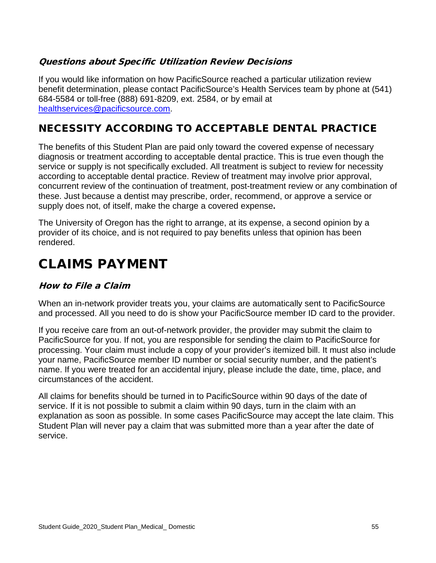### Questions about Specific Utilization Review Decisions

If you would like information on how PacificSource reached a particular utilization review benefit determination, please contact PacificSource's Health Services team by phone at (541) 684-5584 or toll-free (888) 691-8209, ext. 2584, or by email at [healthservices@pacificsource.com.](mailto:healthservices@pacificsource.com)

# NECESSITY ACCORDING TO ACCEPTABLE DENTAL PRACTICE

The benefits of this Student Plan are paid only toward the covered expense of necessary diagnosis or treatment according to acceptable dental practice. This is true even though the service or supply is not specifically excluded. All treatment is subject to review for necessity according to acceptable dental practice. Review of treatment may involve prior approval, concurrent review of the continuation of treatment, post-treatment review or any combination of these. Just because a dentist may prescribe, order, recommend, or approve a service or supply does not, of itself, make the charge a covered expense**.**

The University of Oregon has the right to arrange, at its expense, a second opinion by a provider of its choice, and is not required to pay benefits unless that opinion has been rendered.

# CLAIMS PAYMENT

### How to File a Claim

When an in-network provider treats you, your claims are automatically sent to PacificSource and processed. All you need to do is show your PacificSource member ID card to the provider.

If you receive care from an out-of-network provider, the provider may submit the claim to PacificSource for you. If not, you are responsible for sending the claim to PacificSource for processing. Your claim must include a copy of your provider's itemized bill. It must also include your name, PacificSource member ID number or social security number, and the patient's name. If you were treated for an accidental injury, please include the date, time, place, and circumstances of the accident.

All claims for benefits should be turned in to PacificSource within 90 days of the date of service. If it is not possible to submit a claim within 90 days, turn in the claim with an explanation as soon as possible. In some cases PacificSource may accept the late claim. This Student Plan will never pay a claim that was submitted more than a year after the date of service.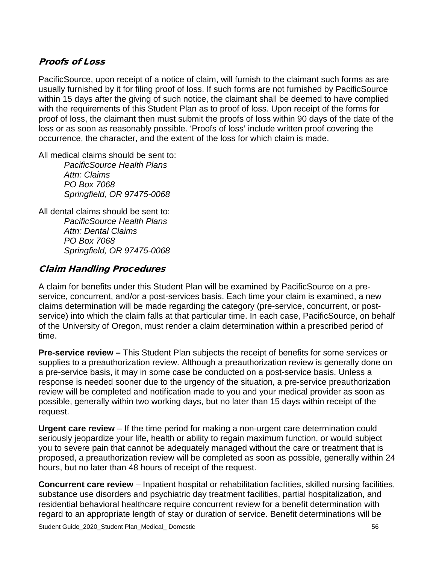### Proofs of Loss

PacificSource, upon receipt of a notice of claim, will furnish to the claimant such forms as are usually furnished by it for filing proof of loss. If such forms are not furnished by PacificSource within 15 days after the giving of such notice, the claimant shall be deemed to have complied with the requirements of this Student Plan as to proof of loss. Upon receipt of the forms for proof of loss, the claimant then must submit the proofs of loss within 90 days of the date of the loss or as soon as reasonably possible. 'Proofs of loss' include written proof covering the occurrence, the character, and the extent of the loss for which claim is made.

All medical claims should be sent to:

*PacificSource Health Plans Attn: Claims PO Box 7068 Springfield, OR 97475-0068*

All dental claims should be sent to: *PacificSource Health Plans Attn: Dental Claims PO Box 7068 Springfield, OR 97475-0068*

### Claim Handling Procedures

A claim for benefits under this Student Plan will be examined by PacificSource on a preservice, concurrent, and/or a post-services basis. Each time your claim is examined, a new claims determination will be made regarding the category (pre-service, concurrent, or postservice) into which the claim falls at that particular time. In each case, PacificSource, on behalf of the University of Oregon, must render a claim determination within a prescribed period of time.

**Pre-service review –** This Student Plan subjects the receipt of benefits for some services or supplies to a preauthorization review. Although a preauthorization review is generally done on a pre-service basis, it may in some case be conducted on a post-service basis. Unless a response is needed sooner due to the urgency of the situation, a pre-service preauthorization review will be completed and notification made to you and your medical provider as soon as possible, generally within two working days, but no later than 15 days within receipt of the request.

**Urgent care review** – If the time period for making a non-urgent care determination could seriously jeopardize your life, health or ability to regain maximum function, or would subject you to severe pain that cannot be adequately managed without the care or treatment that is proposed, a preauthorization review will be completed as soon as possible, generally within 24 hours, but no later than 48 hours of receipt of the request.

**Concurrent care review** – Inpatient hospital or rehabilitation facilities, skilled nursing facilities, substance use disorders and psychiatric day treatment facilities, partial hospitalization, and residential behavioral healthcare require concurrent review for a benefit determination with regard to an appropriate length of stay or duration of service. Benefit determinations will be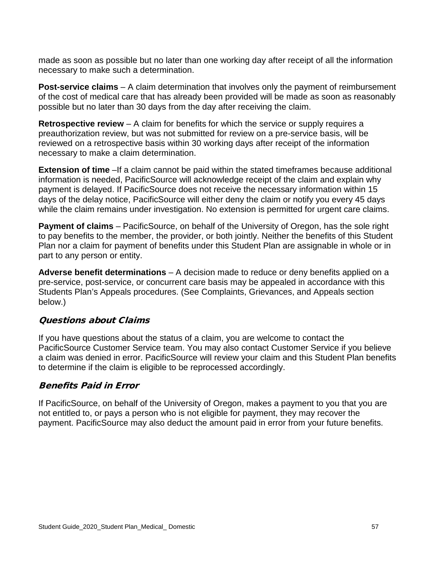made as soon as possible but no later than one working day after receipt of all the information necessary to make such a determination.

**Post-service claims** – A claim determination that involves only the payment of reimbursement of the cost of medical care that has already been provided will be made as soon as reasonably possible but no later than 30 days from the day after receiving the claim.

**Retrospective review** – A claim for benefits for which the service or supply requires a preauthorization review, but was not submitted for review on a pre-service basis, will be reviewed on a retrospective basis within 30 working days after receipt of the information necessary to make a claim determination.

**Extension of time** –If a claim cannot be paid within the stated timeframes because additional information is needed, PacificSource will acknowledge receipt of the claim and explain why payment is delayed. If PacificSource does not receive the necessary information within 15 days of the delay notice, PacificSource will either deny the claim or notify you every 45 days while the claim remains under investigation. No extension is permitted for urgent care claims.

**Payment of claims** – PacificSource, on behalf of the University of Oregon, has the sole right to pay benefits to the member, the provider, or both jointly. Neither the benefits of this Student Plan nor a claim for payment of benefits under this Student Plan are assignable in whole or in part to any person or entity.

**Adverse benefit determinations** – A decision made to reduce or deny benefits applied on a pre-service, post-service, or concurrent care basis may be appealed in accordance with this Students Plan's Appeals procedures. (See Complaints, Grievances, and Appeals section below.)

### Questions about Claims

If you have questions about the status of a claim, you are welcome to contact the PacificSource Customer Service team. You may also contact Customer Service if you believe a claim was denied in error. PacificSource will review your claim and this Student Plan benefits to determine if the claim is eligible to be reprocessed accordingly.

### Benefits Paid in Error

If PacificSource, on behalf of the University of Oregon, makes a payment to you that you are not entitled to, or pays a person who is not eligible for payment, they may recover the payment. PacificSource may also deduct the amount paid in error from your future benefits.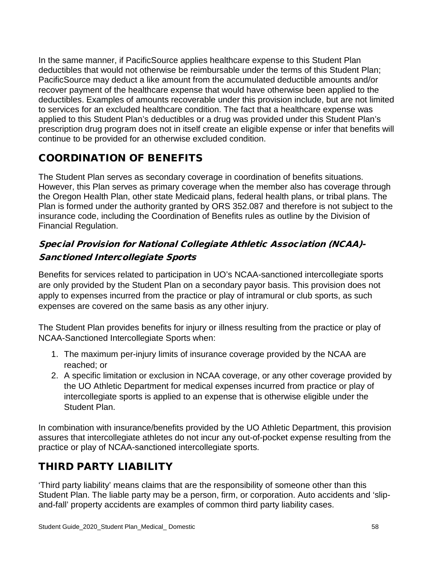In the same manner, if PacificSource applies healthcare expense to this Student Plan deductibles that would not otherwise be reimbursable under the terms of this Student Plan; PacificSource may deduct a like amount from the accumulated deductible amounts and/or recover payment of the healthcare expense that would have otherwise been applied to the deductibles. Examples of amounts recoverable under this provision include, but are not limited to services for an excluded healthcare condition. The fact that a healthcare expense was applied to this Student Plan's deductibles or a drug was provided under this Student Plan's prescription drug program does not in itself create an eligible expense or infer that benefits will continue to be provided for an otherwise excluded condition.

## COORDINATION OF BENEFITS

The Student Plan serves as secondary coverage in coordination of benefits situations. However, this Plan serves as primary coverage when the member also has coverage through the Oregon Health Plan, other state Medicaid plans, federal health plans, or tribal plans. The Plan is formed under the authority granted by ORS 352.087 and therefore is not subject to the insurance code, including the Coordination of Benefits rules as outline by the Division of Financial Regulation.

### Special Provision for National Collegiate Athletic Association (NCAA)- Sanctioned Intercollegiate Sports

Benefits for services related to participation in UO's NCAA-sanctioned intercollegiate sports are only provided by the Student Plan on a secondary payor basis. This provision does not apply to expenses incurred from the practice or play of intramural or club sports, as such expenses are covered on the same basis as any other injury.

The Student Plan provides benefits for injury or illness resulting from the practice or play of NCAA-Sanctioned Intercollegiate Sports when:

- 1. The maximum per-injury limits of insurance coverage provided by the NCAA are reached; or
- 2. A specific limitation or exclusion in NCAA coverage, or any other coverage provided by the UO Athletic Department for medical expenses incurred from practice or play of intercollegiate sports is applied to an expense that is otherwise eligible under the Student Plan.

In combination with insurance/benefits provided by the UO Athletic Department, this provision assures that intercollegiate athletes do not incur any out-of-pocket expense resulting from the practice or play of NCAA-sanctioned intercollegiate sports.

## THIRD PARTY LIABILITY

'Third party liability' means claims that are the responsibility of someone other than this Student Plan. The liable party may be a person, firm, or corporation. Auto accidents and 'slipand-fall' property accidents are examples of common third party liability cases.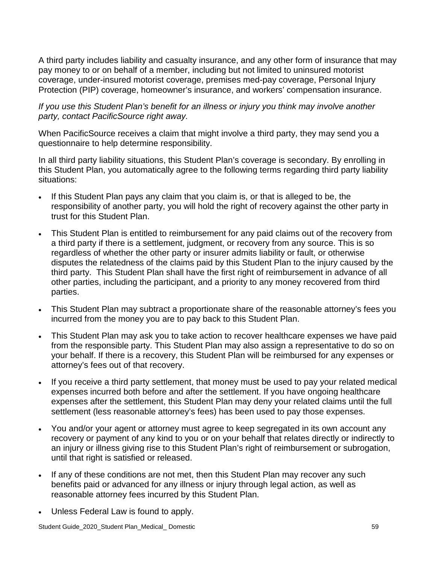A third party includes liability and casualty insurance, and any other form of insurance that may pay money to or on behalf of a member, including but not limited to uninsured motorist coverage, under-insured motorist coverage, premises med-pay coverage, Personal Injury Protection (PIP) coverage, homeowner's insurance, and workers' compensation insurance.

### *If you use this Student Plan's benefit for an illness or injury you think may involve another party, contact PacificSource right away.*

When PacificSource receives a claim that might involve a third party, they may send you a questionnaire to help determine responsibility.

In all third party liability situations, this Student Plan's coverage is secondary. By enrolling in this Student Plan, you automatically agree to the following terms regarding third party liability situations:

- If this Student Plan pays any claim that you claim is, or that is alleged to be, the responsibility of another party, you will hold the right of recovery against the other party in trust for this Student Plan.
- This Student Plan is entitled to reimbursement for any paid claims out of the recovery from a third party if there is a settlement, judgment, or recovery from any source. This is so regardless of whether the other party or insurer admits liability or fault, or otherwise disputes the relatedness of the claims paid by this Student Plan to the injury caused by the third party. This Student Plan shall have the first right of reimbursement in advance of all other parties, including the participant, and a priority to any money recovered from third parties.
- This Student Plan may subtract a proportionate share of the reasonable attorney's fees you incurred from the money you are to pay back to this Student Plan.
- This Student Plan may ask you to take action to recover healthcare expenses we have paid from the responsible party. This Student Plan may also assign a representative to do so on your behalf. If there is a recovery, this Student Plan will be reimbursed for any expenses or attorney's fees out of that recovery.
- If you receive a third party settlement, that money must be used to pay your related medical expenses incurred both before and after the settlement. If you have ongoing healthcare expenses after the settlement, this Student Plan may deny your related claims until the full settlement (less reasonable attorney's fees) has been used to pay those expenses.
- You and/or your agent or attorney must agree to keep segregated in its own account any recovery or payment of any kind to you or on your behalf that relates directly or indirectly to an injury or illness giving rise to this Student Plan's right of reimbursement or subrogation, until that right is satisfied or released.
- If any of these conditions are not met, then this Student Plan may recover any such benefits paid or advanced for any illness or injury through legal action, as well as reasonable attorney fees incurred by this Student Plan.
- Unless Federal Law is found to apply.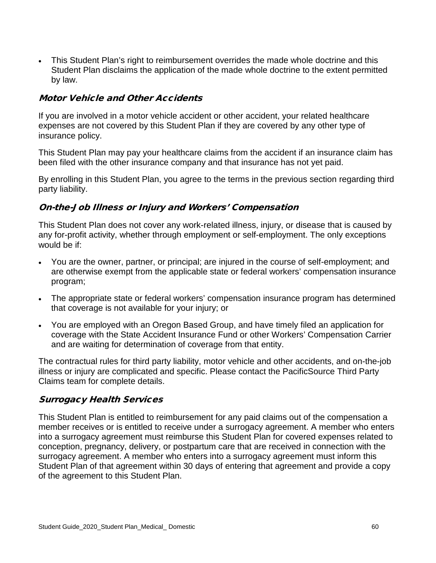• This Student Plan's right to reimbursement overrides the made whole doctrine and this Student Plan disclaims the application of the made whole doctrine to the extent permitted by law.

### Motor Vehicle and Other Accidents

If you are involved in a motor vehicle accident or other accident, your related healthcare expenses are not covered by this Student Plan if they are covered by any other type of insurance policy.

This Student Plan may pay your healthcare claims from the accident if an insurance claim has been filed with the other insurance company and that insurance has not yet paid.

By enrolling in this Student Plan, you agree to the terms in the previous section regarding third party liability.

### On-the-Job Illness or Injury and Workers' Compensation

This Student Plan does not cover any work-related illness, injury, or disease that is caused by any for-profit activity, whether through employment or self-employment. The only exceptions would be if:

- You are the owner, partner, or principal; are injured in the course of self-employment; and are otherwise exempt from the applicable state or federal workers' compensation insurance program;
- The appropriate state or federal workers' compensation insurance program has determined that coverage is not available for your injury; or
- You are employed with an Oregon Based Group, and have timely filed an application for coverage with the State Accident Insurance Fund or other Workers' Compensation Carrier and are waiting for determination of coverage from that entity.

The contractual rules for third party liability, motor vehicle and other accidents, and on-the-job illness or injury are complicated and specific. Please contact the PacificSource Third Party Claims team for complete details.

### Surrogacy Health Services

This Student Plan is entitled to reimbursement for any paid claims out of the compensation a member receives or is entitled to receive under a surrogacy agreement. A member who enters into a surrogacy agreement must reimburse this Student Plan for covered expenses related to conception, pregnancy, delivery, or postpartum care that are received in connection with the surrogacy agreement. A member who enters into a surrogacy agreement must inform this Student Plan of that agreement within 30 days of entering that agreement and provide a copy of the agreement to this Student Plan.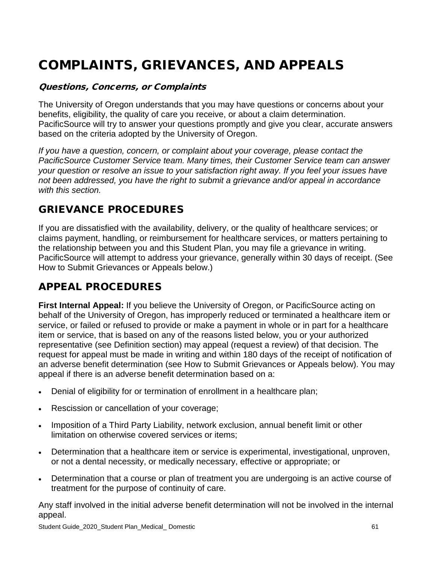# COMPLAINTS, GRIEVANCES, AND APPEALS

### Questions, Concerns, or Complaints

The University of Oregon understands that you may have questions or concerns about your benefits, eligibility, the quality of care you receive, or about a claim determination. PacificSource will try to answer your questions promptly and give you clear, accurate answers based on the criteria adopted by the University of Oregon.

*If you have a question, concern, or complaint about your coverage, please contact the PacificSource Customer Service team. Many times, their Customer Service team can answer your question or resolve an issue to your satisfaction right away. If you feel your issues have not been addressed, you have the right to submit a grievance and/or appeal in accordance with this section.* 

### GRIEVANCE PROCEDURES

If you are dissatisfied with the availability, delivery, or the quality of healthcare services; or claims payment, handling, or reimbursement for healthcare services, or matters pertaining to the relationship between you and this Student Plan, you may file a grievance in writing. PacificSource will attempt to address your grievance, generally within 30 days of receipt. (See How to Submit Grievances or Appeals below.)

## APPEAL PROCEDURES

**First Internal Appeal:** If you believe the University of Oregon, or PacificSource acting on behalf of the University of Oregon, has improperly reduced or terminated a healthcare item or service, or failed or refused to provide or make a payment in whole or in part for a healthcare item or service, that is based on any of the reasons listed below, you or your authorized representative (see Definition section) may appeal (request a review) of that decision. The request for appeal must be made in writing and within 180 days of the receipt of notification of an adverse benefit determination (see How to Submit Grievances or Appeals below). You may appeal if there is an adverse benefit determination based on a:

- Denial of eligibility for or termination of enrollment in a healthcare plan;
- Rescission or cancellation of your coverage;
- Imposition of a Third Party Liability, network exclusion, annual benefit limit or other limitation on otherwise covered services or items;
- Determination that a healthcare item or service is experimental, investigational, unproven, or not a dental necessity, or medically necessary, effective or appropriate; or
- Determination that a course or plan of treatment you are undergoing is an active course of treatment for the purpose of continuity of care.

Any staff involved in the initial adverse benefit determination will not be involved in the internal appeal.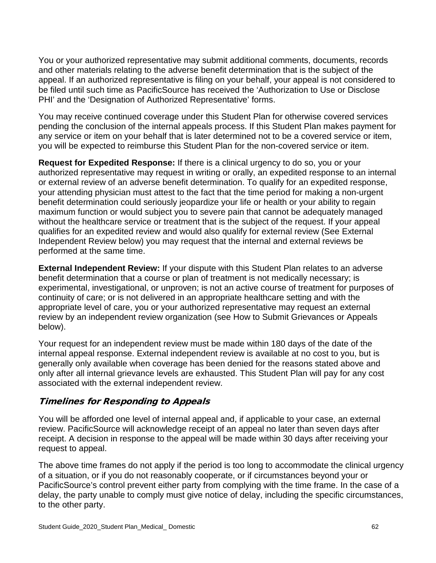You or your authorized representative may submit additional comments, documents, records and other materials relating to the adverse benefit determination that is the subject of the appeal. If an authorized representative is filing on your behalf, your appeal is not considered to be filed until such time as PacificSource has received the 'Authorization to Use or Disclose PHI' and the 'Designation of Authorized Representative' forms.

You may receive continued coverage under this Student Plan for otherwise covered services pending the conclusion of the internal appeals process. If this Student Plan makes payment for any service or item on your behalf that is later determined not to be a covered service or item, you will be expected to reimburse this Student Plan for the non-covered service or item.

**Request for Expedited Response:** If there is a clinical urgency to do so, you or your authorized representative may request in writing or orally, an expedited response to an internal or external review of an adverse benefit determination. To qualify for an expedited response, your attending physician must attest to the fact that the time period for making a non-urgent benefit determination could seriously jeopardize your life or health or your ability to regain maximum function or would subject you to severe pain that cannot be adequately managed without the healthcare service or treatment that is the subject of the request. If your appeal qualifies for an expedited review and would also qualify for external review (See External Independent Review below) you may request that the internal and external reviews be performed at the same time.

**External Independent Review:** If your dispute with this Student Plan relates to an adverse benefit determination that a course or plan of treatment is not medically necessary; is experimental, investigational, or unproven; is not an active course of treatment for purposes of continuity of care; or is not delivered in an appropriate healthcare setting and with the appropriate level of care, you or your authorized representative may request an external review by an independent review organization (see How to Submit Grievances or Appeals below).

Your request for an independent review must be made within 180 days of the date of the internal appeal response. External independent review is available at no cost to you, but is generally only available when coverage has been denied for the reasons stated above and only after all internal grievance levels are exhausted. This Student Plan will pay for any cost associated with the external independent review.

### Timelines for Responding to Appeals

You will be afforded one level of internal appeal and, if applicable to your case, an external review. PacificSource will acknowledge receipt of an appeal no later than seven days after receipt. A decision in response to the appeal will be made within 30 days after receiving your request to appeal.

The above time frames do not apply if the period is too long to accommodate the clinical urgency of a situation, or if you do not reasonably cooperate, or if circumstances beyond your or PacificSource's control prevent either party from complying with the time frame. In the case of a delay, the party unable to comply must give notice of delay, including the specific circumstances, to the other party.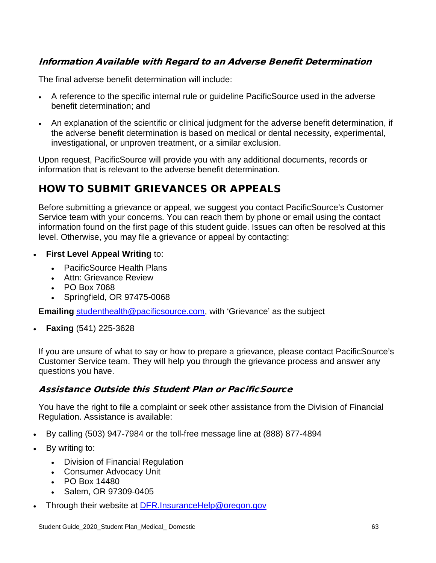### Information Available with Regard to an Adverse Benefit Determination

The final adverse benefit determination will include:

- A reference to the specific internal rule or guideline PacificSource used in the adverse benefit determination; and
- An explanation of the scientific or clinical judgment for the adverse benefit determination, if the adverse benefit determination is based on medical or dental necessity, experimental, investigational, or unproven treatment, or a similar exclusion.

Upon request, PacificSource will provide you with any additional documents, records or information that is relevant to the adverse benefit determination.

## HOW TO SUBMIT GRIEVANCES OR APPEALS

Before submitting a grievance or appeal, we suggest you contact PacificSource's Customer Service team with your concerns. You can reach them by phone or email using the contact information found on the first page of this student guide. Issues can often be resolved at this level. Otherwise, you may file a grievance or appeal by contacting:

- **First Level Appeal Writing to:** 
	- PacificSource Health Plans
	- Attn: Grievance Review
	- PO Box 7068
	- Springfield, OR 97475-0068

**Emailing** [studenthealth@pacificsource.com,](mailto:studenthealth@pacificsource.com) with 'Grievance' as the subject

• **Faxing** (541) 225-3628

If you are unsure of what to say or how to prepare a grievance, please contact PacificSource's Customer Service team. They will help you through the grievance process and answer any questions you have.

### Assistance Outside this Student Plan or PacificSource

You have the right to file a complaint or seek other assistance from the Division of Financial Regulation. Assistance is available:

- By calling (503) 947-7984 or the toll-free message line at (888) 877-4894
- By writing to:
	- Division of Financial Regulation
	- Consumer Advocacy Unit
	- PO Box 14480
	- Salem, OR 97309-0405
- Through their website at **[DFR.InsuranceHelp@oregon.gov](mailto:DFR.InsuranceHelp@oregon.gov)**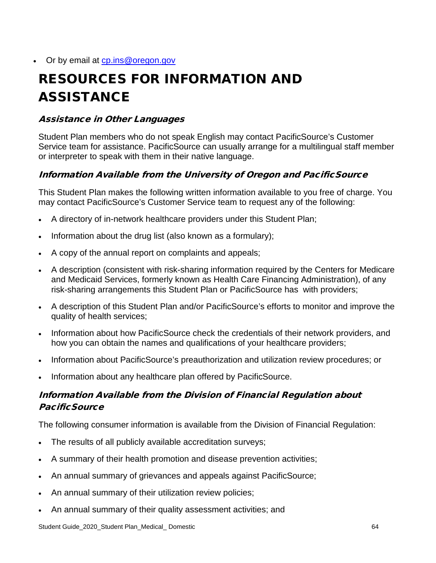### Or by email at cp.ins@oregon.gov

# RESOURCES FOR INFORMATION AND ASSISTANCE

### Assistance in Other Languages

Student Plan members who do not speak English may contact PacificSource's Customer Service team for assistance. PacificSource can usually arrange for a multilingual staff member or interpreter to speak with them in their native language.

### Information Available from the University of Oregon and PacificSource

This Student Plan makes the following written information available to you free of charge. You may contact PacificSource's Customer Service team to request any of the following:

- A directory of in-network healthcare providers under this Student Plan;
- Information about the drug list (also known as a formulary);
- A copy of the annual report on complaints and appeals;
- A description (consistent with risk-sharing information required by the Centers for Medicare and Medicaid Services, formerly known as Health Care Financing Administration), of any risk-sharing arrangements this Student Plan or PacificSource has with providers;
- A description of this Student Plan and/or PacificSource's efforts to monitor and improve the quality of health services;
- Information about how PacificSource check the credentials of their network providers, and how you can obtain the names and qualifications of your healthcare providers;
- Information about PacificSource's preauthorization and utilization review procedures; or
- Information about any healthcare plan offered by PacificSource.

### Information Available from the Division of Financial Regulation about **PacificSource**

The following consumer information is available from the Division of Financial Regulation:

- The results of all publicly available accreditation surveys;
- A summary of their health promotion and disease prevention activities;
- An annual summary of grievances and appeals against PacificSource;
- An annual summary of their utilization review policies;
- An annual summary of their quality assessment activities; and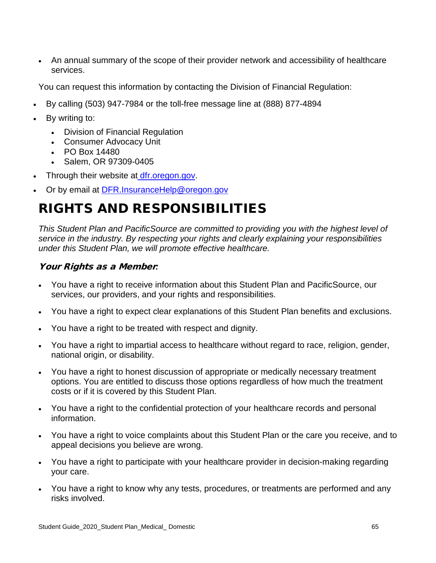• An annual summary of the scope of their provider network and accessibility of healthcare services.

You can request this information by contacting the Division of Financial Regulation:

- By calling (503) 947-7984 or the toll-free message line at (888) 877-4894
- By writing to:
	- Division of Financial Regulation
	- Consumer Advocacy Unit
	- PO Box 14480
	- Salem, OR 97309-0405
- Through their website at *[dfr.oregon.gov.](file://gruyere/Data/SBA_Operations/Updated%20PSA%20desktops/PSA_Pdx/0%20ASO%20Documents%20Do%20Not%20Use%20or%20Move%20Folder/Client%20Folders/University%20of%20Oregon/2019%20PD/dfr.oregon.gov)*
- Or by email at [DFR.InsuranceHelp@oregon.gov](mailto:DFR.InsuranceHelp@oregon.gov)

## RIGHTS AND RESPONSIBILITIES

*This Student Plan and PacificSource are committed to providing you with the highest level of service in the industry. By respecting your rights and clearly explaining your responsibilities under this Student Plan, we will promote effective healthcare.* 

### Your Rights as a Member*:*

- You have a right to receive information about this Student Plan and PacificSource, our services, our providers, and your rights and responsibilities.
- You have a right to expect clear explanations of this Student Plan benefits and exclusions.
- You have a right to be treated with respect and dignity.
- You have a right to impartial access to healthcare without regard to race, religion, gender, national origin, or disability.
- You have a right to honest discussion of appropriate or medically necessary treatment options. You are entitled to discuss those options regardless of how much the treatment costs or if it is covered by this Student Plan.
- You have a right to the confidential protection of your healthcare records and personal information.
- You have a right to voice complaints about this Student Plan or the care you receive, and to appeal decisions you believe are wrong.
- You have a right to participate with your healthcare provider in decision-making regarding your care.
- You have a right to know why any tests, procedures, or treatments are performed and any risks involved.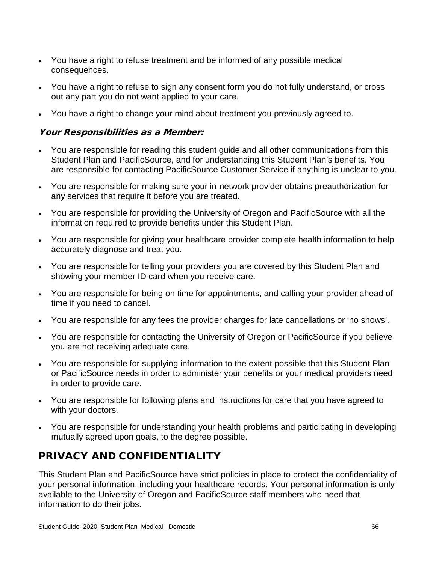- You have a right to refuse treatment and be informed of any possible medical consequences.
- You have a right to refuse to sign any consent form you do not fully understand, or cross out any part you do not want applied to your care.
- You have a right to change your mind about treatment you previously agreed to.

### Your Responsibilities as a Member:

- You are responsible for reading this student guide and all other communications from this Student Plan and PacificSource, and for understanding this Student Plan's benefits. You are responsible for contacting PacificSource Customer Service if anything is unclear to you.
- You are responsible for making sure your in-network provider obtains preauthorization for any services that require it before you are treated.
- You are responsible for providing the University of Oregon and PacificSource with all the information required to provide benefits under this Student Plan.
- You are responsible for giving your healthcare provider complete health information to help accurately diagnose and treat you.
- You are responsible for telling your providers you are covered by this Student Plan and showing your member ID card when you receive care.
- You are responsible for being on time for appointments, and calling your provider ahead of time if you need to cancel.
- You are responsible for any fees the provider charges for late cancellations or 'no shows'.
- You are responsible for contacting the University of Oregon or PacificSource if you believe you are not receiving adequate care.
- You are responsible for supplying information to the extent possible that this Student Plan or PacificSource needs in order to administer your benefits or your medical providers need in order to provide care.
- You are responsible for following plans and instructions for care that you have agreed to with your doctors.
- You are responsible for understanding your health problems and participating in developing mutually agreed upon goals, to the degree possible.

## PRIVACY AND CONFIDENTIALITY

This Student Plan and PacificSource have strict policies in place to protect the confidentiality of your personal information, including your healthcare records. Your personal information is only available to the University of Oregon and PacificSource staff members who need that information to do their jobs.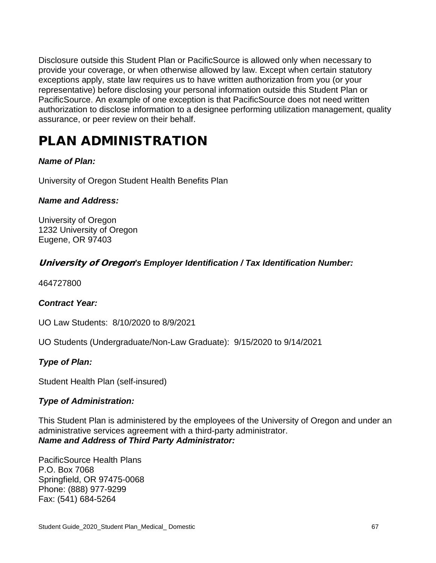Disclosure outside this Student Plan or PacificSource is allowed only when necessary to provide your coverage, or when otherwise allowed by law. Except when certain statutory exceptions apply, state law requires us to have written authorization from you (or your representative) before disclosing your personal information outside this Student Plan or PacificSource. An example of one exception is that PacificSource does not need written authorization to disclose information to a designee performing utilization management, quality assurance, or peer review on their behalf.

## PLAN ADMINISTRATION

### *Name of Plan:*

University of Oregon Student Health Benefits Plan

### *Name and Address:*

University of Oregon 1232 University of Oregon Eugene, OR 97403

### University of Oregon*'s Employer Identification / Tax Identification Number:*

464727800

### *Contract Year:*

UO Law Students: 8/10/2020 to 8/9/2021

UO Students (Undergraduate/Non-Law Graduate): 9/15/2020 to 9/14/2021

### *Type of Plan:*

Student Health Plan (self-insured)

### *Type of Administration:*

This Student Plan is administered by the employees of the University of Oregon and under an administrative services agreement with a third-party administrator. *Name and Address of Third Party Administrator:*

PacificSource Health Plans P.O. Box 7068 Springfield, OR 97475-0068 Phone: (888) 977-9299 Fax: (541) 684-5264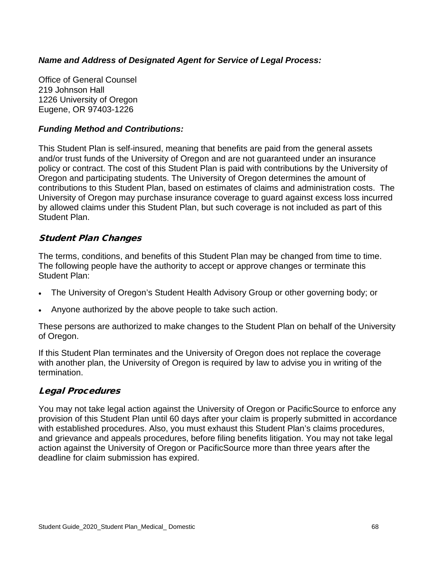### *Name and Address of Designated Agent for Service of Legal Process:*

Office of General Counsel 219 Johnson Hall 1226 University of Oregon Eugene, OR 97403-1226

### *Funding Method and Contributions:*

This Student Plan is self-insured, meaning that benefits are paid from the general assets and/or trust funds of the University of Oregon and are not guaranteed under an insurance policy or contract. The cost of this Student Plan is paid with contributions by the University of Oregon and participating students. The University of Oregon determines the amount of contributions to this Student Plan, based on estimates of claims and administration costs. The University of Oregon may purchase insurance coverage to guard against excess loss incurred by allowed claims under this Student Plan, but such coverage is not included as part of this Student Plan.

### Student Plan Changes

The terms, conditions, and benefits of this Student Plan may be changed from time to time. The following people have the authority to accept or approve changes or terminate this Student Plan:

- The University of Oregon's Student Health Advisory Group or other governing body; or
- Anyone authorized by the above people to take such action.

These persons are authorized to make changes to the Student Plan on behalf of the University of Oregon.

If this Student Plan terminates and the University of Oregon does not replace the coverage with another plan, the University of Oregon is required by law to advise you in writing of the termination.

### Legal Procedures

You may not take legal action against the University of Oregon or PacificSource to enforce any provision of this Student Plan until 60 days after your claim is properly submitted in accordance with established procedures. Also, you must exhaust this Student Plan's claims procedures, and grievance and appeals procedures, before filing benefits litigation. You may not take legal action against the University of Oregon or PacificSource more than three years after the deadline for claim submission has expired.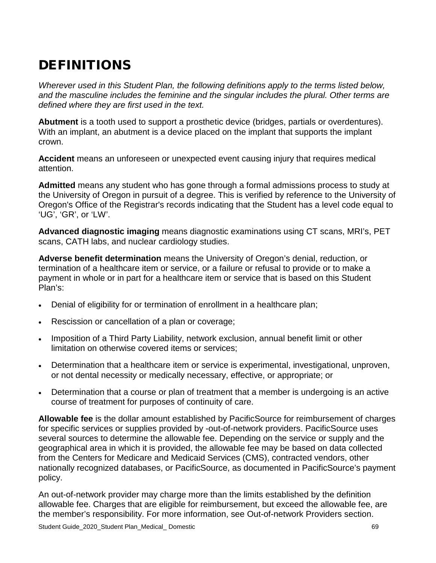## DEFINITIONS

*Wherever used in this Student Plan, the following definitions apply to the terms listed below, and the masculine includes the feminine and the singular includes the plural. Other terms are defined where they are first used in the text.*

**Abutment** is a tooth used to support a prosthetic device (bridges, partials or overdentures). With an implant, an abutment is a device placed on the implant that supports the implant crown.

**Accident** means an unforeseen or unexpected event causing injury that requires medical attention.

**Admitted** means any student who has gone through a formal admissions process to study at the University of Oregon in pursuit of a degree. This is verified by reference to the University of Oregon's Office of the Registrar's records indicating that the Student has a level code equal to 'UG', 'GR', or 'LW'.

**Advanced diagnostic imaging** means diagnostic examinations using CT scans, MRI's, PET scans, CATH labs, and nuclear cardiology studies.

**Adverse benefit determination** means the University of Oregon's denial, reduction, or termination of a healthcare item or service, or a failure or refusal to provide or to make a payment in whole or in part for a healthcare item or service that is based on this Student Plan's:

- Denial of eligibility for or termination of enrollment in a healthcare plan;
- Rescission or cancellation of a plan or coverage;
- Imposition of a Third Party Liability, network exclusion, annual benefit limit or other limitation on otherwise covered items or services;
- Determination that a healthcare item or service is experimental, investigational, unproven, or not dental necessity or medically necessary, effective, or appropriate; or
- Determination that a course or plan of treatment that a member is undergoing is an active course of treatment for purposes of continuity of care.

**Allowable fee** is the dollar amount established by PacificSource for reimbursement of charges for specific services or supplies provided by -out-of-network providers. PacificSource uses several sources to determine the allowable fee. Depending on the service or supply and the geographical area in which it is provided, the allowable fee may be based on data collected from the Centers for Medicare and Medicaid Services (CMS), contracted vendors, other nationally recognized databases, or PacificSource, as documented in PacificSource's payment policy.

An out-of-network provider may charge more than the limits established by the definition allowable fee. Charges that are eligible for reimbursement, but exceed the allowable fee, are the member's responsibility. For more information, see Out-of-network Providers section.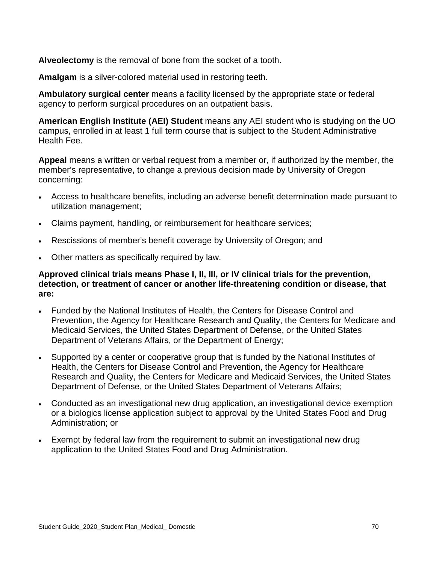**Alveolectomy** is the removal of bone from the socket of a tooth.

**Amalgam** is a silver-colored material used in restoring teeth.

**Ambulatory surgical center** means a facility licensed by the appropriate state or federal agency to perform surgical procedures on an outpatient basis.

**American English Institute (AEI) Student** means any AEI student who is studying on the UO campus, enrolled in at least 1 full term course that is subject to the Student Administrative Health Fee.

**Appeal** means a written or verbal request from a member or, if authorized by the member, the member's representative, to change a previous decision made by University of Oregon concerning:

- Access to healthcare benefits, including an adverse benefit determination made pursuant to utilization management;
- Claims payment, handling, or reimbursement for healthcare services;
- Rescissions of member's benefit coverage by University of Oregon; and
- Other matters as specifically required by law.

### **Approved clinical trials means Phase I, II, III, or IV clinical trials for the prevention, detection, or treatment of cancer or another life-threatening condition or disease, that are:**

- Funded by the National Institutes of Health, the Centers for Disease Control and Prevention, the Agency for Healthcare Research and Quality, the Centers for Medicare and Medicaid Services, the United States Department of Defense, or the United States Department of Veterans Affairs, or the Department of Energy;
- Supported by a center or cooperative group that is funded by the National Institutes of Health, the Centers for Disease Control and Prevention, the Agency for Healthcare Research and Quality, the Centers for Medicare and Medicaid Services, the United States Department of Defense, or the United States Department of Veterans Affairs;
- Conducted as an investigational new drug application, an investigational device exemption or a biologics license application subject to approval by the United States Food and Drug Administration; or
- Exempt by federal law from the requirement to submit an investigational new drug application to the United States Food and Drug Administration.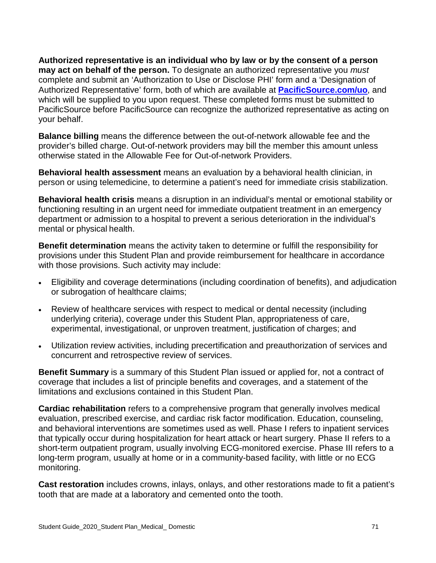**Authorized representative is an individual who by law or by the consent of a person may act on behalf of the person.** To designate an authorized representative you *must* complete and submit an 'Authorization to Use or Disclose PHI' form and a 'Designation of Authorized Representative' form, both of which are available at **PacificSource.com/uo**, and which will be supplied to you upon request. These completed forms must be submitted to PacificSource before PacificSource can recognize the authorized representative as acting on your behalf.

**Balance billing** means the difference between the out-of-network allowable fee and the provider's billed charge. Out-of-network providers may bill the member this amount unless otherwise stated in the Allowable Fee for Out-of-network Providers.

**Behavioral health assessment** means an evaluation by a behavioral health clinician, in person or using telemedicine, to determine a patient's need for immediate crisis stabilization.

**Behavioral health crisis** means a disruption in an individual's mental or emotional stability or functioning resulting in an urgent need for immediate outpatient treatment in an emergency department or admission to a hospital to prevent a serious deterioration in the individual's mental or physical health.

**Benefit determination** means the activity taken to determine or fulfill the responsibility for provisions under this Student Plan and provide reimbursement for healthcare in accordance with those provisions. Such activity may include:

- Eligibility and coverage determinations (including coordination of benefits), and adjudication or subrogation of healthcare claims;
- Review of healthcare services with respect to medical or dental necessity (including underlying criteria), coverage under this Student Plan, appropriateness of care, experimental, investigational, or unproven treatment, justification of charges; and
- Utilization review activities, including precertification and preauthorization of services and concurrent and retrospective review of services.

**Benefit Summary** is a summary of this Student Plan issued or applied for, not a contract of coverage that includes a list of principle benefits and coverages, and a statement of the limitations and exclusions contained in this Student Plan.

**Cardiac rehabilitation** refers to a comprehensive program that generally involves medical evaluation, prescribed exercise, and cardiac risk factor modification. Education, counseling, and behavioral interventions are sometimes used as well. Phase I refers to inpatient services that typically occur during hospitalization for heart attack or heart surgery. Phase II refers to a short-term outpatient program, usually involving ECG-monitored exercise. Phase III refers to a long-term program, usually at home or in a community-based facility, with little or no ECG monitoring.

**Cast restoration** includes crowns, inlays, onlays, and other restorations made to fit a patient's tooth that are made at a laboratory and cemented onto the tooth.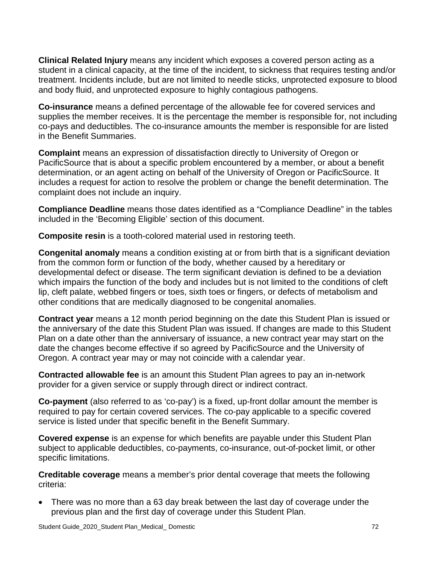**Clinical Related Injury** means any incident which exposes a covered person acting as a student in a clinical capacity, at the time of the incident, to sickness that requires testing and/or treatment. Incidents include, but are not limited to needle sticks, unprotected exposure to blood and body fluid, and unprotected exposure to highly contagious pathogens.

**Co-insurance** means a defined percentage of the allowable fee for covered services and supplies the member receives. It is the percentage the member is responsible for, not including co-pays and deductibles. The co-insurance amounts the member is responsible for are listed in the Benefit Summaries.

**Complaint** means an expression of dissatisfaction directly to University of Oregon or PacificSource that is about a specific problem encountered by a member, or about a benefit determination, or an agent acting on behalf of the University of Oregon or PacificSource. It includes a request for action to resolve the problem or change the benefit determination. The complaint does not include an inquiry.

**Compliance Deadline** means those dates identified as a "Compliance Deadline" in the tables included in the 'Becoming Eligible' section of this document.

**Composite resin** is a tooth-colored material used in restoring teeth.

**Congenital anomaly** means a condition existing at or from birth that is a significant deviation from the common form or function of the body, whether caused by a hereditary or developmental defect or disease. The term significant deviation is defined to be a deviation which impairs the function of the body and includes but is not limited to the conditions of cleft lip, cleft palate, webbed fingers or toes, sixth toes or fingers, or defects of metabolism and other conditions that are medically diagnosed to be congenital anomalies.

**Contract year** means a 12 month period beginning on the date this Student Plan is issued or the anniversary of the date this Student Plan was issued. If changes are made to this Student Plan on a date other than the anniversary of issuance, a new contract year may start on the date the changes become effective if so agreed by PacificSource and the University of Oregon. A contract year may or may not coincide with a calendar year.

**Contracted allowable fee** is an amount this Student Plan agrees to pay an in-network provider for a given service or supply through direct or indirect contract.

**Co-payment** (also referred to as 'co-pay') is a fixed, up-front dollar amount the member is required to pay for certain covered services. The co-pay applicable to a specific covered service is listed under that specific benefit in the Benefit Summary.

**Covered expense** is an expense for which benefits are payable under this Student Plan subject to applicable deductibles, co-payments, co-insurance, out-of-pocket limit, or other specific limitations.

**Creditable coverage** means a member's prior dental coverage that meets the following criteria:

• There was no more than a 63 day break between the last day of coverage under the previous plan and the first day of coverage under this Student Plan.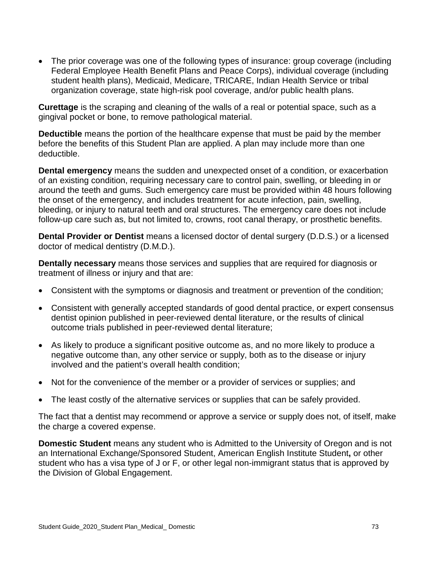• The prior coverage was one of the following types of insurance: group coverage (including Federal Employee Health Benefit Plans and Peace Corps), individual coverage (including student health plans), Medicaid, Medicare, TRICARE, Indian Health Service or tribal organization coverage, state high-risk pool coverage, and/or public health plans.

**Curettage** is the scraping and cleaning of the walls of a real or potential space, such as a gingival pocket or bone, to remove pathological material.

**Deductible** means the portion of the healthcare expense that must be paid by the member before the benefits of this Student Plan are applied. A plan may include more than one deductible.

**Dental emergency** means the sudden and unexpected onset of a condition, or exacerbation of an existing condition, requiring necessary care to control pain, swelling, or bleeding in or around the teeth and gums. Such emergency care must be provided within 48 hours following the onset of the emergency, and includes treatment for acute infection, pain, swelling, bleeding, or injury to natural teeth and oral structures. The emergency care does not include follow-up care such as, but not limited to, crowns, root canal therapy, or prosthetic benefits.

**Dental Provider or Dentist** means a licensed doctor of dental surgery (D.D.S.) or a licensed doctor of medical dentistry (D.M.D.).

**Dentally necessary** means those services and supplies that are required for diagnosis or treatment of illness or injury and that are:

- Consistent with the symptoms or diagnosis and treatment or prevention of the condition;
- Consistent with generally accepted standards of good dental practice, or expert consensus dentist opinion published in peer-reviewed dental literature, or the results of clinical outcome trials published in peer-reviewed dental literature;
- As likely to produce a significant positive outcome as, and no more likely to produce a negative outcome than, any other service or supply, both as to the disease or injury involved and the patient's overall health condition;
- Not for the convenience of the member or a provider of services or supplies; and
- The least costly of the alternative services or supplies that can be safely provided.

The fact that a dentist may recommend or approve a service or supply does not, of itself, make the charge a covered expense.

**Domestic Student** means any student who is Admitted to the University of Oregon and is not an International Exchange/Sponsored Student, American English Institute Student**,** or other student who has a visa type of J or F, or other legal non-immigrant status that is approved by the Division of Global Engagement.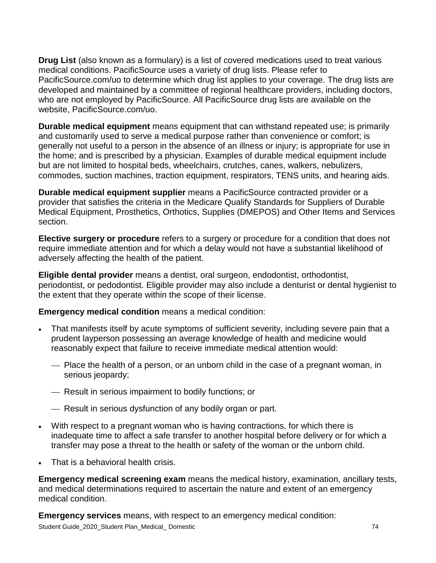**Drug List** (also known as a formulary) is a list of covered medications used to treat various medical conditions. PacificSource uses a variety of drug lists. Please refer to PacificSource.com/uo to determine which drug list applies to your coverage. The drug lists are developed and maintained by a committee of regional healthcare providers, including doctors, who are not employed by PacificSource. All PacificSource drug lists are available on the website, PacificSource.com/uo.

**Durable medical equipment** means equipment that can withstand repeated use; is primarily and customarily used to serve a medical purpose rather than convenience or comfort; is generally not useful to a person in the absence of an illness or injury; is appropriate for use in the home; and is prescribed by a physician. Examples of durable medical equipment include but are not limited to hospital beds, wheelchairs, crutches, canes, walkers, nebulizers, commodes, suction machines, traction equipment, respirators, TENS units, and hearing aids.

**Durable medical equipment supplier** means a PacificSource contracted provider or a provider that satisfies the criteria in the Medicare Qualify Standards for Suppliers of Durable Medical Equipment, Prosthetics, Orthotics, Supplies (DMEPOS) and Other Items and Services section.

**Elective surgery or procedure** refers to a surgery or procedure for a condition that does not require immediate attention and for which a delay would not have a substantial likelihood of adversely affecting the health of the patient.

**Eligible dental provider** means a dentist, oral surgeon, endodontist, orthodontist, periodontist, or pedodontist. Eligible provider may also include a denturist or dental hygienist to the extent that they operate within the scope of their license.

**Emergency medical condition** means a medical condition:

- That manifests itself by acute symptoms of sufficient severity, including severe pain that a prudent layperson possessing an average knowledge of health and medicine would reasonably expect that failure to receive immediate medical attention would:
	- Place the health of a person, or an unborn child in the case of a pregnant woman, in serious jeopardy;
	- Result in serious impairment to bodily functions; or
	- Result in serious dysfunction of any bodily organ or part.
- With respect to a pregnant woman who is having contractions, for which there is inadequate time to affect a safe transfer to another hospital before delivery or for which a transfer may pose a threat to the health or safety of the woman or the unborn child.
- That is a behavioral health crisis.

**Emergency medical screening exam** means the medical history, examination, ancillary tests, and medical determinations required to ascertain the nature and extent of an emergency medical condition.

Student Guide\_2020\_Student Plan\_Medical\_ Domestic 74 **Emergency services** means, with respect to an emergency medical condition: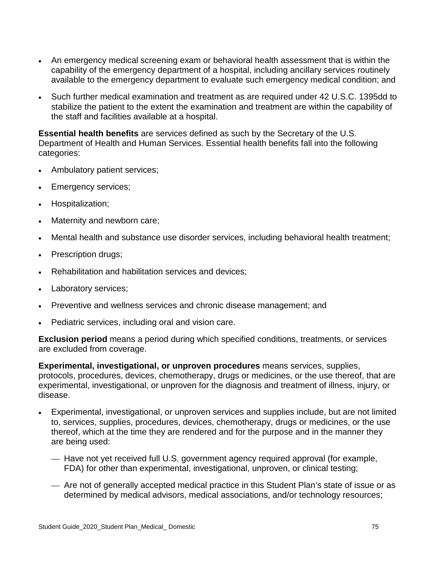- An emergency medical screening exam or behavioral health assessment that is within the capability of the emergency department of a hospital, including ancillary services routinely available to the emergency department to evaluate such emergency medical condition; and
- Such further medical examination and treatment as are required under 42 U.S.C. 1395dd to stabilize the patient to the extent the examination and treatment are within the capability of the staff and facilities available at a hospital.

**Essential health benefits** are services defined as such by the Secretary of the U.S. Department of Health and Human Services. Essential health benefits fall into the following categories:

- Ambulatory patient services;
- Emergency services;
- Hospitalization;
- Maternity and newborn care;
- Mental health and substance use disorder services, including behavioral health treatment;
- Prescription drugs;
- Rehabilitation and habilitation services and devices;
- Laboratory services;
- Preventive and wellness services and chronic disease management; and
- Pediatric services, including oral and vision care.

**Exclusion period** means a period during which specified conditions, treatments, or services are excluded from coverage.

**Experimental, investigational, or unproven procedures** means services, supplies, protocols, procedures, devices, chemotherapy, drugs or medicines, or the use thereof, that are experimental, investigational, or unproven for the diagnosis and treatment of illness, injury, or disease.

- Experimental, investigational, or unproven services and supplies include, but are not limited to, services, supplies, procedures, devices, chemotherapy, drugs or medicines, or the use thereof, which at the time they are rendered and for the purpose and in the manner they are being used:
	- Have not yet received full U.S. government agency required approval (for example, FDA) for other than experimental, investigational, unproven, or clinical testing;
	- Are not of generally accepted medical practice in this Student Plan's state of issue or as determined by medical advisors, medical associations, and/or technology resources;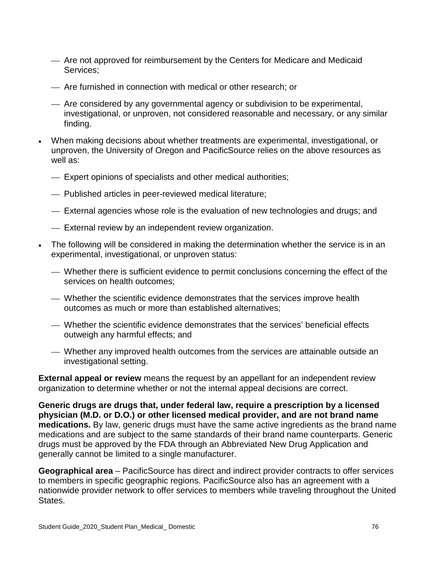- Are not approved for reimbursement by the Centers for Medicare and Medicaid Services;
- Are furnished in connection with medical or other research; or
- Are considered by any governmental agency or subdivision to be experimental, investigational, or unproven, not considered reasonable and necessary, or any similar finding.
- When making decisions about whether treatments are experimental, investigational, or unproven, the University of Oregon and PacificSource relies on the above resources as well as:
	- Expert opinions of specialists and other medical authorities;
	- Published articles in peer-reviewed medical literature;
	- External agencies whose role is the evaluation of new technologies and drugs; and
	- External review by an independent review organization.
- The following will be considered in making the determination whether the service is in an experimental, investigational, or unproven status:
	- Whether there is sufficient evidence to permit conclusions concerning the effect of the services on health outcomes;
	- Whether the scientific evidence demonstrates that the services improve health outcomes as much or more than established alternatives;
	- Whether the scientific evidence demonstrates that the services' beneficial effects outweigh any harmful effects; and
	- Whether any improved health outcomes from the services are attainable outside an investigational setting.

**External appeal or review** means the request by an appellant for an independent review organization to determine whether or not the internal appeal decisions are correct.

**Generic drugs are drugs that, under federal law, require a prescription by a licensed physician (M.D. or D.O.) or other licensed medical provider, and are not brand name medications.** By law, generic drugs must have the same active ingredients as the brand name medications and are subject to the same standards of their brand name counterparts. Generic drugs must be approved by the FDA through an Abbreviated New Drug Application and generally cannot be limited to a single manufacturer.

**Geographical area** – PacificSource has direct and indirect provider contracts to offer services to members in specific geographic regions. PacificSource also has an agreement with a nationwide provider network to offer services to members while traveling throughout the United States.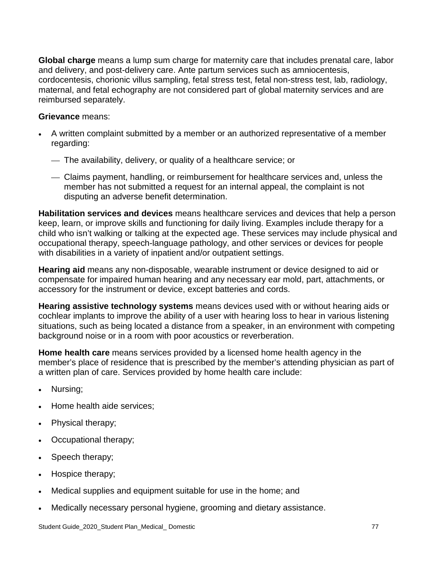**Global charge** means a lump sum charge for maternity care that includes prenatal care, labor and delivery, and post-delivery care. Ante partum services such as amniocentesis, cordocentesis, chorionic villus sampling, fetal stress test, fetal non-stress test, lab, radiology, maternal, and fetal echography are not considered part of global maternity services and are reimbursed separately.

### **Grievance** means:

- A written complaint submitted by a member or an authorized representative of a member regarding:
	- The availability, delivery, or quality of a healthcare service; or
	- Claims payment, handling, or reimbursement for healthcare services and, unless the member has not submitted a request for an internal appeal, the complaint is not disputing an adverse benefit determination.

**Habilitation services and devices** means healthcare services and devices that help a person keep, learn, or improve skills and functioning for daily living. Examples include therapy for a child who isn't walking or talking at the expected age. These services may include physical and occupational therapy, speech-language pathology, and other services or devices for people with disabilities in a variety of inpatient and/or outpatient settings.

**Hearing aid** means any non-disposable, wearable instrument or device designed to aid or compensate for impaired human hearing and any necessary ear mold, part, attachments, or accessory for the instrument or device, except batteries and cords.

**Hearing assistive technology systems** means devices used with or without hearing aids or cochlear implants to improve the ability of a user with hearing loss to hear in various listening situations, such as being located a distance from a speaker, in an environment with competing background noise or in a room with poor acoustics or reverberation.

**Home health care** means services provided by a licensed home health agency in the member's place of residence that is prescribed by the member's attending physician as part of a written plan of care. Services provided by home health care include:

- Nursing;
- Home health aide services;
- Physical therapy;
- Occupational therapy;
- Speech therapy;
- Hospice therapy;
- Medical supplies and equipment suitable for use in the home; and
- Medically necessary personal hygiene, grooming and dietary assistance.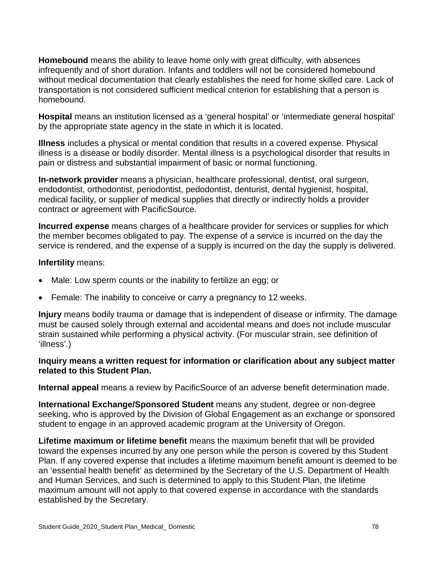**Homebound** means the ability to leave home only with great difficulty, with absences infrequently and of short duration. Infants and toddlers will not be considered homebound without medical documentation that clearly establishes the need for home skilled care. Lack of transportation is not considered sufficient medical criterion for establishing that a person is homebound.

**Hospital** means an institution licensed as a 'general hospital' or 'intermediate general hospital' by the appropriate state agency in the state in which it is located.

**Illness** includes a physical or mental condition that results in a covered expense. Physical illness is a disease or bodily disorder. Mental illness is a psychological disorder that results in pain or distress and substantial impairment of basic or normal functioning.

**In-network provider** means a physician, healthcare professional, dentist, oral surgeon, endodontist, orthodontist, periodontist, pedodontist, denturist, dental hygienist, hospital, medical facility, or supplier of medical supplies that directly or indirectly holds a provider contract or agreement with PacificSource.

**Incurred expense** means charges of a healthcare provider for services or supplies for which the member becomes obligated to pay. The expense of a service is incurred on the day the service is rendered, and the expense of a supply is incurred on the day the supply is delivered.

### **Infertility** means:

- Male: Low sperm counts or the inability to fertilize an egg; or
- Female: The inability to conceive or carry a pregnancy to 12 weeks.

**Injury** means bodily trauma or damage that is independent of disease or infirmity. The damage must be caused solely through external and accidental means and does not include muscular strain sustained while performing a physical activity. (For muscular strain, see definition of 'illness'.)

### **Inquiry means a written request for information or clarification about any subject matter related to this Student Plan.**

**Internal appeal** means a review by PacificSource of an adverse benefit determination made.

**International Exchange/Sponsored Student** means any student, degree or non-degree seeking, who is approved by the Division of Global Engagement as an exchange or sponsored student to engage in an approved academic program at the University of Oregon.

**Lifetime maximum or lifetime benefit** means the maximum benefit that will be provided toward the expenses incurred by any one person while the person is covered by this Student Plan. If any covered expense that includes a lifetime maximum benefit amount is deemed to be an 'essential health benefit' as determined by the Secretary of the U.S. Department of Health and Human Services, and such is determined to apply to this Student Plan, the lifetime maximum amount will not apply to that covered expense in accordance with the standards established by the Secretary.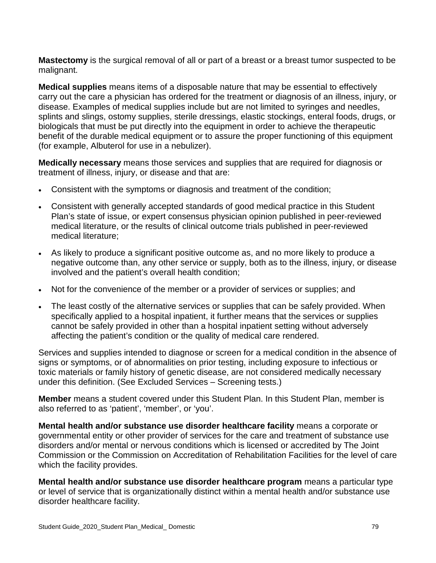**Mastectomy** is the surgical removal of all or part of a breast or a breast tumor suspected to be malignant.

**Medical supplies** means items of a disposable nature that may be essential to effectively carry out the care a physician has ordered for the treatment or diagnosis of an illness, injury, or disease. Examples of medical supplies include but are not limited to syringes and needles, splints and slings, ostomy supplies, sterile dressings, elastic stockings, enteral foods, drugs, or biologicals that must be put directly into the equipment in order to achieve the therapeutic benefit of the durable medical equipment or to assure the proper functioning of this equipment (for example, Albuterol for use in a nebulizer).

**Medically necessary** means those services and supplies that are required for diagnosis or treatment of illness, injury, or disease and that are:

- Consistent with the symptoms or diagnosis and treatment of the condition;
- Consistent with generally accepted standards of good medical practice in this Student Plan's state of issue, or expert consensus physician opinion published in peer-reviewed medical literature, or the results of clinical outcome trials published in peer-reviewed medical literature;
- As likely to produce a significant positive outcome as, and no more likely to produce a negative outcome than, any other service or supply, both as to the illness, injury, or disease involved and the patient's overall health condition;
- Not for the convenience of the member or a provider of services or supplies; and
- The least costly of the alternative services or supplies that can be safely provided. When specifically applied to a hospital inpatient, it further means that the services or supplies cannot be safely provided in other than a hospital inpatient setting without adversely affecting the patient's condition or the quality of medical care rendered.

Services and supplies intended to diagnose or screen for a medical condition in the absence of signs or symptoms, or of abnormalities on prior testing, including exposure to infectious or toxic materials or family history of genetic disease, are not considered medically necessary under this definition. (See Excluded Services – Screening tests.)

**Member** means a student covered under this Student Plan. In this Student Plan, member is also referred to as 'patient', 'member', or 'you'.

**Mental health and/or substance use disorder healthcare facility** means a corporate or governmental entity or other provider of services for the care and treatment of substance use disorders and/or mental or nervous conditions which is licensed or accredited by The Joint Commission or the Commission on Accreditation of Rehabilitation Facilities for the level of care which the facility provides.

**Mental health and/or substance use disorder healthcare program** means a particular type or level of service that is organizationally distinct within a mental health and/or substance use disorder healthcare facility.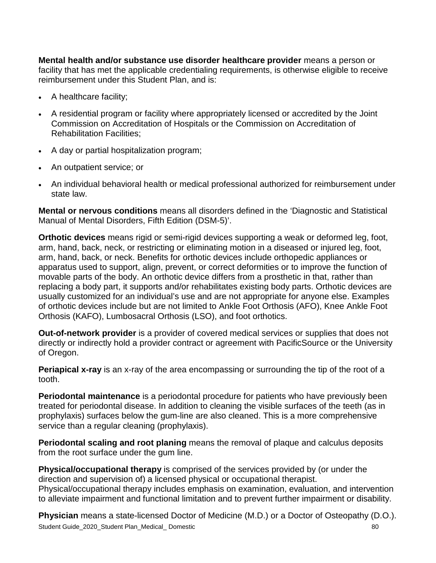**Mental health and/or substance use disorder healthcare provider** means a person or facility that has met the applicable credentialing requirements, is otherwise eligible to receive reimbursement under this Student Plan, and is:

- A healthcare facility;
- A residential program or facility where appropriately licensed or accredited by the Joint Commission on Accreditation of Hospitals or the Commission on Accreditation of Rehabilitation Facilities;
- A day or partial hospitalization program;
- An outpatient service; or
- An individual behavioral health or medical professional authorized for reimbursement under state law.

**Mental or nervous conditions** means all disorders defined in the 'Diagnostic and Statistical Manual of Mental Disorders, Fifth Edition (DSM-5)'.

**Orthotic devices** means rigid or semi-rigid devices supporting a weak or deformed leg, foot, arm, hand, back, neck, or restricting or eliminating motion in a diseased or injured leg, foot, arm, hand, back, or neck. Benefits for orthotic devices include orthopedic appliances or apparatus used to support, align, prevent, or correct deformities or to improve the function of movable parts of the body. An orthotic device differs from a prosthetic in that, rather than replacing a body part, it supports and/or rehabilitates existing body parts. Orthotic devices are usually customized for an individual's use and are not appropriate for anyone else. Examples of orthotic devices include but are not limited to Ankle Foot Orthosis (AFO), Knee Ankle Foot Orthosis (KAFO), Lumbosacral Orthosis (LSO), and foot orthotics.

**Out-of-network provider** is a provider of covered medical services or supplies that does not directly or indirectly hold a provider contract or agreement with PacificSource or the University of Oregon.

**Periapical x-ray** is an x-ray of the area encompassing or surrounding the tip of the root of a tooth.

**Periodontal maintenance** is a periodontal procedure for patients who have previously been treated for periodontal disease. In addition to cleaning the visible surfaces of the teeth (as in prophylaxis) surfaces below the gum-line are also cleaned. This is a more comprehensive service than a regular cleaning (prophylaxis).

**Periodontal scaling and root planing** means the removal of plaque and calculus deposits from the root surface under the gum line.

**Physical/occupational therapy** is comprised of the services provided by (or under the direction and supervision of) a licensed physical or occupational therapist. Physical/occupational therapy includes emphasis on examination, evaluation, and intervention to alleviate impairment and functional limitation and to prevent further impairment or disability.

Student Guide\_2020\_Student Plan\_Medical\_Domestic 80 and 80 and 80 and 80 and 80 and 80 and 80 and 80 and 80 and 80 and 80 and 80 and 80 and 80 and 80 and 80 and 80 and 80 and 80 and 80 and 80 and 80 and 80 and 80 and 80 an **Physician** means a state-licensed Doctor of Medicine (M.D.) or a Doctor of Osteopathy (D.O.).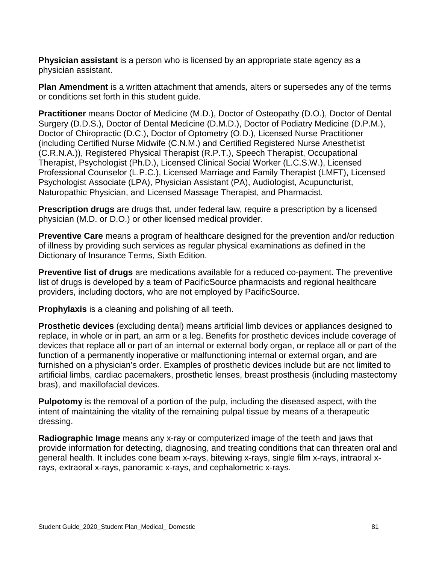**Physician assistant** is a person who is licensed by an appropriate state agency as a physician assistant.

**Plan Amendment** is a written attachment that amends, alters or supersedes any of the terms or conditions set forth in this student guide.

**Practitioner** means Doctor of Medicine (M.D.), Doctor of Osteopathy (D.O.), Doctor of Dental Surgery (D.D.S.), Doctor of Dental Medicine (D.M.D.), Doctor of Podiatry Medicine (D.P.M.), Doctor of Chiropractic (D.C.), Doctor of Optometry (O.D.), Licensed Nurse Practitioner (including Certified Nurse Midwife (C.N.M.) and Certified Registered Nurse Anesthetist (C.R.N.A.)), Registered Physical Therapist (R.P.T.), Speech Therapist, Occupational Therapist, Psychologist (Ph.D.), Licensed Clinical Social Worker (L.C.S.W.), Licensed Professional Counselor (L.P.C.), Licensed Marriage and Family Therapist (LMFT), Licensed Psychologist Associate (LPA), Physician Assistant (PA), Audiologist, Acupuncturist, Naturopathic Physician, and Licensed Massage Therapist, and Pharmacist.

**Prescription drugs** are drugs that, under federal law, require a prescription by a licensed physician (M.D. or D.O.) or other licensed medical provider.

**Preventive Care** means a program of healthcare designed for the prevention and/or reduction of illness by providing such services as regular physical examinations as defined in the Dictionary of Insurance Terms, Sixth Edition.

**Preventive list of drugs** are medications available for a reduced co-payment. The preventive list of drugs is developed by a team of PacificSource pharmacists and regional healthcare providers, including doctors, who are not employed by PacificSource.

**Prophylaxis** is a cleaning and polishing of all teeth.

**Prosthetic devices** (excluding dental) means artificial limb devices or appliances designed to replace, in whole or in part, an arm or a leg. Benefits for prosthetic devices include coverage of devices that replace all or part of an internal or external body organ, or replace all or part of the function of a permanently inoperative or malfunctioning internal or external organ, and are furnished on a physician's order. Examples of prosthetic devices include but are not limited to artificial limbs, cardiac pacemakers, prosthetic lenses, breast prosthesis (including mastectomy bras), and maxillofacial devices.

**Pulpotomy** is the removal of a portion of the pulp, including the diseased aspect, with the intent of maintaining the vitality of the remaining pulpal tissue by means of a therapeutic dressing.

**Radiographic Image** means any x-ray or computerized image of the teeth and jaws that provide information for detecting, diagnosing, and treating conditions that can threaten oral and general health. It includes cone beam x-rays, bitewing x-rays, single film x-rays, intraoral xrays, extraoral x-rays, panoramic x-rays, and cephalometric x-rays.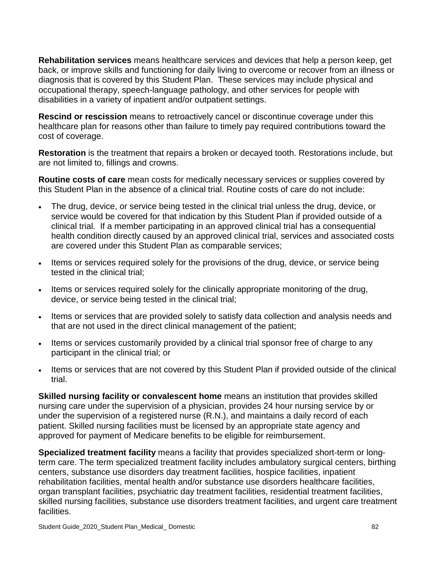**Rehabilitation services** means healthcare services and devices that help a person keep, get back, or improve skills and functioning for daily living to overcome or recover from an illness or diagnosis that is covered by this Student Plan. These services may include physical and occupational therapy, speech-language pathology, and other services for people with disabilities in a variety of inpatient and/or outpatient settings.

**Rescind or rescission** means to retroactively cancel or discontinue coverage under this healthcare plan for reasons other than failure to timely pay required contributions toward the cost of coverage.

**Restoration** is the treatment that repairs a broken or decayed tooth. Restorations include, but are not limited to, fillings and crowns.

**Routine costs of care** mean costs for medically necessary services or supplies covered by this Student Plan in the absence of a clinical trial. Routine costs of care do not include:

- The drug, device, or service being tested in the clinical trial unless the drug, device, or service would be covered for that indication by this Student Plan if provided outside of a clinical trial. If a member participating in an approved clinical trial has a consequential health condition directly caused by an approved clinical trial, services and associated costs are covered under this Student Plan as comparable services;
- Items or services required solely for the provisions of the drug, device, or service being tested in the clinical trial;
- Items or services required solely for the clinically appropriate monitoring of the drug, device, or service being tested in the clinical trial;
- Items or services that are provided solely to satisfy data collection and analysis needs and that are not used in the direct clinical management of the patient;
- Items or services customarily provided by a clinical trial sponsor free of charge to any participant in the clinical trial; or
- Items or services that are not covered by this Student Plan if provided outside of the clinical trial.

**Skilled nursing facility or convalescent home** means an institution that provides skilled nursing care under the supervision of a physician, provides 24 hour nursing service by or under the supervision of a registered nurse (R.N.), and maintains a daily record of each patient. Skilled nursing facilities must be licensed by an appropriate state agency and approved for payment of Medicare benefits to be eligible for reimbursement.

**Specialized treatment facility** means a facility that provides specialized short-term or longterm care. The term specialized treatment facility includes ambulatory surgical centers, birthing centers, substance use disorders day treatment facilities, hospice facilities, inpatient rehabilitation facilities, mental health and/or substance use disorders healthcare facilities, organ transplant facilities, psychiatric day treatment facilities, residential treatment facilities, skilled nursing facilities, substance use disorders treatment facilities, and urgent care treatment facilities.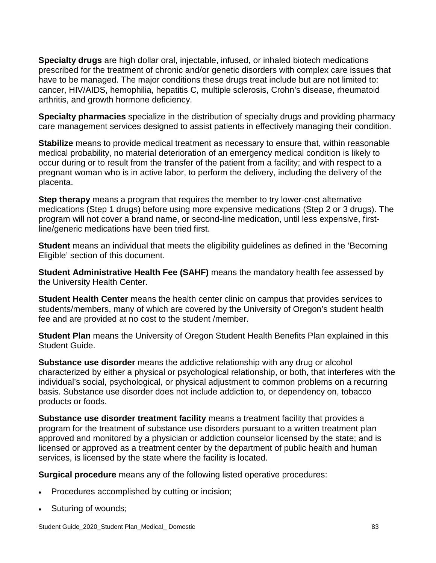**Specialty drugs** are high dollar oral, injectable, infused, or inhaled biotech medications prescribed for the treatment of chronic and/or genetic disorders with complex care issues that have to be managed. The major conditions these drugs treat include but are not limited to: cancer, HIV/AIDS, hemophilia, hepatitis C, multiple sclerosis, Crohn's disease, rheumatoid arthritis, and growth hormone deficiency.

**Specialty pharmacies** specialize in the distribution of specialty drugs and providing pharmacy care management services designed to assist patients in effectively managing their condition.

**Stabilize** means to provide medical treatment as necessary to ensure that, within reasonable medical probability, no material deterioration of an emergency medical condition is likely to occur during or to result from the transfer of the patient from a facility; and with respect to a pregnant woman who is in active labor, to perform the delivery, including the delivery of the placenta.

**Step therapy** means a program that requires the member to try lower-cost alternative medications (Step 1 drugs) before using more expensive medications (Step 2 or 3 drugs). The program will not cover a brand name, or second-line medication, until less expensive, firstline/generic medications have been tried first.

**Student** means an individual that meets the eligibility guidelines as defined in the 'Becoming Eligible' section of this document.

**Student Administrative Health Fee (SAHF)** means the mandatory health fee assessed by the University Health Center.

**Student Health Center** means the health center clinic on campus that provides services to students/members, many of which are covered by the University of Oregon's student health fee and are provided at no cost to the student /member.

**Student Plan** means the University of Oregon Student Health Benefits Plan explained in this Student Guide.

**Substance use disorder** means the addictive relationship with any drug or alcohol characterized by either a physical or psychological relationship, or both, that interferes with the individual's social, psychological, or physical adjustment to common problems on a recurring basis. Substance use disorder does not include addiction to, or dependency on, tobacco products or foods.

**Substance use disorder treatment facility** means a treatment facility that provides a program for the treatment of substance use disorders pursuant to a written treatment plan approved and monitored by a physician or addiction counselor licensed by the state; and is licensed or approved as a treatment center by the department of public health and human services, is licensed by the state where the facility is located.

**Surgical procedure** means any of the following listed operative procedures:

- Procedures accomplished by cutting or incision;
- Suturing of wounds;